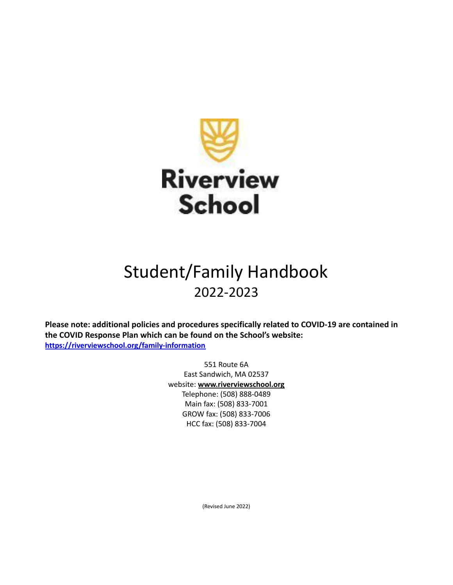

## Student/Family Handbook 2022-2023

**Please note: additional policies and procedures specifically related to COVID-19 are contained in the COVID Response Plan which can be found on the School's website: <https://riverviewschool.org/family-information>**

> 551 Route 6A East Sandwich, MA 02537 website: **[www.riverviewschool.org](http://www.riverviewschool.org/)** Telephone: (508) 888‐0489 Main fax: (508) 833‐7001 GROW fax: (508) 833‐7006 HCC fax: (508) 833‐7004

> > (Revised June 2022)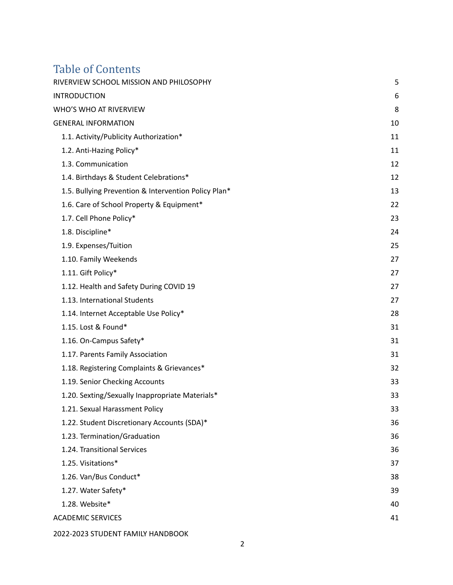# Table of Contents<br>RIVERVIEW SCHOOL MISSIC

| RIVERVIEW SCHOOL MISSION AND PHILOSOPHY              | 5  |
|------------------------------------------------------|----|
| <b>INTRODUCTION</b>                                  | 6  |
| WHO'S WHO AT RIVERVIEW                               | 8  |
| <b>GENERAL INFORMATION</b>                           | 10 |
| 1.1. Activity/Publicity Authorization*               | 11 |
| 1.2. Anti-Hazing Policy*                             | 11 |
| 1.3. Communication                                   | 12 |
| 1.4. Birthdays & Student Celebrations*               | 12 |
| 1.5. Bullying Prevention & Intervention Policy Plan* | 13 |
| 1.6. Care of School Property & Equipment*            | 22 |
| 1.7. Cell Phone Policy*                              | 23 |
| 1.8. Discipline*                                     | 24 |
| 1.9. Expenses/Tuition                                | 25 |
| 1.10. Family Weekends                                | 27 |
| 1.11. Gift Policy*                                   | 27 |
| 1.12. Health and Safety During COVID 19              | 27 |
| 1.13. International Students                         | 27 |
| 1.14. Internet Acceptable Use Policy*                | 28 |
| 1.15. Lost & Found*                                  | 31 |
| 1.16. On-Campus Safety*                              | 31 |
| 1.17. Parents Family Association                     | 31 |
| 1.18. Registering Complaints & Grievances*           | 32 |
| 1.19. Senior Checking Accounts                       | 33 |
| 1.20. Sexting/Sexually Inappropriate Materials*      | 33 |
| 1.21. Sexual Harassment Policy                       | 33 |
| 1.22. Student Discretionary Accounts (SDA)*          | 36 |
| 1.23. Termination/Graduation                         | 36 |
| 1.24. Transitional Services                          | 36 |
| 1.25. Visitations*                                   | 37 |
| 1.26. Van/Bus Conduct*                               | 38 |
| 1.27. Water Safety*                                  | 39 |
| 1.28. Website*                                       | 40 |
| <b>ACADEMIC SERVICES</b>                             | 41 |
| 2022-2023 STUDENT FAMILY HANDBOOK                    |    |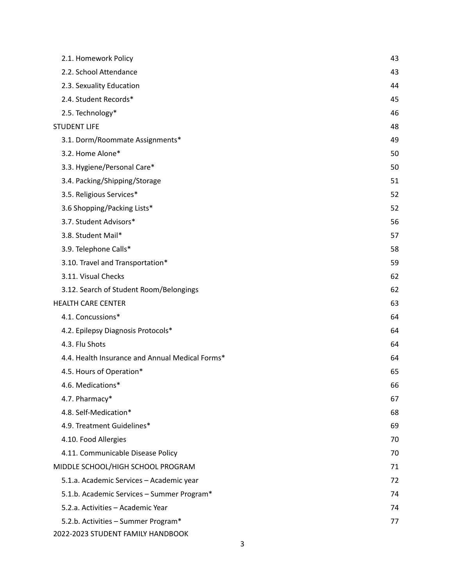| 2.1. Homework Policy                            | 43 |
|-------------------------------------------------|----|
| 2.2. School Attendance                          | 43 |
| 2.3. Sexuality Education                        | 44 |
| 2.4. Student Records*                           | 45 |
| 2.5. Technology*                                | 46 |
| <b>STUDENT LIFE</b>                             | 48 |
| 3.1. Dorm/Roommate Assignments*                 | 49 |
| 3.2. Home Alone*                                | 50 |
| 3.3. Hygiene/Personal Care*                     | 50 |
| 3.4. Packing/Shipping/Storage                   | 51 |
| 3.5. Religious Services*                        | 52 |
| 3.6 Shopping/Packing Lists*                     | 52 |
| 3.7. Student Advisors*                          | 56 |
| 3.8. Student Mail*                              | 57 |
| 3.9. Telephone Calls*                           | 58 |
| 3.10. Travel and Transportation*                | 59 |
| 3.11. Visual Checks                             | 62 |
| 3.12. Search of Student Room/Belongings         | 62 |
| <b>HEALTH CARE CENTER</b>                       | 63 |
| 4.1. Concussions*                               | 64 |
| 4.2. Epilepsy Diagnosis Protocols*              | 64 |
| 4.3. Flu Shots                                  | 64 |
| 4.4. Health Insurance and Annual Medical Forms* | 64 |
| 4.5. Hours of Operation*                        | 65 |
| 4.6. Medications*                               | 66 |
| 4.7. Pharmacy*                                  | 67 |
| 4.8. Self-Medication*                           | 68 |
| 4.9. Treatment Guidelines*                      | 69 |
| 4.10. Food Allergies                            | 70 |
| 4.11. Communicable Disease Policy               | 70 |
| MIDDLE SCHOOL/HIGH SCHOOL PROGRAM               | 71 |
| 5.1.a. Academic Services - Academic year        | 72 |
| 5.1.b. Academic Services - Summer Program*      | 74 |
| 5.2.a. Activities - Academic Year               | 74 |
| 5.2.b. Activities - Summer Program*             | 77 |
| 2022-2023 STUDENT FAMILY HANDBOOK               |    |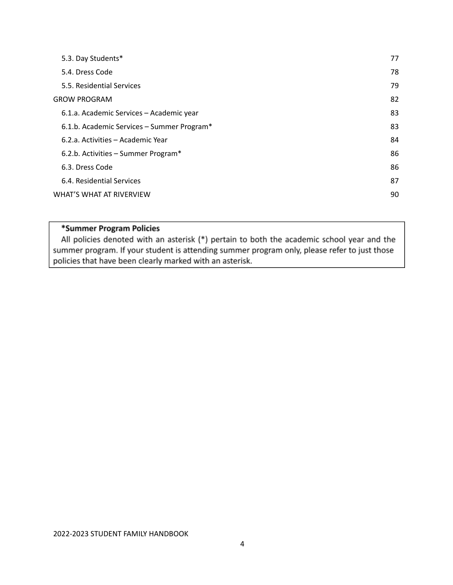| 5.3. Day Students*                         | 77 |
|--------------------------------------------|----|
| 5.4. Dress Code                            | 78 |
| 5.5. Residential Services                  | 79 |
| <b>GROW PROGRAM</b>                        | 82 |
| 6.1.a. Academic Services - Academic year   | 83 |
| 6.1.b. Academic Services - Summer Program* | 83 |
| 6.2.a. Activities - Academic Year          | 84 |
| 6.2.b. Activities – Summer Program*        | 86 |
| 6.3. Dress Code                            | 86 |
| 6.4. Residential Services                  | 87 |
| WHAT'S WHAT AT RIVERVIEW                   | 90 |

#### \*Summer Program Policies

All policies denoted with an asterisk (\*) pertain to both the academic school year and the summer program. If your student is attending summer program only, please refer to just those policies that have been clearly marked with an asterisk.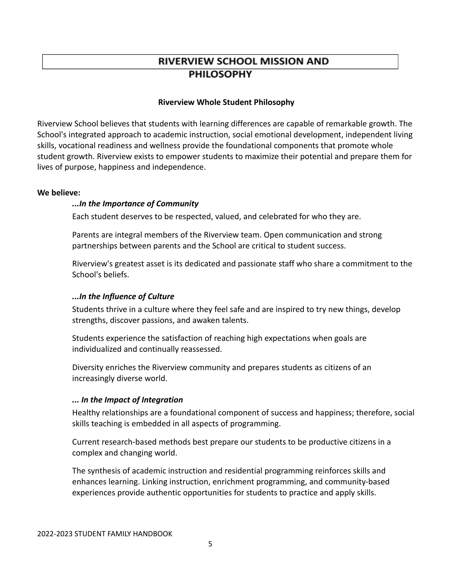### **RIVERVIEW SCHOOL MISSION AND PHILOSOPHY**

#### **Riverview Whole Student Philosophy**

Riverview School believes that students with learning differences are capable of remarkable growth. The School's integrated approach to academic instruction, social emotional development, independent living skills, vocational readiness and wellness provide the foundational components that promote whole student growth. Riverview exists to empower students to maximize their potential and prepare them for lives of purpose, happiness and independence.

#### **We believe:**

#### *...In the Importance of Community*

Each student deserves to be respected, valued, and celebrated for who they are.

Parents are integral members of the Riverview team. Open communication and strong partnerships between parents and the School are critical to student success.

Riverview's greatest asset is its dedicated and passionate staff who share a commitment to the School's beliefs.

#### *...In the Influence of Culture*

Students thrive in a culture where they feel safe and are inspired to try new things, develop strengths, discover passions, and awaken talents.

Students experience the satisfaction of reaching high expectations when goals are individualized and continually reassessed.

Diversity enriches the Riverview community and prepares students as citizens of an increasingly diverse world.

#### *... In the Impact of Integration*

Healthy relationships are a foundational component of success and happiness; therefore, social skills teaching is embedded in all aspects of programming.

Current research-based methods best prepare our students to be productive citizens in a complex and changing world.

The synthesis of academic instruction and residential programming reinforces skills and enhances learning. Linking instruction, enrichment programming, and community-based experiences provide authentic opportunities for students to practice and apply skills.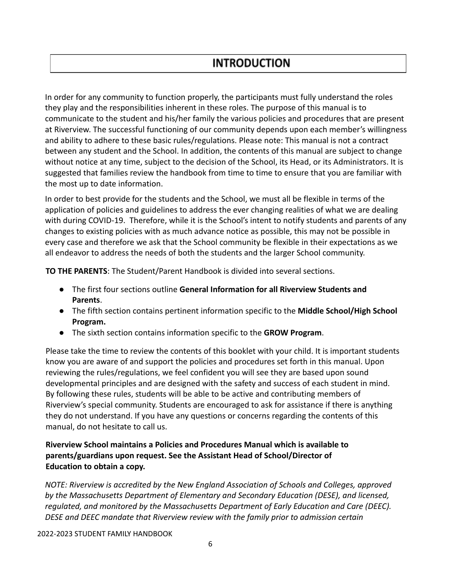### **INTRODUCTION**

In order for any community to function properly, the participants must fully understand the roles they play and the responsibilities inherent in these roles. The purpose of this manual is to communicate to the student and his/her family the various policies and procedures that are present at Riverview. The successful functioning of our community depends upon each member's willingness and ability to adhere to these basic rules/regulations. Please note: This manual is not a contract between any student and the School. In addition, the contents of this manual are subject to change without notice at any time, subject to the decision of the School, its Head, or its Administrators. It is suggested that families review the handbook from time to time to ensure that you are familiar with the most up to date information.

In order to best provide for the students and the School, we must all be flexible in terms of the application of policies and guidelines to address the ever changing realities of what we are dealing with during COVID-19. Therefore, while it is the School's intent to notify students and parents of any changes to existing policies with as much advance notice as possible, this may not be possible in every case and therefore we ask that the School community be flexible in their expectations as we all endeavor to address the needs of both the students and the larger School community.

**TO THE PARENTS**: The Student/Parent Handbook is divided into several sections.

- The first four sections outline **General Information for all Riverview Students and Parents**.
- **●** The fifth section contains pertinent information specific to the **Middle School/High School Program.**
- The sixth section contains information specific to the **GROW Program**.

Please take the time to review the contents of this booklet with your child. It is important students know you are aware of and support the policies and procedures set forth in this manual. Upon reviewing the rules/regulations, we feel confident you will see they are based upon sound developmental principles and are designed with the safety and success of each student in mind. By following these rules, students will be able to be active and contributing members of Riverview's special community. Students are encouraged to ask for assistance if there is anything they do not understand. If you have any questions or concerns regarding the contents of this manual, do not hesitate to call us.

#### **Riverview School maintains a Policies and Procedures Manual which is available to parents/guardians upon request. See the Assistant Head of School/Director of Education to obtain a copy.**

*NOTE: Riverview is accredited by the New England Association of Schools and Colleges, approved by the Massachusetts Department of Elementary and Secondary Education (DESE), and licensed, regulated, and monitored by the Massachusetts Department of Early Education and Care (DEEC). DESE and DEEC mandate that Riverview review with the family prior to admission certain*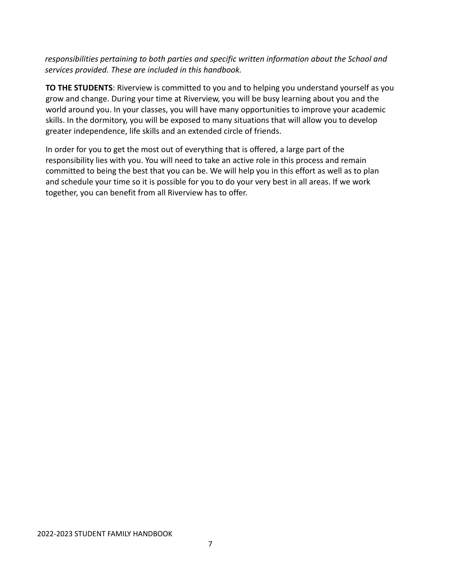*responsibilities pertaining to both parties and specific written information about the School and services provided. These are included in this handbook.*

**TO THE STUDENTS**: Riverview is committed to you and to helping you understand yourself as you grow and change. During your time at Riverview, you will be busy learning about you and the world around you. In your classes, you will have many opportunities to improve your academic skills. In the dormitory, you will be exposed to many situations that will allow you to develop greater independence, life skills and an extended circle of friends.

In order for you to get the most out of everything that is offered, a large part of the responsibility lies with you. You will need to take an active role in this process and remain committed to being the best that you can be. We will help you in this effort as well as to plan and schedule your time so it is possible for you to do your very best in all areas. If we work together, you can benefit from all Riverview has to offer.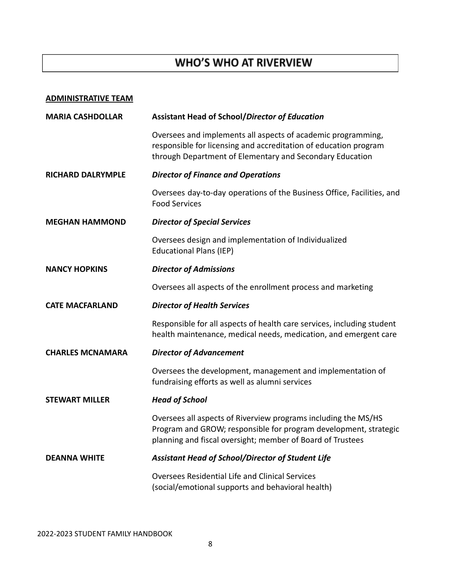### WHO'S WHO AT RIVERVIEW

#### **ADMINISTRATIVE TEAM**

| <b>MARIA CASHDOLLAR</b>  | <b>Assistant Head of School/Director of Education</b>                                                                                                                                            |
|--------------------------|--------------------------------------------------------------------------------------------------------------------------------------------------------------------------------------------------|
|                          | Oversees and implements all aspects of academic programming,<br>responsible for licensing and accreditation of education program<br>through Department of Elementary and Secondary Education     |
| <b>RICHARD DALRYMPLE</b> | <b>Director of Finance and Operations</b>                                                                                                                                                        |
|                          | Oversees day-to-day operations of the Business Office, Facilities, and<br><b>Food Services</b>                                                                                                   |
| <b>MEGHAN HAMMOND</b>    | <b>Director of Special Services</b>                                                                                                                                                              |
|                          | Oversees design and implementation of Individualized<br><b>Educational Plans (IEP)</b>                                                                                                           |
| <b>NANCY HOPKINS</b>     | <b>Director of Admissions</b>                                                                                                                                                                    |
|                          | Oversees all aspects of the enrollment process and marketing                                                                                                                                     |
| <b>CATE MACFARLAND</b>   | <b>Director of Health Services</b>                                                                                                                                                               |
|                          | Responsible for all aspects of health care services, including student<br>health maintenance, medical needs, medication, and emergent care                                                       |
| <b>CHARLES MCNAMARA</b>  | <b>Director of Advancement</b>                                                                                                                                                                   |
|                          | Oversees the development, management and implementation of<br>fundraising efforts as well as alumni services                                                                                     |
| <b>STEWART MILLER</b>    | <b>Head of School</b>                                                                                                                                                                            |
|                          | Oversees all aspects of Riverview programs including the MS/HS<br>Program and GROW; responsible for program development, strategic<br>planning and fiscal oversight; member of Board of Trustees |
| <b>DEANNA WHITE</b>      | Assistant Head of School/Director of Student Life                                                                                                                                                |
|                          | <b>Oversees Residential Life and Clinical Services</b><br>(social/emotional supports and behavioral health)                                                                                      |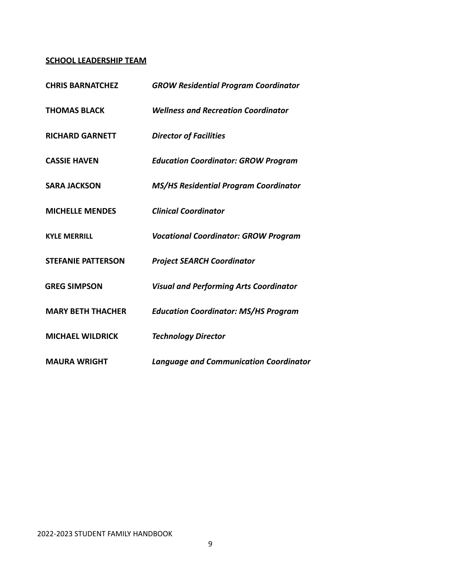#### **SCHOOL LEADERSHIP TEAM**

| <b>CHRIS BARNATCHEZ</b>   | <b>GROW Residential Program Coordinator</b>   |
|---------------------------|-----------------------------------------------|
| <b>THOMAS BLACK</b>       | <b>Wellness and Recreation Coordinator</b>    |
| <b>RICHARD GARNETT</b>    | <b>Director of Facilities</b>                 |
| <b>CASSIE HAVEN</b>       | <b>Education Coordinator: GROW Program</b>    |
| <b>SARA JACKSON</b>       | <b>MS/HS Residential Program Coordinator</b>  |
| <b>MICHELLE MENDES</b>    | <b>Clinical Coordinator</b>                   |
| <b>KYLE MERRILL</b>       | <b>Vocational Coordinator: GROW Program</b>   |
| <b>STEFANIE PATTERSON</b> | <b>Project SEARCH Coordinator</b>             |
| <b>GREG SIMPSON</b>       | <b>Visual and Performing Arts Coordinator</b> |
| <b>MARY BETH THACHER</b>  | <b>Education Coordinator: MS/HS Program</b>   |
| <b>MICHAEL WILDRICK</b>   | <b>Technology Director</b>                    |
| <b>MAURA WRIGHT</b>       | <b>Language and Communication Coordinator</b> |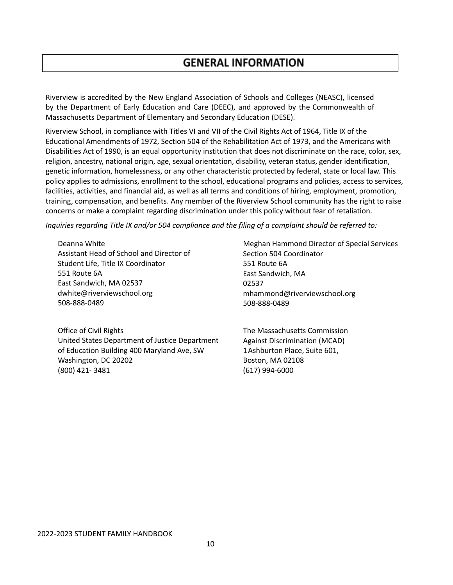Riverview is accredited by the New England Association of Schools and Colleges (NEASC), licensed by the Department of Early Education and Care (DEEC), and approved by the Commonwealth of Massachusetts Department of Elementary and Secondary Education (DESE).

Riverview School, in compliance with Titles VI and VII of the Civil Rights Act of 1964, Title IX of the Educational Amendments of 1972, Section 504 of the Rehabilitation Act of 1973, and the Americans with Disabilities Act of 1990, is an equal opportunity institution that does not discriminate on the race, color, sex, religion, ancestry, national origin, age, sexual orientation, disability, veteran status, gender identification, genetic information, homelessness, or any other characteristic protected by federal, state or local law. This policy applies to admissions, enrollment to the school, educational programs and policies, access to services, facilities, activities, and financial aid, as well as all terms and conditions of hiring, employment, promotion, training, compensation, and benefits. Any member of the Riverview School community has the right to raise concerns or make a complaint regarding discrimination under this policy without fear of retaliation.

*Inquiries regarding Title IX and/or 504 compliance and the filing of a complaint should be referred to:*

Deanna White Assistant Head of School and Director of Student Life, Title IX Coordinator 551 Route 6A East Sandwich, MA 02537 dwhite@riverviewschool.org 508‐888‐0489

Office of Civil Rights United States Department of Justice Department of Education Building 400 Maryland Ave, SW Washington, DC 20202 (800) 421‐ 3481

Meghan Hammond Director of Special Services Section 504 Coordinator 551 Route 6A East Sandwich, MA 02537 [mhammond@riverviewschool.org](mailto:mhammond@riverviewschool.org) 508‐888‐0489

The Massachusetts Commission Against Discrimination (MCAD) 1Ashburton Place, Suite 601, Boston, MA 02108 (617) 994‐6000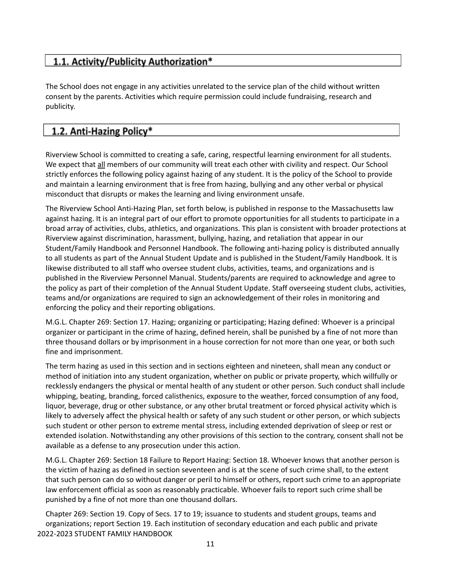### 1.1. Activity/Publicity Authorization\*

The School does not engage in any activities unrelated to the service plan of the child without written consent by the parents. Activities which require permission could include fundraising, research and publicity.

### 1.2. Anti-Hazing Policy\*

Riverview School is committed to creating a safe, caring, respectful learning environment for all students. We expect that all members of our community will treat each other with civility and respect. Our School strictly enforces the following policy against hazing of any student. It is the policy of the School to provide and maintain a learning environment that is free from hazing, bullying and any other verbal or physical misconduct that disrupts or makes the learning and living environment unsafe.

The Riverview School Anti‐Hazing Plan, set forth below, is published in response to the Massachusetts law against hazing. It is an integral part of our effort to promote opportunities for all students to participate in a broad array of activities, clubs, athletics, and organizations. This plan is consistent with broader protections at Riverview against discrimination, harassment, bullying, hazing, and retaliation that appear in our Student/Family Handbook and Personnel Handbook. The following anti‐hazing policy is distributed annually to all students as part of the Annual Student Update and is published in the Student/Family Handbook. It is likewise distributed to all staff who oversee student clubs, activities, teams, and organizations and is published in the Riverview Personnel Manual. Students/parents are required to acknowledge and agree to the policy as part of their completion of the Annual Student Update. Staff overseeing student clubs, activities, teams and/or organizations are required to sign an acknowledgement of their roles in monitoring and enforcing the policy and their reporting obligations.

M.G.L. Chapter 269: Section 17. Hazing; organizing or participating; Hazing defined: Whoever is a principal organizer or participant in the crime of hazing, defined herein, shall be punished by a fine of not more than three thousand dollars or by imprisonment in a house correction for not more than one year, or both such fine and imprisonment.

The term hazing as used in this section and in sections eighteen and nineteen, shall mean any conduct or method of initiation into any student organization, whether on public or private property, which willfully or recklessly endangers the physical or mental health of any student or other person. Such conduct shall include whipping, beating, branding, forced calisthenics, exposure to the weather, forced consumption of any food, liquor, beverage, drug or other substance, or any other brutal treatment or forced physical activity which is likely to adversely affect the physical health or safety of any such student or other person, or which subjects such student or other person to extreme mental stress, including extended deprivation of sleep or rest or extended isolation. Notwithstanding any other provisions of this section to the contrary, consent shall not be available as a defense to any prosecution under this action.

M.G.L. Chapter 269: Section 18 Failure to Report Hazing: Section 18. Whoever knows that another person is the victim of hazing as defined in section seventeen and is at the scene of such crime shall, to the extent that such person can do so without danger or peril to himself or others, report such crime to an appropriate law enforcement official as soon as reasonably practicable. Whoever fails to report such crime shall be punished by a fine of not more than one thousand dollars.

Chapter 269: Section 19. Copy of Secs. 17 to 19; issuance to students and student groups, teams and organizations; report Section 19. Each institution of secondary education and each public and private 2022-2023 STUDENT FAMILY HANDBOOK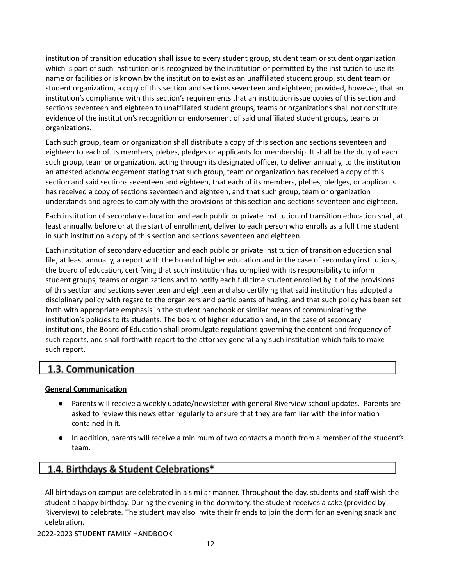institution of transition education shall issue to every student group, student team or student organization which is part of such institution or is recognized by the institution or permitted by the institution to use its name or facilities or is known by the institution to exist as an unaffiliated student group, student team or student organization, a copy of this section and sections seventeen and eighteen; provided, however, that an institution's compliance with this section's requirements that an institution issue copies of this section and sections seventeen and eighteen to unaffiliated student groups, teams or organizations shall not constitute evidence of the institution's recognition or endorsement of said unaffiliated student groups, teams or organizations.

Each such group, team or organization shall distribute a copy of this section and sections seventeen and eighteen to each of its members, plebes, pledges or applicants for membership. It shall be the duty of each such group, team or organization, acting through its designated officer, to deliver annually, to the institution an attested acknowledgement stating that such group, team or organization has received a copy of this section and said sections seventeen and eighteen, that each of its members, plebes, pledges, or applicants has received a copy of sections seventeen and eighteen, and that such group, team or organization understands and agrees to comply with the provisions of this section and sections seventeen and eighteen.

Each institution of secondary education and each public or private institution of transition education shall, at least annually, before or at the start of enrollment, deliver to each person who enrolls as a full time student in such institution a copy of this section and sections seventeen and eighteen.

Each institution of secondary education and each public or private institution of transition education shall file, at least annually, a report with the board of higher education and in the case of secondary institutions, the board of education, certifying that such institution has complied with its responsibility to inform student groups, teams or organizations and to notify each full time student enrolled by it of the provisions of this section and sections seventeen and eighteen and also certifying that said institution has adopted a disciplinary policy with regard to the organizers and participants of hazing, and that such policy has been set forth with appropriate emphasis in the student handbook or similar means of communicating the institution's policies to its students. The board of higher education and, in the case of secondary institutions, the Board of Education shall promulgate regulations governing the content and frequency of such reports, and shall forthwith report to the attorney general any such institution which fails to make such report.

### 1.3. Communication

#### **General Communication**

- Parents will receive a weekly update/newsletter with general Riverview school updates. Parents are asked to review this newsletter regularly to ensure that they are familiar with the information contained in it.
- In addition, parents will receive a minimum of two contacts a month from a member of the student's team.

### 1.4. Birthdays & Student Celebrations\*

All birthdays on campus are celebrated in a similar manner. Throughout the day, students and staff wish the student a happy birthday. During the evening in the dormitory, the student receives a cake (provided by Riverview) to celebrate. The student may also invite their friends to join the dorm for an evening snack and celebration.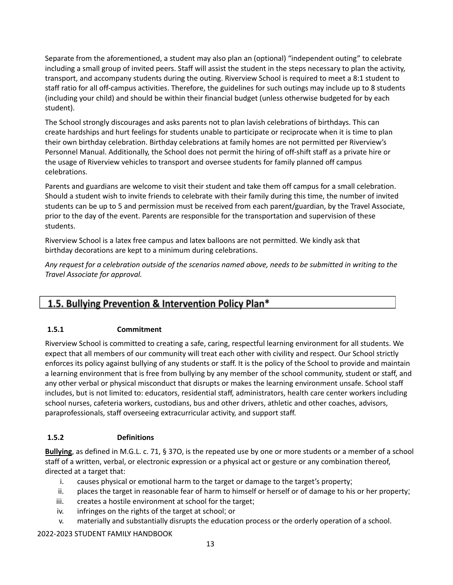Separate from the aforementioned, a student may also plan an (optional) "independent outing" to celebrate including a small group of invited peers. Staff will assist the student in the steps necessary to plan the activity, transport, and accompany students during the outing. Riverview School is required to meet a 8:1 student to staff ratio for all off‐campus activities. Therefore, the guidelines for such outings may include up to 8 students (including your child) and should be within their financial budget (unless otherwise budgeted for by each student).

The School strongly discourages and asks parents not to plan lavish celebrations of birthdays. This can create hardships and hurt feelings for students unable to participate or reciprocate when it is time to plan their own birthday celebration. Birthday celebrations at family homes are not permitted per Riverview's Personnel Manual. Additionally, the School does not permit the hiring of off‐shift staff as a private hire or the usage of Riverview vehicles to transport and oversee students for family planned off campus celebrations.

Parents and guardians are welcome to visit their student and take them off campus for a small celebration. Should a student wish to invite friends to celebrate with their family during this time, the number of invited students can be up to 5 and permission must be received from each parent/guardian, by the Travel Associate, prior to the day of the event. Parents are responsible for the transportation and supervision of these students.

Riverview School is a latex free campus and latex balloons are not permitted. We kindly ask that birthday decorations are kept to a minimum during celebrations.

Any request for a celebration outside of the scenarios named above, needs to be submitted in writing to the *Travel Associate for approval.*

### 1.5. Bullying Prevention & Intervention Policy Plan\*

#### **1.5.1 Commitment**

Riverview School is committed to creating a safe, caring, respectful learning environment for all students. We expect that all members of our community will treat each other with civility and respect. Our School strictly enforces its policy against bullying of any students or staff. It is the policy of the School to provide and maintain a learning environment that is free from bullying by any member of the school community, student or staff, and any other verbal or physical misconduct that disrupts or makes the learning environment unsafe. School staff includes, but is not limited to: educators, residential staff, administrators, health care center workers including school nurses, cafeteria workers, custodians, bus and other drivers, athletic and other coaches, advisors, paraprofessionals, staff overseeing extracurricular activity, and support staff.

#### **1.5.2 Definitions**

**Bullying**, as defined in M.G.L. c. 71, § 37O, is the repeated use by one or more students or a member of a school staff of a written, verbal, or electronic expression or a physical act or gesture or any combination thereof, directed at a target that:

- i. causes physical or emotional harm to the target or damage to the target's property;
- ii. places the target in reasonable fear of harm to himself or herself or of damage to his or her property;
- iii. creates a hostile environment at school for the target;
- iv. infringes on the rights of the target at school; or
- v. materially and substantially disrupts the education process or the orderly operation of a school.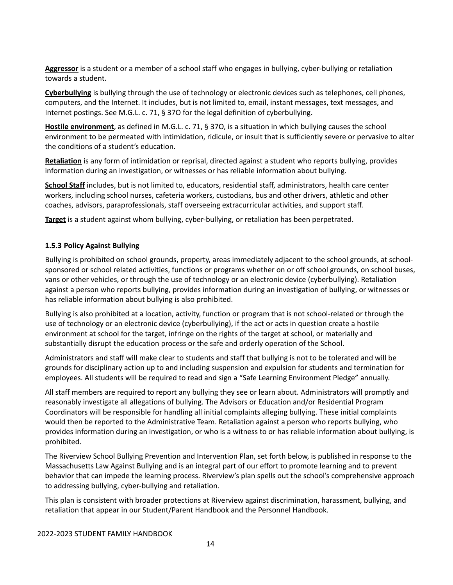**Aggressor** is a student or a member of a school staff who engages in bullying, cyber‐bullying or retaliation towards a student.

**Cyberbullying** is bullying through the use of technology or electronic devices such as telephones, cell phones, computers, and the Internet. It includes, but is not limited to, email, instant messages, text messages, and Internet postings. See M.G.L. c. 71, § 37O for the legal definition of cyberbullying.

**Hostile environment**, as defined in M.G.L. c. 71, § 37O, is a situation in which bullying causes the school environment to be permeated with intimidation, ridicule, or insult that is sufficiently severe or pervasive to alter the conditions of a student's education.

**Retaliation** is any form of intimidation or reprisal, directed against a student who reports bullying, provides information during an investigation, or witnesses or has reliable information about bullying.

**School Staff** includes, but is not limited to, educators, residential staff, administrators, health care center workers, including school nurses, cafeteria workers, custodians, bus and other drivers, athletic and other coaches, advisors, paraprofessionals, staff overseeing extracurricular activities, and support staff.

**Target** is a student against whom bullying, cyber‐bullying, or retaliation has been perpetrated.

#### **1.5.3 Policy Against Bullying**

Bullying is prohibited on school grounds, property, areas immediately adjacent to the school grounds, at school‐ sponsored or school related activities, functions or programs whether on or off school grounds, on school buses, vans or other vehicles, or through the use of technology or an electronic device (cyberbullying). Retaliation against a person who reports bullying, provides information during an investigation of bullying, or witnesses or has reliable information about bullying is also prohibited.

Bullying is also prohibited at a location, activity, function or program that is not school‐related or through the use of technology or an electronic device (cyberbullying), if the act or acts in question create a hostile environment at school for the target, infringe on the rights of the target at school, or materially and substantially disrupt the education process or the safe and orderly operation of the School.

Administrators and staff will make clear to students and staff that bullying is not to be tolerated and will be grounds for disciplinary action up to and including suspension and expulsion for students and termination for employees. All students will be required to read and sign a "Safe Learning Environment Pledge" annually.

All staff members are required to report any bullying they see or learn about. Administrators will promptly and reasonably investigate all allegations of bullying. The Advisors or Education and/or Residential Program Coordinators will be responsible for handling all initial complaints alleging bullying. These initial complaints would then be reported to the Administrative Team. Retaliation against a person who reports bullying, who provides information during an investigation, or who is a witness to or has reliable information about bullying, is prohibited.

The Riverview School Bullying Prevention and Intervention Plan, set forth below, is published in response to the Massachusetts Law Against Bullying and is an integral part of our effort to promote learning and to prevent behavior that can impede the learning process. Riverview's plan spells out the school's comprehensive approach to addressing bullying, cyber‐bullying and retaliation.

This plan is consistent with broader protections at Riverview against discrimination, harassment, bullying, and retaliation that appear in our Student/Parent Handbook and the Personnel Handbook.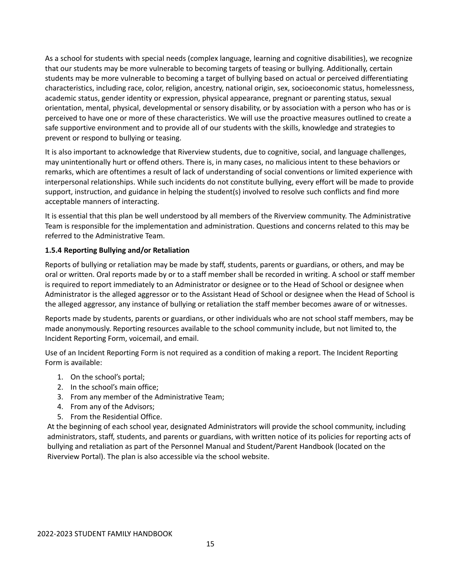As a school for students with special needs (complex language, learning and cognitive disabilities), we recognize that our students may be more vulnerable to becoming targets of teasing or bullying. Additionally, certain students may be more vulnerable to becoming a target of bullying based on actual or perceived differentiating characteristics, including race, color, religion, ancestry, national origin, sex, socioeconomic status, homelessness, academic status, gender identity or expression, physical appearance, pregnant or parenting status, sexual orientation, mental, physical, developmental or sensory disability, or by association with a person who has or is perceived to have one or more of these characteristics. We will use the proactive measures outlined to create a safe supportive environment and to provide all of our students with the skills, knowledge and strategies to prevent or respond to bullying or teasing.

It is also important to acknowledge that Riverview students, due to cognitive, social, and language challenges, may unintentionally hurt or offend others. There is, in many cases, no malicious intent to these behaviors or remarks, which are oftentimes a result of lack of understanding of social conventions or limited experience with interpersonal relationships. While such incidents do not constitute bullying, every effort will be made to provide support, instruction, and guidance in helping the student(s) involved to resolve such conflicts and find more acceptable manners of interacting.

It is essential that this plan be well understood by all members of the Riverview community. The Administrative Team is responsible for the implementation and administration. Questions and concerns related to this may be referred to the Administrative Team.

#### **1.5.4 Reporting Bullying and/or Retaliation**

Reports of bullying or retaliation may be made by staff, students, parents or guardians, or others, and may be oral or written. Oral reports made by or to a staff member shall be recorded in writing. A school or staff member is required to report immediately to an Administrator or designee or to the Head of School or designee when Administrator is the alleged aggressor or to the Assistant Head of School or designee when the Head of School is the alleged aggressor, any instance of bullying or retaliation the staff member becomes aware of or witnesses.

Reports made by students, parents or guardians, or other individuals who are not school staff members, may be made anonymously. Reporting resources available to the school community include, but not limited to, the Incident Reporting Form, voicemail, and email.

Use of an Incident Reporting Form is not required as a condition of making a report. The Incident Reporting Form is available:

- 1. On the school's portal;
- 2. In the school's main office;
- 3. From any member of the Administrative Team;
- 4. From any of the Advisors;
- 5. From the Residential Office.

At the beginning of each school year, designated Administrators will provide the school community, including administrators, staff, students, and parents or guardians, with written notice of its policies for reporting acts of bullying and retaliation as part of the Personnel Manual and Student/Parent Handbook (located on the Riverview Portal). The plan is also accessible via the school website.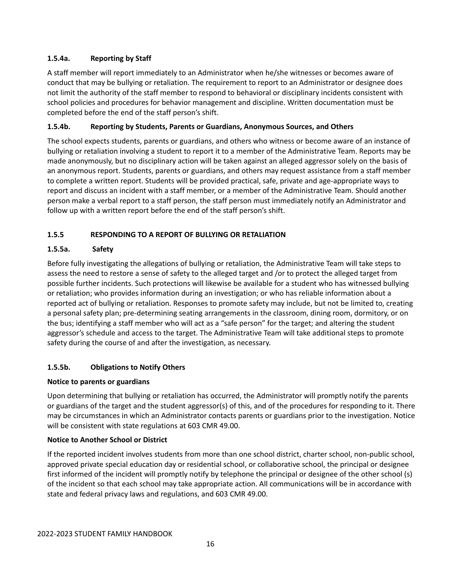#### **1.5.4a. Reporting by Staff**

A staff member will report immediately to an Administrator when he/she witnesses or becomes aware of conduct that may be bullying or retaliation. The requirement to report to an Administrator or designee does not limit the authority of the staff member to respond to behavioral or disciplinary incidents consistent with school policies and procedures for behavior management and discipline. Written documentation must be completed before the end of the staff person's shift.

#### **1.5.4b. Reporting by Students, Parents or Guardians, Anonymous Sources, and Others**

The school expects students, parents or guardians, and others who witness or become aware of an instance of bullying or retaliation involving a student to report it to a member of the Administrative Team. Reports may be made anonymously, but no disciplinary action will be taken against an alleged aggressor solely on the basis of an anonymous report. Students, parents or guardians, and others may request assistance from a staff member to complete a written report. Students will be provided practical, safe, private and age‐appropriate ways to report and discuss an incident with a staff member, or a member of the Administrative Team. Should another person make a verbal report to a staff person, the staff person must immediately notify an Administrator and follow up with a written report before the end of the staff person's shift.

#### **1.5.5 RESPONDING TO A REPORT OF BULLYING OR RETALIATION**

#### **1.5.5a. Safety**

Before fully investigating the allegations of bullying or retaliation, the Administrative Team will take steps to assess the need to restore a sense of safety to the alleged target and /or to protect the alleged target from possible further incidents. Such protections will likewise be available for a student who has witnessed bullying or retaliation; who provides information during an investigation; or who has reliable information about a reported act of bullying or retaliation. Responses to promote safety may include, but not be limited to, creating a personal safety plan; pre‐determining seating arrangements in the classroom, dining room, dormitory, or on the bus; identifying a staff member who will act as a "safe person" for the target; and altering the student aggressor's schedule and access to the target. The Administrative Team will take additional steps to promote safety during the course of and after the investigation, as necessary.

#### **1.5.5b. Obligations to Notify Others**

#### **Notice to parents or guardians**

Upon determining that bullying or retaliation has occurred, the Administrator will promptly notify the parents or guardians of the target and the student aggressor(s) of this, and of the procedures for responding to it. There may be circumstances in which an Administrator contacts parents or guardians prior to the investigation. Notice will be consistent with state regulations at 603 CMR 49.00.

#### **Notice to Another School or District**

If the reported incident involves students from more than one school district, charter school, non‐public school, approved private special education day or residential school, or collaborative school, the principal or designee first informed of the incident will promptly notify by telephone the principal or designee of the other school (s) of the incident so that each school may take appropriate action. All communications will be in accordance with state and federal privacy laws and regulations, and 603 CMR 49.00.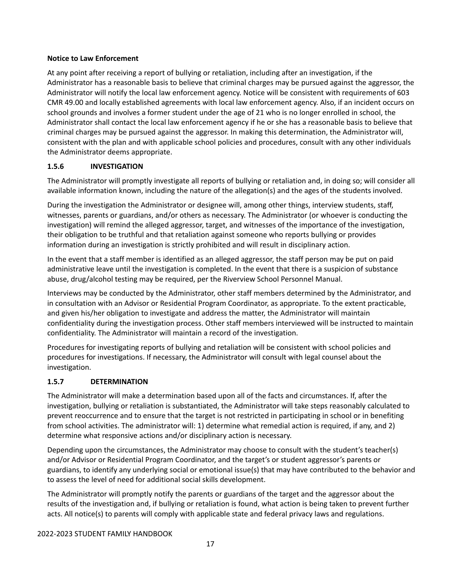#### **Notice to Law Enforcement**

At any point after receiving a report of bullying or retaliation, including after an investigation, if the Administrator has a reasonable basis to believe that criminal charges may be pursued against the aggressor, the Administrator will notify the local law enforcement agency. Notice will be consistent with requirements of 603 CMR 49.00 and locally established agreements with local law enforcement agency. Also, if an incident occurs on school grounds and involves a former student under the age of 21 who is no longer enrolled in school, the Administrator shall contact the local law enforcement agency if he or she has a reasonable basis to believe that criminal charges may be pursued against the aggressor. In making this determination, the Administrator will, consistent with the plan and with applicable school policies and procedures, consult with any other individuals the Administrator deems appropriate.

#### **1.5.6 INVESTIGATION**

The Administrator will promptly investigate all reports of bullying or retaliation and, in doing so; will consider all available information known, including the nature of the allegation(s) and the ages of the students involved.

During the investigation the Administrator or designee will, among other things, interview students, staff, witnesses, parents or guardians, and/or others as necessary. The Administrator (or whoever is conducting the investigation) will remind the alleged aggressor, target, and witnesses of the importance of the investigation, their obligation to be truthful and that retaliation against someone who reports bullying or provides information during an investigation is strictly prohibited and will result in disciplinary action.

In the event that a staff member is identified as an alleged aggressor, the staff person may be put on paid administrative leave until the investigation is completed. In the event that there is a suspicion of substance abuse, drug/alcohol testing may be required, per the Riverview School Personnel Manual.

Interviews may be conducted by the Administrator, other staff members determined by the Administrator, and in consultation with an Advisor or Residential Program Coordinator, as appropriate. To the extent practicable, and given his/her obligation to investigate and address the matter, the Administrator will maintain confidentiality during the investigation process. Other staff members interviewed will be instructed to maintain confidentiality. The Administrator will maintain a record of the investigation.

Procedures for investigating reports of bullying and retaliation will be consistent with school policies and procedures for investigations. If necessary, the Administrator will consult with legal counsel about the investigation.

#### **1.5.7 DETERMINATION**

The Administrator will make a determination based upon all of the facts and circumstances. If, after the investigation, bullying or retaliation is substantiated, the Administrator will take steps reasonably calculated to prevent reoccurrence and to ensure that the target is not restricted in participating in school or in benefiting from school activities. The administrator will: 1) determine what remedial action is required, if any, and 2) determine what responsive actions and/or disciplinary action is necessary.

Depending upon the circumstances, the Administrator may choose to consult with the student's teacher(s) and/or Advisor or Residential Program Coordinator, and the target's or student aggressor's parents or guardians, to identify any underlying social or emotional issue(s) that may have contributed to the behavior and to assess the level of need for additional social skills development.

The Administrator will promptly notify the parents or guardians of the target and the aggressor about the results of the investigation and, if bullying or retaliation is found, what action is being taken to prevent further acts. All notice(s) to parents will comply with applicable state and federal privacy laws and regulations.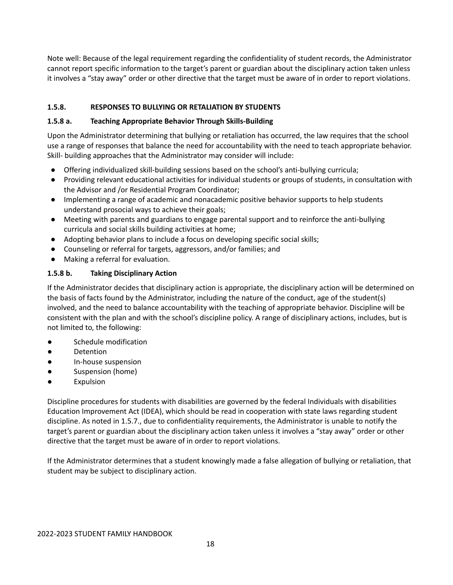Note well: Because of the legal requirement regarding the confidentiality of student records, the Administrator cannot report specific information to the target's parent or guardian about the disciplinary action taken unless it involves a "stay away" order or other directive that the target must be aware of in order to report violations.

#### **1.5.8. RESPONSES TO BULLYING OR RETALIATION BY STUDENTS**

#### **1.5.8 a. Teaching Appropriate Behavior Through Skills‐Building**

Upon the Administrator determining that bullying or retaliation has occurred, the law requires that the school use a range of responses that balance the need for accountability with the need to teach appropriate behavior. Skill‐ building approaches that the Administrator may consider will include:

- Offering individualized skill-building sessions based on the school's anti-bullying curricula;
- Providing relevant educational activities for individual students or groups of students, in consultation with the Advisor and /or Residential Program Coordinator;
- Implementing a range of academic and nonacademic positive behavior supports to help students understand prosocial ways to achieve their goals;
- Meeting with parents and guardians to engage parental support and to reinforce the anti-bullying curricula and social skills building activities at home;
- Adopting behavior plans to include a focus on developing specific social skills;
- Counseling or referral for targets, aggressors, and/or families; and
- Making a referral for evaluation.

#### **1.5.8 b. Taking Disciplinary Action**

If the Administrator decides that disciplinary action is appropriate, the disciplinary action will be determined on the basis of facts found by the Administrator, including the nature of the conduct, age of the student(s) involved, and the need to balance accountability with the teaching of appropriate behavior. Discipline will be consistent with the plan and with the school's discipline policy. A range of disciplinary actions, includes, but is not limited to, the following:

- Schedule modification
- Detention
- In‐house suspension
- Suspension (home)
- **Expulsion**

Discipline procedures for students with disabilities are governed by the federal Individuals with disabilities Education Improvement Act (IDEA), which should be read in cooperation with state laws regarding student discipline. As noted in 1.5.7., due to confidentiality requirements, the Administrator is unable to notify the target's parent or guardian about the disciplinary action taken unless it involves a "stay away" order or other directive that the target must be aware of in order to report violations.

If the Administrator determines that a student knowingly made a false allegation of bullying or retaliation, that student may be subject to disciplinary action.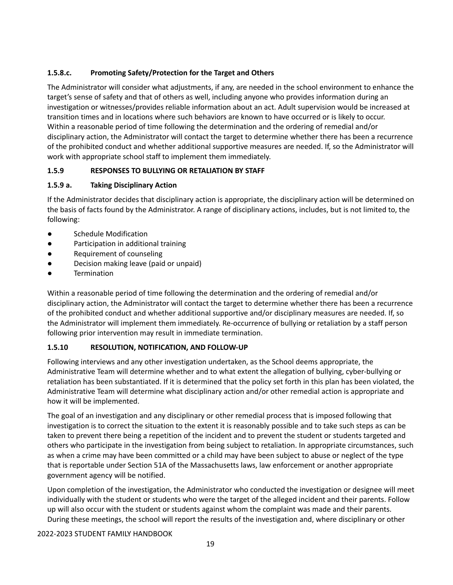#### **1.5.8.c. Promoting Safety/Protection for the Target and Others**

The Administrator will consider what adjustments, if any, are needed in the school environment to enhance the target's sense of safety and that of others as well, including anyone who provides information during an investigation or witnesses/provides reliable information about an act. Adult supervision would be increased at transition times and in locations where such behaviors are known to have occurred or is likely to occur. Within a reasonable period of time following the determination and the ordering of remedial and/or disciplinary action, the Administrator will contact the target to determine whether there has been a recurrence of the prohibited conduct and whether additional supportive measures are needed. If, so the Administrator will work with appropriate school staff to implement them immediately.

#### **1.5.9 RESPONSES TO BULLYING OR RETALIATION BY STAFF**

#### **1.5.9 a. Taking Disciplinary Action**

If the Administrator decides that disciplinary action is appropriate, the disciplinary action will be determined on the basis of facts found by the Administrator. A range of disciplinary actions, includes, but is not limited to, the following:

- Schedule Modification
- Participation in additional training
- Requirement of counseling
- Decision making leave (paid or unpaid)
- **Termination**

Within a reasonable period of time following the determination and the ordering of remedial and/or disciplinary action, the Administrator will contact the target to determine whether there has been a recurrence of the prohibited conduct and whether additional supportive and/or disciplinary measures are needed. If, so the Administrator will implement them immediately. Re‐occurrence of bullying or retaliation by a staff person following prior intervention may result in immediate termination.

#### **1.5.10 RESOLUTION, NOTIFICATION, AND FOLLOW‐UP**

Following interviews and any other investigation undertaken, as the School deems appropriate, the Administrative Team will determine whether and to what extent the allegation of bullying, cyber‐bullying or retaliation has been substantiated. If it is determined that the policy set forth in this plan has been violated, the Administrative Team will determine what disciplinary action and/or other remedial action is appropriate and how it will be implemented.

The goal of an investigation and any disciplinary or other remedial process that is imposed following that investigation is to correct the situation to the extent it is reasonably possible and to take such steps as can be taken to prevent there being a repetition of the incident and to prevent the student or students targeted and others who participate in the investigation from being subject to retaliation. In appropriate circumstances, such as when a crime may have been committed or a child may have been subject to abuse or neglect of the type that is reportable under Section 51A of the Massachusetts laws, law enforcement or another appropriate government agency will be notified.

Upon completion of the investigation, the Administrator who conducted the investigation or designee will meet individually with the student or students who were the target of the alleged incident and their parents. Follow up will also occur with the student or students against whom the complaint was made and their parents. During these meetings, the school will report the results of the investigation and, where disciplinary or other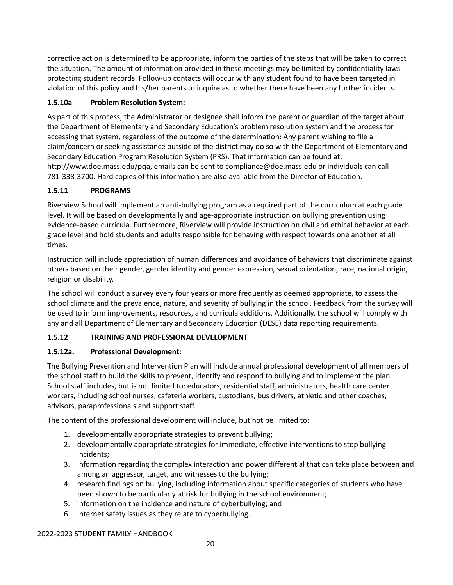corrective action is determined to be appropriate, inform the parties of the steps that will be taken to correct the situation. The amount of information provided in these meetings may be limited by confidentiality laws protecting student records. Follow‐up contacts will occur with any student found to have been targeted in violation of this policy and his/her parents to inquire as to whether there have been any further incidents.

#### **1.5.10a Problem Resolution System:**

As part of this process, the Administrator or designee shall inform the parent or guardian of the target about the Department of Elementary and Secondary Education's problem resolution system and the process for accessing that system, regardless of the outcome of the determination: Any parent wishing to file a claim/concern or seeking assistance outside of the district may do so with the Department of Elementary and Secondary Education Program Resolution System (PRS). That information can be found at: [http://www.doe.mass.edu/pqa,](http://www.doe.mass.edu/pqa) emails can be sent to [compliance@doe.mass.edu](mailto:compliance@doe.mass.edu) or individuals can call 781‐338‐3700. Hard copies of this information are also available from the Director of Education.

#### **1.5.11 PROGRAMS**

Riverview School will implement an anti‐bullying program as a required part of the curriculum at each grade level. It will be based on developmentally and age‐appropriate instruction on bullying prevention using evidence‐based curricula. Furthermore, Riverview will provide instruction on civil and ethical behavior at each grade level and hold students and adults responsible for behaving with respect towards one another at all times.

Instruction will include appreciation of human differences and avoidance of behaviors that discriminate against others based on their gender, gender identity and gender expression, sexual orientation, race, national origin, religion or disability.

The school will conduct a survey every four years or more frequently as deemed appropriate, to assess the school climate and the prevalence, nature, and severity of bullying in the school. Feedback from the survey will be used to inform improvements, resources, and curricula additions. Additionally, the school will comply with any and all Department of Elementary and Secondary Education (DESE) data reporting requirements.

#### **1.5.12 TRAINING AND PROFESSIONAL DEVELOPMENT**

#### **1.5.12a. Professional Development:**

The Bullying Prevention and Intervention Plan will include annual professional development of all members of the school staff to build the skills to prevent, identify and respond to bullying and to implement the plan. School staff includes, but is not limited to: educators, residential staff, administrators, health care center workers, including school nurses, cafeteria workers, custodians, bus drivers, athletic and other coaches, advisors, paraprofessionals and support staff.

The content of the professional development will include, but not be limited to:

- 1. developmentally appropriate strategies to prevent bullying;
- 2. developmentally appropriate strategies for immediate, effective interventions to stop bullying incidents;
- 3. information regarding the complex interaction and power differential that can take place between and among an aggressor, target, and witnesses to the bullying;
- 4. research findings on bullying, including information about specific categories of students who have been shown to be particularly at risk for bullying in the school environment;
- 5. information on the incidence and nature of cyberbullying; and
- 6. Internet safety issues as they relate to cyberbullying.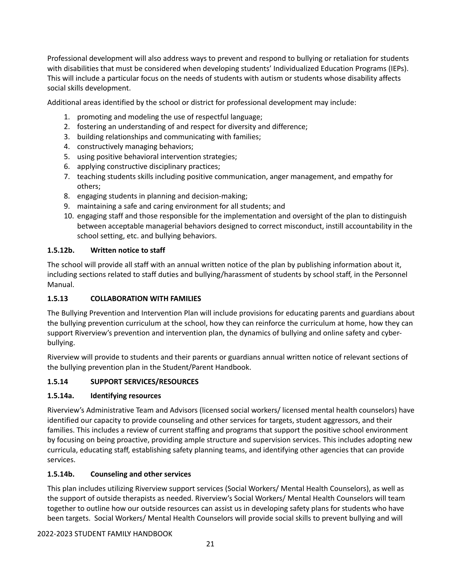Professional development will also address ways to prevent and respond to bullying or retaliation for students with disabilities that must be considered when developing students' Individualized Education Programs (IEPs). This will include a particular focus on the needs of students with autism or students whose disability affects social skills development.

Additional areas identified by the school or district for professional development may include:

- 1. promoting and modeling the use of respectful language;
- 2. fostering an understanding of and respect for diversity and difference;
- 3. building relationships and communicating with families;
- 4. constructively managing behaviors;
- 5. using positive behavioral intervention strategies;
- 6. applying constructive disciplinary practices;
- 7. teaching students skills including positive communication, anger management, and empathy for others;
- 8. engaging students in planning and decision‐making;
- 9. maintaining a safe and caring environment for all students; and
- 10. engaging staff and those responsible for the implementation and oversight of the plan to distinguish between acceptable managerial behaviors designed to correct misconduct, instill accountability in the school setting, etc. and bullying behaviors.

#### **1.5.12b. Written notice to staff**

The school will provide all staff with an annual written notice of the plan by publishing information about it, including sections related to staff duties and bullying/harassment of students by school staff, in the Personnel Manual.

#### **1.5.13 COLLABORATION WITH FAMILIES**

The Bullying Prevention and Intervention Plan will include provisions for educating parents and guardians about the bullying prevention curriculum at the school, how they can reinforce the curriculum at home, how they can support Riverview's prevention and intervention plan, the dynamics of bullying and online safety and cyber‐ bullying.

Riverview will provide to students and their parents or guardians annual written notice of relevant sections of the bullying prevention plan in the Student/Parent Handbook.

#### **1.5.14 SUPPORT SERVICES/RESOURCES**

#### **1.5.14a. Identifying resources**

Riverview's Administrative Team and Advisors (licensed social workers/ licensed mental health counselors) have identified our capacity to provide counseling and other services for targets, student aggressors, and their families. This includes a review of current staffing and programs that support the positive school environment by focusing on being proactive, providing ample structure and supervision services. This includes adopting new curricula, educating staff, establishing safety planning teams, and identifying other agencies that can provide services.

#### **1.5.14b. Counseling and other services**

This plan includes utilizing Riverview support services (Social Workers/ Mental Health Counselors), as well as the support of outside therapists as needed. Riverview's Social Workers/ Mental Health Counselors will team together to outline how our outside resources can assist us in developing safety plans for students who have been targets. Social Workers/ Mental Health Counselors will provide social skills to prevent bullying and will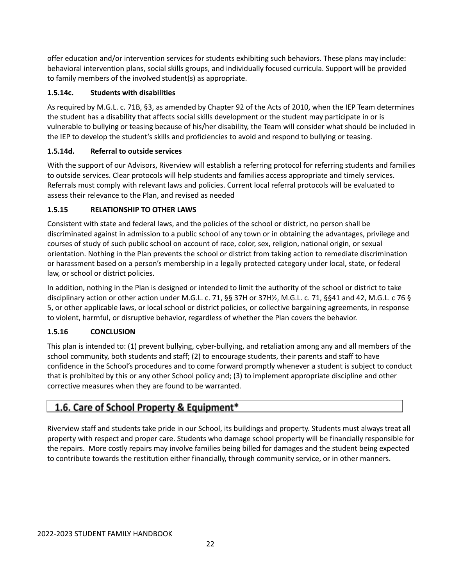offer education and/or intervention services for students exhibiting such behaviors. These plans may include: behavioral intervention plans, social skills groups, and individually focused curricula. Support will be provided to family members of the involved student(s) as appropriate.

#### **1.5.14c. Students with disabilities**

As required by M.G.L. c. 71B, §3, as amended by Chapter 92 of the Acts of 2010, when the IEP Team determines the student has a disability that affects social skills development or the student may participate in or is vulnerable to bullying or teasing because of his/her disability, the Team will consider what should be included in the IEP to develop the student's skills and proficiencies to avoid and respond to bullying or teasing.

#### **1.5.14d. Referral to outside services**

With the support of our Advisors, Riverview will establish a referring protocol for referring students and families to outside services. Clear protocols will help students and families access appropriate and timely services. Referrals must comply with relevant laws and policies. Current local referral protocols will be evaluated to assess their relevance to the Plan, and revised as needed

#### **1.5.15 RELATIONSHIP TO OTHER LAWS**

Consistent with state and federal laws, and the policies of the school or district, no person shall be discriminated against in admission to a public school of any town or in obtaining the advantages, privilege and courses of study of such public school on account of race, color, sex, religion, national origin, or sexual orientation. Nothing in the Plan prevents the school or district from taking action to remediate discrimination or harassment based on a person's membership in a legally protected category under local, state, or federal law, or school or district policies.

In addition, nothing in the Plan is designed or intended to limit the authority of the school or district to take disciplinary action or other action under M.G.L. c. 71, §§ 37H or 37H½, M.G.L. c. 71, §§41 and 42, M.G.L. c 76 § 5, or other applicable laws, or local school or district policies, or collective bargaining agreements, in response to violent, harmful, or disruptive behavior, regardless of whether the Plan covers the behavior.

#### **1.5.16 CONCLUSION**

This plan is intended to: (1) prevent bullying, cyber‐bullying, and retaliation among any and all members of the school community, both students and staff; (2) to encourage students, their parents and staff to have confidence in the School's procedures and to come forward promptly whenever a student is subject to conduct that is prohibited by this or any other School policy and; (3) to implement appropriate discipline and other corrective measures when they are found to be warranted.

### 1.6. Care of School Property & Equipment\*

Riverview staff and students take pride in our School, its buildings and property. Students must always treat all property with respect and proper care. Students who damage school property will be financially responsible for the repairs. More costly repairs may involve families being billed for damages and the student being expected to contribute towards the restitution either financially, through community service, or in other manners.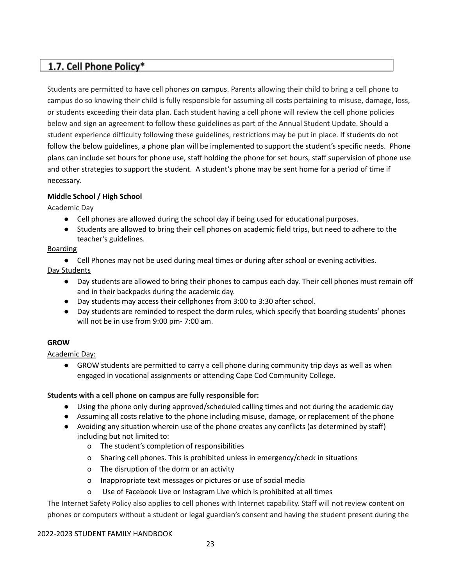### 1.7. Cell Phone Policy\*

Students are permitted to have cell phones on campus. Parents allowing their child to bring a cell phone to campus do so knowing their child is fully responsible for assuming all costs pertaining to misuse, damage, loss, or students exceeding their data plan. Each student having a cell phone will review the cell phone policies below and sign an agreement to follow these guidelines as part of the Annual Student Update. Should a student experience difficulty following these guidelines, restrictions may be put in place. If students do not follow the below guidelines, a phone plan will be implemented to support the student's specific needs. Phone plans can include set hours for phone use, staff holding the phone for set hours, staff supervision of phone use and other strategies to support the student. A student's phone may be sent home for a period of time if necessary.

#### **Middle School / High School**

Academic Day

- Cell phones are allowed during the school day if being used for educational purposes.
- Students are allowed to bring their cell phones on academic field trips, but need to adhere to the teacher's guidelines.

#### Boarding

● Cell Phones may not be used during meal times or during after school or evening activities.

Day Students

- Day students are allowed to bring their phones to campus each day. Their cell phones must remain off and in their backpacks during the academic day.
- Day students may access their cellphones from 3:00 to 3:30 after school.
- Day students are reminded to respect the dorm rules, which specify that boarding students' phones will not be in use from 9:00 pm- 7:00 am.

#### **GROW**

Academic Day:

● GROW students are permitted to carry a cell phone during community trip days as well as when engaged in vocational assignments or attending Cape Cod Community College.

#### **Students with a cell phone on campus are fully responsible for:**

- Using the phone only during approved/scheduled calling times and not during the academic day
- Assuming all costs relative to the phone including misuse, damage, or replacement of the phone
- Avoiding any situation wherein use of the phone creates any conflicts (as determined by staff) including but not limited to:
	- o The student's completion of responsibilities
	- o Sharing cell phones. This is prohibited unless in emergency/check in situations
	- o The disruption of the dorm or an activity
	- o Inappropriate text messages or pictures or use of social media
	- o Use of Facebook Live or Instagram Live which is prohibited at all times

The Internet Safety Policy also applies to cell phones with Internet capability. Staff will not review content on phones or computers without a student or legal guardian's consent and having the student present during the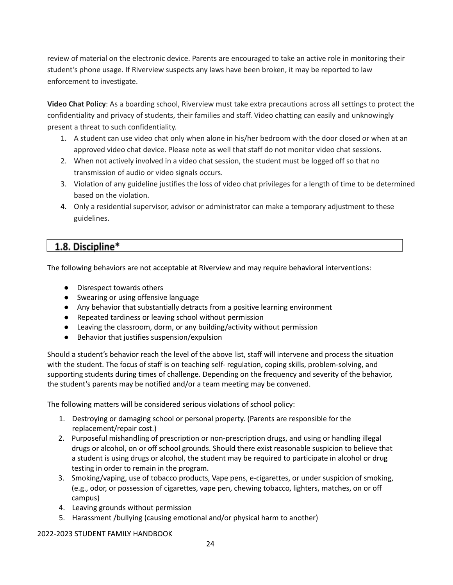review of material on the electronic device. Parents are encouraged to take an active role in monitoring their student's phone usage. If Riverview suspects any laws have been broken, it may be reported to law enforcement to investigate.

**Video Chat Policy**: As a boarding school, Riverview must take extra precautions across all settings to protect the confidentiality and privacy of students, their families and staff. Video chatting can easily and unknowingly present a threat to such confidentiality.

- 1. A student can use video chat only when alone in his/her bedroom with the door closed or when at an approved video chat device. Please note as well that staff do not monitor video chat sessions.
- 2. When not actively involved in a video chat session, the student must be logged off so that no transmission of audio or video signals occurs.
- 3. Violation of any guideline justifies the loss of video chat privileges for a length of time to be determined based on the violation.
- 4. Only a residential supervisor, advisor or administrator can make a temporary adjustment to these guidelines.

### 1.8. Discipline\*

The following behaviors are not acceptable at Riverview and may require behavioral interventions:

- Disrespect towards others
- Swearing or using offensive language
- Any behavior that substantially detracts from a positive learning environment
- Repeated tardiness or leaving school without permission
- Leaving the classroom, dorm, or any building/activity without permission
- Behavior that justifies suspension/expulsion

Should a student's behavior reach the level of the above list, staff will intervene and process the situation with the student. The focus of staff is on teaching self- regulation, coping skills, problem-solving, and supporting students during times of challenge. Depending on the frequency and severity of the behavior, the student's parents may be notified and/or a team meeting may be convened.

The following matters will be considered serious violations of school policy:

- 1. Destroying or damaging school or personal property. (Parents are responsible for the replacement/repair cost.)
- 2. Purposeful mishandling of prescription or non‐prescription drugs, and using or handling illegal drugs or alcohol, on or off school grounds. Should there exist reasonable suspicion to believe that a student is using drugs or alcohol, the student may be required to participate in alcohol or drug testing in order to remain in the program.
- 3. Smoking/vaping, use of tobacco products, Vape pens, e‐cigarettes, or under suspicion of smoking, (e.g., odor, or possession of cigarettes, vape pen, chewing tobacco, lighters, matches, on or off campus)
- 4. Leaving grounds without permission
- 5. Harassment /bullying (causing emotional and/or physical harm to another)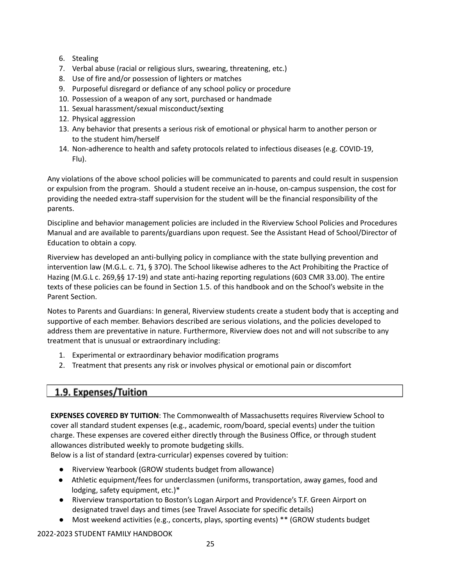- 6. Stealing
- 7. Verbal abuse (racial or religious slurs, swearing, threatening, etc.)
- 8. Use of fire and/or possession of lighters or matches
- 9. Purposeful disregard or defiance of any school policy or procedure
- 10. Possession of a weapon of any sort, purchased or handmade
- 11. Sexual harassment/sexual misconduct/sexting
- 12. Physical aggression
- 13. Any behavior that presents a serious risk of emotional or physical harm to another person or to the student him/herself
- 14. Non-adherence to health and safety protocols related to infectious diseases (e.g. COVID-19, Flu).

Any violations of the above school policies will be communicated to parents and could result in suspension or expulsion from the program. Should a student receive an in‐house, on‐campus suspension, the cost for providing the needed extra‐staff supervision for the student will be the financial responsibility of the parents.

Discipline and behavior management policies are included in the Riverview School Policies and Procedures Manual and are available to parents/guardians upon request. See the Assistant Head of School/Director of Education to obtain a copy.

Riverview has developed an anti‐bullying policy in compliance with the state bullying prevention and intervention law (M.G.L. c. 71, § 37O). The School likewise adheres to the Act Prohibiting the Practice of Hazing (M.G.L c. 269,§§ 17‐19) and state anti‐hazing reporting regulations (603 CMR 33.00). The entire texts of these policies can be found in Section 1.5. of this handbook and on the School's website in the Parent Section.

Notes to Parents and Guardians: In general, Riverview students create a student body that is accepting and supportive of each member. Behaviors described are serious violations, and the policies developed to address them are preventative in nature. Furthermore, Riverview does not and will not subscribe to any treatment that is unusual or extraordinary including:

- 1. Experimental or extraordinary behavior modification programs
- 2. Treatment that presents any risk or involves physical or emotional pain or discomfort

### 1.9. Expenses/Tuition

**EXPENSES COVERED BY TUITION**: The Commonwealth of Massachusetts requires Riverview School to cover all standard student expenses (e.g., academic, room/board, special events) under the tuition charge. These expenses are covered either directly through the Business Office, or through student allowances distributed weekly to promote budgeting skills.

Below is a list of standard (extra‐curricular) expenses covered by tuition:

- Riverview Yearbook (GROW students budget from allowance)
- Athletic equipment/fees for underclassmen (uniforms, transportation, away games, food and lodging, safety equipment, etc.)\*
- Riverview transportation to Boston's Logan Airport and Providence's T.F. Green Airport on designated travel days and times (see Travel Associate for specific details)
- Most weekend activities (e.g., concerts, plays, sporting events) \*\* (GROW students budget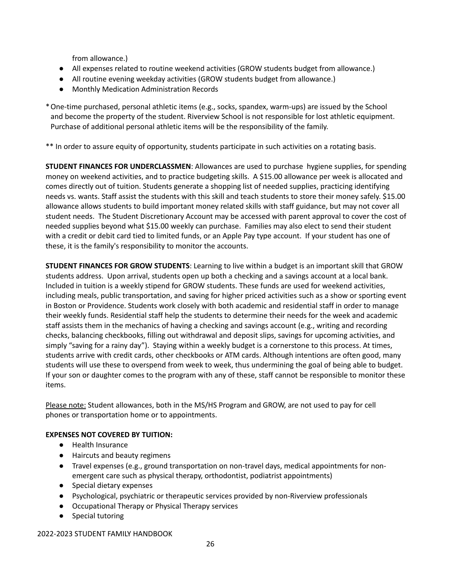from allowance.)

- All expenses related to routine weekend activities (GROW students budget from allowance.)
- All routine evening weekday activities (GROW students budget from allowance.)
- **Monthly Medication Administration Records**

\*One‐time purchased, personal athletic items (e.g., socks, spandex, warm‐ups) are issued by the School and become the property of the student. Riverview School is not responsible for lost athletic equipment. Purchase of additional personal athletic items will be the responsibility of the family.

\*\* In order to assure equity of opportunity, students participate in such activities on a rotating basis.

**STUDENT FINANCES FOR UNDERCLASSMEN**: Allowances are used to purchase hygiene supplies, for spending money on weekend activities, and to practice budgeting skills. A \$15.00 allowance per week is allocated and comes directly out of tuition. Students generate a shopping list of needed supplies, practicing identifying needs vs. wants. Staff assist the students with this skill and teach students to store their money safely. \$15.00 allowance allows students to build important money related skills with staff guidance, but may not cover all student needs. The Student Discretionary Account may be accessed with parent approval to cover the cost of needed supplies beyond what \$15.00 weekly can purchase. Families may also elect to send their student with a credit or debit card tied to limited funds, or an Apple Pay type account. If your student has one of these, it is the family's responsibility to monitor the accounts.

**STUDENT FINANCES FOR GROW STUDENTS**: Learning to live within a budget is an important skill that GROW students address. Upon arrival, students open up both a checking and a savings account at a local bank. Included in tuition is a weekly stipend for GROW students. These funds are used for weekend activities, including meals, public transportation, and saving for higher priced activities such as a show or sporting event in Boston or Providence. Students work closely with both academic and residential staff in order to manage their weekly funds. Residential staff help the students to determine their needs for the week and academic staff assists them in the mechanics of having a checking and savings account (e.g., writing and recording checks, balancing checkbooks, filling out withdrawal and deposit slips, savings for upcoming activities, and simply "saving for a rainy day"). Staying within a weekly budget is a cornerstone to this process. At times, students arrive with credit cards, other checkbooks or ATM cards. Although intentions are often good, many students will use these to overspend from week to week, thus undermining the goal of being able to budget. If your son or daughter comes to the program with any of these, staff cannot be responsible to monitor these items.

Please note: Student allowances, both in the MS/HS Program and GROW, are not used to pay for cell phones or transportation home or to appointments.

#### **EXPENSES NOT COVERED BY TUITION:**

- Health Insurance
- Haircuts and beauty regimens
- Travel expenses (e.g., ground transportation on non-travel days, medical appointments for nonemergent care such as physical therapy, orthodontist, podiatrist appointments)
- Special dietary expenses
- Psychological, psychiatric or therapeutic services provided by non-Riverview professionals
- Occupational Therapy or Physical Therapy services
- Special tutoring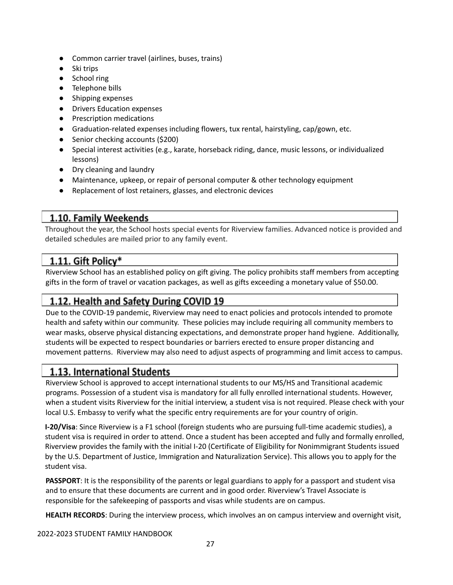- Common carrier travel (airlines, buses, trains)
- Ski trips
- School ring
- Telephone bills
- Shipping expenses
- Drivers Education expenses
- Prescription medications
- Graduation-related expenses including flowers, tux rental, hairstyling, cap/gown, etc.
- Senior checking accounts (\$200)
- Special interest activities (e.g., karate, horseback riding, dance, music lessons, or individualized lessons)
- Dry cleaning and laundry
- Maintenance, upkeep, or repair of personal computer & other technology equipment
- Replacement of lost retainers, glasses, and electronic devices

### 1.10. Family Weekends

Throughout the year, the School hosts special events for Riverview families. Advanced notice is provided and detailed schedules are mailed prior to any family event.

### 1.11. Gift Policy\*

Riverview School has an established policy on gift giving. The policy prohibits staff members from accepting gifts in the form of travel or vacation packages, as well as gifts exceeding a monetary value of \$50.00.

### 1.12. Health and Safety During COVID 19

Due to the COVID-19 pandemic, Riverview may need to enact policies and protocols intended to promote health and safety within our community. These policies may include requiring all community members to wear masks, observe physical distancing expectations, and demonstrate proper hand hygiene. Additionally, students will be expected to respect boundaries or barriers erected to ensure proper distancing and movement patterns. Riverview may also need to adjust aspects of programming and limit access to campus.

### 1.13. International Students

Riverview School is approved to accept international students to our MS/HS and Transitional academic programs. Possession of a student visa is mandatory for all fully enrolled international students. However, when a student visits Riverview for the initial interview, a student visa is not required. Please check with your local U.S. Embassy to verify what the specific entry requirements are for your country of origin.

**I‐20/Visa**: Since Riverview is a F1 school (foreign students who are pursuing full‐time academic studies), a student visa is required in order to attend. Once a student has been accepted and fully and formally enrolled, Riverview provides the family with the initial I‐20 (Certificate of Eligibility for Nonimmigrant Students issued by the U.S. Department of Justice, Immigration and Naturalization Service). This allows you to apply for the student visa.

**PASSPORT:** It is the responsibility of the parents or legal guardians to apply for a passport and student visa and to ensure that these documents are current and in good order. Riverview's Travel Associate is responsible for the safekeeping of passports and visas while students are on campus.

**HEALTH RECORDS**: During the interview process, which involves an on campus interview and overnight visit,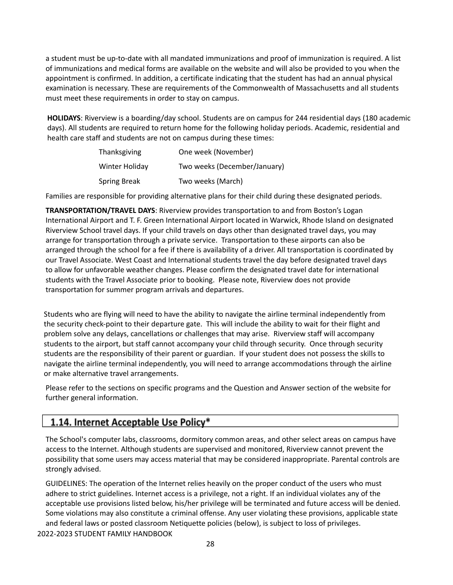a student must be up-to-date with all mandated immunizations and proof of immunization is required. A list of immunizations and medical forms are available on the website and will also be provided to you when the appointment is confirmed. In addition, a certificate indicating that the student has had an annual physical examination is necessary. These are requirements of the Commonwealth of Massachusetts and all students must meet these requirements in order to stay on campus.

**HOLIDAYS**: Riverview is a boarding/day school. Students are on campus for 244 residential days (180 academic days). All students are required to return home for the following holiday periods. Academic, residential and health care staff and students are not on campus during these times:

| Thanksgiving        | One week (November)          |
|---------------------|------------------------------|
| Winter Holiday      | Two weeks (December/January) |
| <b>Spring Break</b> | Two weeks (March)            |

Families are responsible for providing alternative plans for their child during these designated periods.

**TRANSPORTATION/TRAVEL DAYS**: Riverview provides transportation to and from Boston's Logan International Airport and T. F. Green International Airport located in Warwick, Rhode Island on designated Riverview School travel days. If your child travels on days other than designated travel days, you may arrange for transportation through a private service. Transportation to these airports can also be arranged through the school for a fee if there is availability of a driver. All transportation is coordinated by our Travel Associate. West Coast and International students travel the day before designated travel days to allow for unfavorable weather changes. Please confirm the designated travel date for international students with the Travel Associate prior to booking. Please note, Riverview does not provide transportation for summer program arrivals and departures.

Students who are flying will need to have the ability to navigate the airline terminal independently from the security check-point to their departure gate. This will include the ability to wait for their flight and problem solve any delays, cancellations or challenges that may arise. Riverview staff will accompany students to the airport, but staff cannot accompany your child through security. Once through security students are the responsibility of their parent or guardian. If your student does not possess the skills to navigate the airline terminal independently, you will need to arrange accommodations through the airline or make alternative travel arrangements.

Please refer to the sections on specific programs and the Question and Answer section of the website for further general information.

### 1.14. Internet Acceptable Use Policy\*

The School's computer labs, classrooms, dormitory common areas, and other select areas on campus have access to the Internet. Although students are supervised and monitored, Riverview cannot prevent the possibility that some users may access material that may be considered inappropriate. Parental controls are strongly advised.

GUIDELINES: The operation of the Internet relies heavily on the proper conduct of the users who must adhere to strict guidelines. Internet access is a privilege, not a right. If an individual violates any of the acceptable use provisions listed below, his/her privilege will be terminated and future access will be denied. Some violations may also constitute a criminal offense. Any user violating these provisions, applicable state and federal laws or posted classroom Netiquette policies (below), is subject to loss of privileges.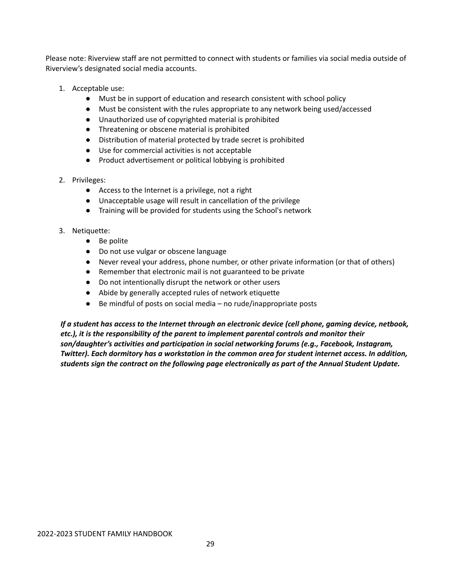Please note: Riverview staff are not permitted to connect with students or families via social media outside of Riverview's designated social media accounts.

- 1. Acceptable use:
	- Must be in support of education and research consistent with school policy
	- Must be consistent with the rules appropriate to any network being used/accessed
	- Unauthorized use of copyrighted material is prohibited
	- Threatening or obscene material is prohibited
	- Distribution of material protected by trade secret is prohibited
	- Use for commercial activities is not acceptable
	- Product advertisement or political lobbying is prohibited
- 2. Privileges:
	- Access to the Internet is a privilege, not a right
	- Unacceptable usage will result in cancellation of the privilege
	- Training will be provided for students using the School's network
- 3. Netiquette:
	- Be polite
	- Do not use vulgar or obscene language
	- Never reveal your address, phone number, or other private information (or that of others)
	- Remember that electronic mail is not guaranteed to be private
	- Do not intentionally disrupt the network or other users
	- Abide by generally accepted rules of network etiquette
	- Be mindful of posts on social media no rude/inappropriate posts

*If a student has access to the Internet through an electronic device (cell phone, gaming device, netbook, etc.), it is the responsibility of the parent to implement parental controls and monitor their son/daughter's activities and participation in social networking forums (e.g., Facebook, Instagram, Twitter). Each dormitory has a workstation in the common area for student internet access. In addition, students sign the contract on the following page electronically as part of the Annual Student Update.*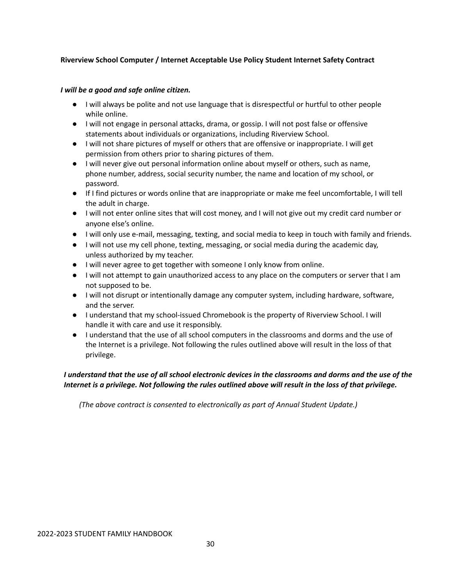#### **Riverview School Computer / Internet Acceptable Use Policy Student Internet Safety Contract**

#### *I will be a good and safe online citizen.*

- I will always be polite and not use language that is disrespectful or hurtful to other people while online.
- I will not engage in personal attacks, drama, or gossip. I will not post false or offensive statements about individuals or organizations, including Riverview School.
- I will not share pictures of myself or others that are offensive or inappropriate. I will get permission from others prior to sharing pictures of them.
- I will never give out personal information online about myself or others, such as name, phone number, address, social security number, the name and location of my school, or password.
- If I find pictures or words online that are inappropriate or make me feel uncomfortable, I will tell the adult in charge.
- I will not enter online sites that will cost money, and I will not give out my credit card number or anyone else's online.
- I will only use e-mail, messaging, texting, and social media to keep in touch with family and friends.
- I will not use my cell phone, texting, messaging, or social media during the academic day, unless authorized by my teacher.
- I will never agree to get together with someone I only know from online.
- I will not attempt to gain unauthorized access to any place on the computers or server that I am not supposed to be.
- I will not disrupt or intentionally damage any computer system, including hardware, software, and the server.
- I understand that my school-issued Chromebook is the property of Riverview School. I will handle it with care and use it responsibly.
- I understand that the use of all school computers in the classrooms and dorms and the use of the Internet is a privilege. Not following the rules outlined above will result in the loss of that privilege.

#### I understand that the use of all school electronic devices in the classrooms and dorms and the use of the Internet is a privilege. Not following the rules outlined above will result in the loss of that privilege.

*(The above contract is consented to electronically as part of Annual Student Update.)*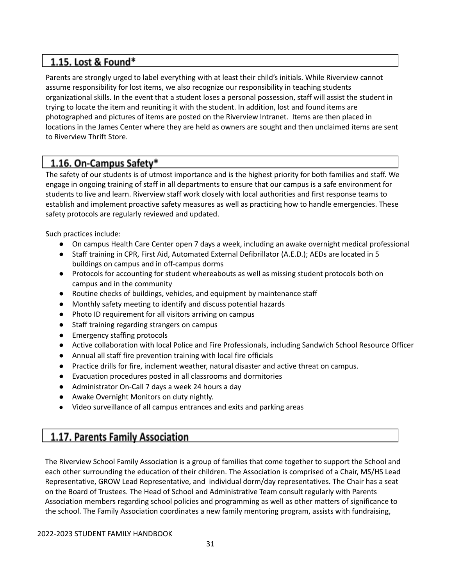### 1.15. Lost & Found\*

Parents are strongly urged to label everything with at least their child's initials. While Riverview cannot assume responsibility for lost items, we also recognize our responsibility in teaching students organizational skills. In the event that a student loses a personal possession, staff will assist the student in trying to locate the item and reuniting it with the student. In addition, lost and found items are photographed and pictures of items are posted on the Riverview Intranet. Items are then placed in locations in the James Center where they are held as owners are sought and then unclaimed items are sent to Riverview Thrift Store.

### 1.16. On-Campus Safety\*

The safety of our students is of utmost importance and is the highest priority for both families and staff. We engage in ongoing training of staff in all departments to ensure that our campus is a safe environment for students to live and learn. Riverview staff work closely with local authorities and first response teams to establish and implement proactive safety measures as well as practicing how to handle emergencies. These safety protocols are regularly reviewed and updated.

Such practices include:

- On campus Health Care Center open 7 days a week, including an awake overnight medical professional
- Staff training in CPR, First Aid, Automated External Defibrillator (A.E.D.); AEDs are located in 5 buildings on campus and in off‐campus dorms
- Protocols for accounting for student whereabouts as well as missing student protocols both on campus and in the community
- Routine checks of buildings, vehicles, and equipment by maintenance staff
- Monthly safety meeting to identify and discuss potential hazards
- Photo ID requirement for all visitors arriving on campus
- Staff training regarding strangers on campus
- Emergency staffing protocols
- Active collaboration with local Police and Fire Professionals, including Sandwich School Resource Officer
- Annual all staff fire prevention training with local fire officials
- Practice drills for fire, inclement weather, natural disaster and active threat on campus.
- Evacuation procedures posted in all classrooms and dormitories
- Administrator On-Call 7 days a week 24 hours a day
- Awake Overnight Monitors on duty nightly.
- Video surveillance of all campus entrances and exits and parking areas

### 1.17. Parents Family Association

The Riverview School Family Association is a group of families that come together to support the School and each other surrounding the education of their children. The Association is comprised of a Chair, MS/HS Lead Representative, GROW Lead Representative, and individual dorm/day representatives. The Chair has a seat on the Board of Trustees. The Head of School and Administrative Team consult regularly with Parents Association members regarding school policies and programming as well as other matters of significance to the school. The Family Association coordinates a new family mentoring program, assists with fundraising,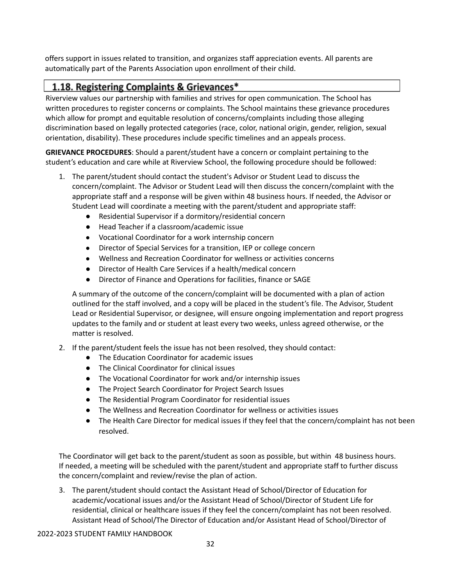offers support in issues related to transition, and organizes staff appreciation events. All parents are automatically part of the Parents Association upon enrollment of their child.

### 1.18. Registering Complaints & Grievances\*

Riverview values our partnership with families and strives for open communication. The School has written procedures to register concerns or complaints. The School maintains these grievance procedures which allow for prompt and equitable resolution of concerns/complaints including those alleging discrimination based on legally protected categories (race, color, national origin, gender, religion, sexual orientation, disability). These procedures include specific timelines and an appeals process.

**GRIEVANCE PROCEDURES**: Should a parent/student have a concern or complaint pertaining to the student's education and care while at Riverview School, the following procedure should be followed:

- 1. The parent/student should contact the student's Advisor or Student Lead to discuss the concern/complaint. The Advisor or Student Lead will then discuss the concern/complaint with the appropriate staff and a response will be given within 48 business hours. If needed, the Advisor or Student Lead will coordinate a meeting with the parent/student and appropriate staff:
	- Residential Supervisor if a dormitory/residential concern
	- Head Teacher if a classroom/academic issue
	- Vocational Coordinator for a work internship concern
	- Director of Special Services for a transition, IEP or college concern
	- Wellness and Recreation Coordinator for wellness or activities concerns
	- Director of Health Care Services if a health/medical concern
	- Director of Finance and Operations for facilities, finance or SAGE

A summary of the outcome of the concern/complaint will be documented with a plan of action outlined for the staff involved, and a copy will be placed in the student's file. The Advisor, Student Lead or Residential Supervisor, or designee, will ensure ongoing implementation and report progress updates to the family and or student at least every two weeks, unless agreed otherwise, or the matter is resolved.

- 2. If the parent/student feels the issue has not been resolved, they should contact:
	- The Education Coordinator for academic issues
	- The Clinical Coordinator for clinical issues
	- The Vocational Coordinator for work and/or internship issues
	- The Project Search Coordinator for Project Search Issues
	- The Residential Program Coordinator for residential issues
	- The Wellness and Recreation Coordinator for wellness or activities issues
	- The Health Care Director for medical issues if they feel that the concern/complaint has not been resolved.

The Coordinator will get back to the parent/student as soon as possible, but within 48 business hours. If needed, a meeting will be scheduled with the parent/student and appropriate staff to further discuss the concern/complaint and review/revise the plan of action.

3. The parent/student should contact the Assistant Head of School/Director of Education for academic/vocational issues and/or the Assistant Head of School/Director of Student Life for residential, clinical or healthcare issues if they feel the concern/complaint has not been resolved. Assistant Head of School/The Director of Education and/or Assistant Head of School/Director of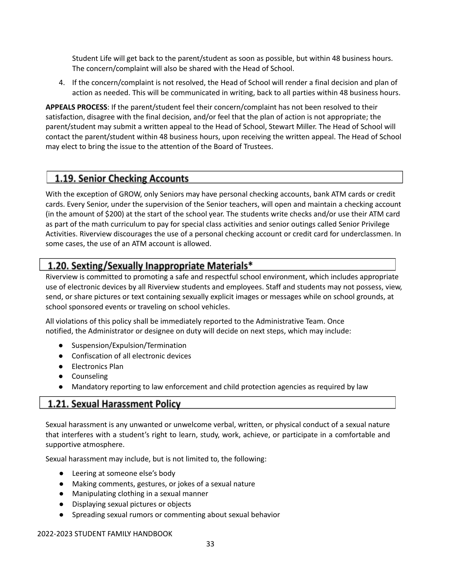Student Life will get back to the parent/student as soon as possible, but within 48 business hours. The concern/complaint will also be shared with the Head of School.

4. If the concern/complaint is not resolved, the Head of School will render a final decision and plan of action as needed. This will be communicated in writing, back to all parties within 48 business hours.

**APPEALS PROCESS**: If the parent/student feel their concern/complaint has not been resolved to their satisfaction, disagree with the final decision, and/or feel that the plan of action is not appropriate; the parent/student may submit a written appeal to the Head of School, Stewart Miller. The Head of School will contact the parent/student within 48 business hours, upon receiving the written appeal. The Head of School may elect to bring the issue to the attention of the Board of Trustees.

### 1.19. Senior Checking Accounts

With the exception of GROW, only Seniors may have personal checking accounts, bank ATM cards or credit cards. Every Senior, under the supervision of the Senior teachers, will open and maintain a checking account (in the amount of \$200) at the start of the school year. The students write checks and/or use their ATM card as part of the math curriculum to pay for special class activities and senior outings called Senior Privilege Activities. Riverview discourages the use of a personal checking account or credit card for underclassmen. In some cases, the use of an ATM account is allowed.

### 1.20. Sexting/Sexually Inappropriate Materials\*

Riverview is committed to promoting a safe and respectful school environment, which includes appropriate use of electronic devices by all Riverview students and employees. Staff and students may not possess, view, send, or share pictures or text containing sexually explicit images or messages while on school grounds, at school sponsored events or traveling on school vehicles.

All violations of this policy shall be immediately reported to the Administrative Team. Once notified, the Administrator or designee on duty will decide on next steps, which may include:

- Suspension/Expulsion/Termination
- Confiscation of all electronic devices
- Electronics Plan
- Counseling
- Mandatory reporting to law enforcement and child protection agencies as required by law

### **1.21. Sexual Harassment Policy**

Sexual harassment is any unwanted or unwelcome verbal, written, or physical conduct of a sexual nature that interferes with a student's right to learn, study, work, achieve, or participate in a comfortable and supportive atmosphere.

Sexual harassment may include, but is not limited to, the following:

- Leering at someone else's body
- Making comments, gestures, or jokes of a sexual nature
- Manipulating clothing in a sexual manner
- Displaying sexual pictures or objects
- Spreading sexual rumors or commenting about sexual behavior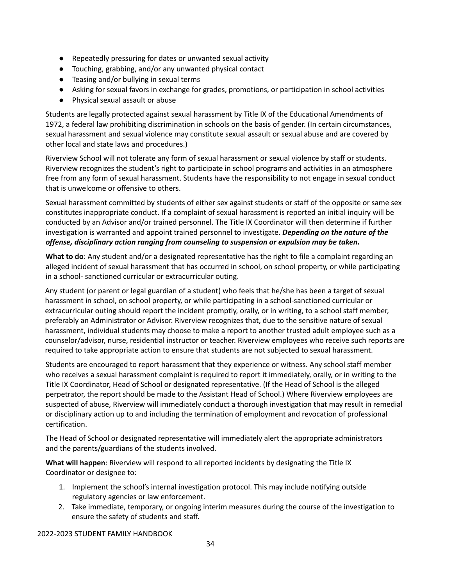- Repeatedly pressuring for dates or unwanted sexual activity
- Touching, grabbing, and/or any unwanted physical contact
- Teasing and/or bullying in sexual terms
- Asking for sexual favors in exchange for grades, promotions, or participation in school activities
- Physical sexual assault or abuse

Students are legally protected against sexual harassment by Title IX of the Educational Amendments of 1972, a federal law prohibiting discrimination in schools on the basis of gender. (In certain circumstances, sexual harassment and sexual violence may constitute sexual assault or sexual abuse and are covered by other local and state laws and procedures.)

Riverview School will not tolerate any form of sexual harassment or sexual violence by staff or students. Riverview recognizes the student's right to participate in school programs and activities in an atmosphere free from any form of sexual harassment. Students have the responsibility to not engage in sexual conduct that is unwelcome or offensive to others.

Sexual harassment committed by students of either sex against students or staff of the opposite or same sex constitutes inappropriate conduct. If a complaint of sexual harassment is reported an initial inquiry will be conducted by an Advisor and/or trained personnel. The Title IX Coordinator will then determine if further investigation is warranted and appoint trained personnel to investigate. *Depending on the nature of the offense, disciplinary action ranging from counseling to suspension or expulsion may be taken.*

**What to do**: Any student and/or a designated representative has the right to file a complaint regarding an alleged incident of sexual harassment that has occurred in school, on school property, or while participating in a school‐ sanctioned curricular or extracurricular outing.

Any student (or parent or legal guardian of a student) who feels that he/she has been a target of sexual harassment in school, on school property, or while participating in a school‐sanctioned curricular or extracurricular outing should report the incident promptly, orally, or in writing, to a school staff member, preferably an Administrator or Advisor. Riverview recognizes that, due to the sensitive nature of sexual harassment, individual students may choose to make a report to another trusted adult employee such as a counselor/advisor, nurse, residential instructor or teacher. Riverview employees who receive such reports are required to take appropriate action to ensure that students are not subjected to sexual harassment.

Students are encouraged to report harassment that they experience or witness. Any school staff member who receives a sexual harassment complaint is required to report it immediately, orally, or in writing to the Title IX Coordinator, Head of School or designated representative. (If the Head of School is the alleged perpetrator, the report should be made to the Assistant Head of School.) Where Riverview employees are suspected of abuse, Riverview will immediately conduct a thorough investigation that may result in remedial or disciplinary action up to and including the termination of employment and revocation of professional certification.

The Head of School or designated representative will immediately alert the appropriate administrators and the parents/guardians of the students involved.

**What will happen**: Riverview will respond to all reported incidents by designating the Title IX Coordinator or designee to:

- 1. Implement the school's internal investigation protocol. This may include notifying outside regulatory agencies or law enforcement.
- 2. Take immediate, temporary, or ongoing interim measures during the course of the investigation to ensure the safety of students and staff.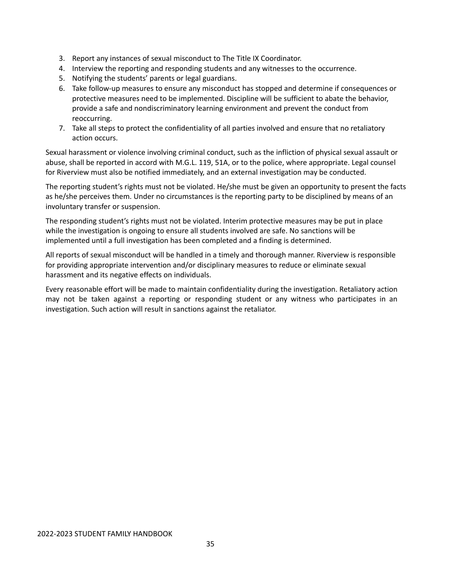- 3. Report any instances of sexual misconduct to The Title IX Coordinator.
- 4. Interview the reporting and responding students and any witnesses to the occurrence.
- 5. Notifying the students' parents or legal guardians.
- 6. Take follow‐up measures to ensure any misconduct has stopped and determine if consequences or protective measures need to be implemented. Discipline will be sufficient to abate the behavior, provide a safe and nondiscriminatory learning environment and prevent the conduct from reoccurring.
- 7. Take all steps to protect the confidentiality of all parties involved and ensure that no retaliatory action occurs.

Sexual harassment or violence involving criminal conduct, such as the infliction of physical sexual assault or abuse, shall be reported in accord with M.G.L. 119, 51A, or to the police, where appropriate. Legal counsel for Riverview must also be notified immediately, and an external investigation may be conducted.

The reporting student's rights must not be violated. He/she must be given an opportunity to present the facts as he/she perceives them. Under no circumstances is the reporting party to be disciplined by means of an involuntary transfer or suspension.

The responding student's rights must not be violated. Interim protective measures may be put in place while the investigation is ongoing to ensure all students involved are safe. No sanctions will be implemented until a full investigation has been completed and a finding is determined.

All reports of sexual misconduct will be handled in a timely and thorough manner. Riverview is responsible for providing appropriate intervention and/or disciplinary measures to reduce or eliminate sexual harassment and its negative effects on individuals.

Every reasonable effort will be made to maintain confidentiality during the investigation. Retaliatory action may not be taken against a reporting or responding student or any witness who participates in an investigation. Such action will result in sanctions against the retaliator.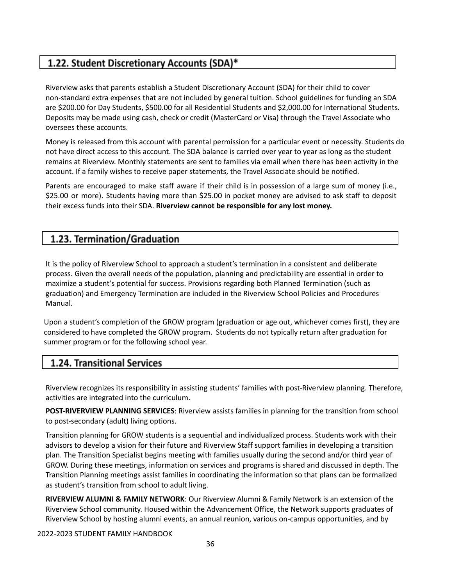### 1.22. Student Discretionary Accounts (SDA)\*

Riverview asks that parents establish a Student Discretionary Account (SDA) for their child to cover non‐standard extra expenses that are not included by general tuition. School guidelines for funding an SDA are \$200.00 for Day Students, \$500.00 for all Residential Students and \$2,000.00 for International Students. Deposits may be made using cash, check or credit (MasterCard or Visa) through the Travel Associate who oversees these accounts.

Money is released from this account with parental permission for a particular event or necessity. Students do not have direct access to this account. The SDA balance is carried over year to year as long as the student remains at Riverview. Monthly statements are sent to families via email when there has been activity in the account. If a family wishes to receive paper statements, the Travel Associate should be notified.

Parents are encouraged to make staff aware if their child is in possession of a large sum of money (i.e., \$25.00 or more). Students having more than \$25.00 in pocket money are advised to ask staff to deposit their excess funds into their SDA. **Riverview cannot be responsible for any lost money.**

### 1.23. Termination/Graduation

It is the policy of Riverview School to approach a student's termination in a consistent and deliberate process. Given the overall needs of the population, planning and predictability are essential in order to maximize a student's potential for success. Provisions regarding both Planned Termination (such as graduation) and Emergency Termination are included in the Riverview School Policies and Procedures Manual.

Upon a student's completion of the GROW program (graduation or age out, whichever comes first), they are considered to have completed the GROW program. Students do not typically return after graduation for summer program or for the following school year.

### 1.24. Transitional Services

Riverview recognizes its responsibility in assisting students' families with post-Riverview planning. Therefore, activities are integrated into the curriculum.

**POST‐RIVERVIEW PLANNING SERVICES**: Riverview assists families in planning for the transition from school to post‐secondary (adult) living options.

Transition planning for GROW students is a sequential and individualized process. Students work with their advisors to develop a vision for their future and Riverview Staff support families in developing a transition plan. The Transition Specialist begins meeting with families usually during the second and/or third year of GROW. During these meetings, information on services and programs is shared and discussed in depth. The Transition Planning meetings assist families in coordinating the information so that plans can be formalized as student's transition from school to adult living.

**RIVERVIEW ALUMNI & FAMILY NETWORK**: Our Riverview Alumni & Family Network is an extension of the Riverview School community. Housed within the Advancement Office, the Network supports graduates of Riverview School by hosting alumni events, an annual reunion, various on‐campus opportunities, and by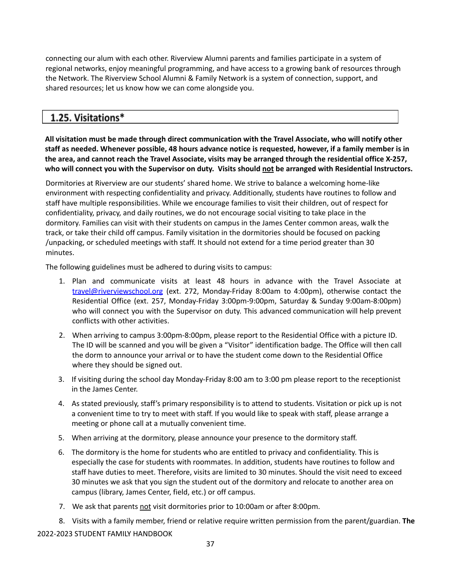connecting our alum with each other. Riverview Alumni parents and families participate in a system of regional networks, enjoy meaningful programming, and have access to a growing bank of resources through the Network. The Riverview School Alumni & Family Network is a system of connection, support, and shared resources; let us know how we can come alongside you.

# 1.25. Visitations\*

**All visitation must be made through direct communication with the Travel Associate, who will notify other** staff as needed. Whenever possible, 48 hours advance notice is requested, however, if a family member is in the area, and cannot reach the Travel Associate, visits may be arranged through the residential office X-257, who will connect you with the Supervisor on duty. Visits should not be arranged with Residential Instructors.

Dormitories at Riverview are our students' shared home. We strive to balance a welcoming home‐like environment with respecting confidentiality and privacy. Additionally, students have routines to follow and staff have multiple responsibilities. While we encourage families to visit their children, out of respect for confidentiality, privacy, and daily routines, we do not encourage social visiting to take place in the dormitory. Families can visit with their students on campus in the James Center common areas, walk the track, or take their child off campus. Family visitation in the dormitories should be focused on packing /unpacking, or scheduled meetings with staff. It should not extend for a time period greater than 30 minutes.

The following guidelines must be adhered to during visits to campus:

- 1. Plan and communicate visits at least 48 hours in advance with the Travel Associate at [travel@riverviewschool.org](mailto:travel@riverviewschool.org) (ext. 272, Monday‐Friday 8:00am to 4:00pm), otherwise contact the Residential Office (ext. 257, Monday‐Friday 3:00pm‐9:00pm, Saturday & Sunday 9:00am‐8:00pm) who will connect you with the Supervisor on duty. This advanced communication will help prevent conflicts with other activities.
- 2. When arriving to campus 3:00pm‐8:00pm, please report to the Residential Office with a picture ID. The ID will be scanned and you will be given a "Visitor" identification badge. The Office will then call the dorm to announce your arrival or to have the student come down to the Residential Office where they should be signed out.
- 3. If visiting during the school day Monday‐Friday 8:00 am to 3:00 pm please report to the receptionist in the James Center.
- 4. As stated previously, staff's primary responsibility is to attend to students. Visitation or pick up is not a convenient time to try to meet with staff. If you would like to speak with staff, please arrange a meeting or phone call at a mutually convenient time.
- 5. When arriving at the dormitory, please announce your presence to the dormitory staff.
- 6. The dormitory is the home for students who are entitled to privacy and confidentiality. This is especially the case for students with roommates. In addition, students have routines to follow and staff have duties to meet. Therefore, visits are limited to 30 minutes. Should the visit need to exceed 30 minutes we ask that you sign the student out of the dormitory and relocate to another area on campus (library, James Center, field, etc.) or off campus.
- 7. We ask that parents not visit dormitories prior to 10:00am or after 8:00pm.

8. Visits with a family member, friend or relative require written permission from the parent/guardian. **The** 2022-2023 STUDENT FAMILY HANDBOOK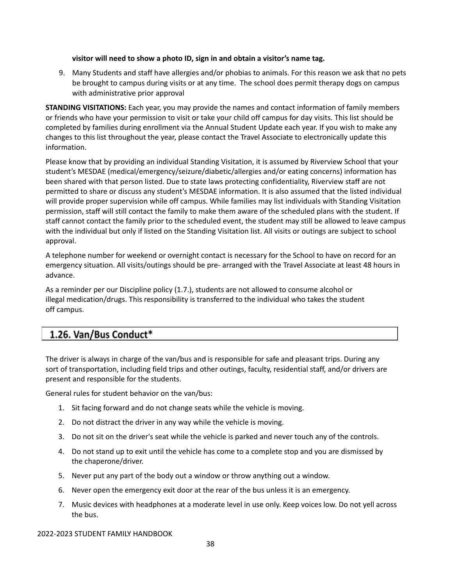### **visitor will need to show a photo ID, sign in and obtain a visitor's name tag.**

9. Many Students and staff have allergies and/or phobias to animals. For this reason we ask that no pets be brought to campus during visits or at any time. The school does permit therapy dogs on campus with administrative prior approval

**STANDING VISITATIONS:** Each year, you may provide the names and contact information of family members or friends who have your permission to visit or take your child off campus for day visits. This list should be completed by families during enrollment via the Annual Student Update each year. If you wish to make any changes to this list throughout the year, please contact the Travel Associate to electronically update this information.

Please know that by providing an individual Standing Visitation, it is assumed by Riverview School that your student's MESDAE (medical/emergency/seizure/diabetic/allergies and/or eating concerns) information has been shared with that person listed. Due to state laws protecting confidentiality, Riverview staff are not permitted to share or discuss any student's MESDAE information. It is also assumed that the listed individual will provide proper supervision while off campus. While families may list individuals with Standing Visitation permission, staff will still contact the family to make them aware of the scheduled plans with the student. If staff cannot contact the family prior to the scheduled event, the student may still be allowed to leave campus with the individual but only if listed on the Standing Visitation list. All visits or outings are subject to school approval.

A telephone number for weekend or overnight contact is necessary for the School to have on record for an emergency situation. All visits/outings should be pre‐ arranged with the Travel Associate at least 48 hours in advance.

As a reminder per our Discipline policy (1.7.), students are not allowed to consume alcohol or illegal medication/drugs. This responsibility is transferred to the individual who takes the student off campus.

## 1.26. Van/Bus Conduct\*

The driver is always in charge of the van/bus and is responsible for safe and pleasant trips. During any sort of transportation, including field trips and other outings, faculty, residential staff, and/or drivers are present and responsible for the students.

General rules for student behavior on the van/bus:

- 1. Sit facing forward and do not change seats while the vehicle is moving.
- 2. Do not distract the driver in any way while the vehicle is moving.
- 3. Do not sit on the driver's seat while the vehicle is parked and never touch any of the controls.
- 4. Do not stand up to exit until the vehicle has come to a complete stop and you are dismissed by the chaperone/driver.
- 5. Never put any part of the body out a window or throw anything out a window.
- 6. Never open the emergency exit door at the rear of the bus unless it is an emergency.
- 7. Music devices with headphones at a moderate level in use only. Keep voices low. Do not yell across the bus.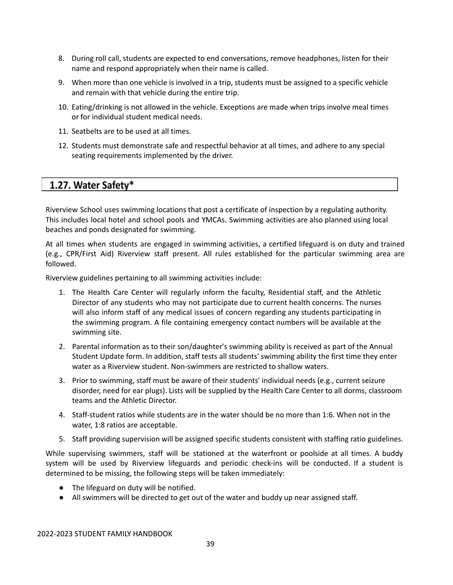- 8. During roll call, students are expected to end conversations, remove headphones, listen for their name and respond appropriately when their name is called.
- 9. When more than one vehicle is involved in a trip, students must be assigned to a specific vehicle and remain with that vehicle during the entire trip.
- 10. Eating/drinking is not allowed in the vehicle. Exceptions are made when trips involve meal times or for individual student medical needs.
- 11. Seatbelts are to be used at all times.
- 12. Students must demonstrate safe and respectful behavior at all times, and adhere to any special seating requirements implemented by the driver.

## 1.27. Water Safety\*

Riverview School uses swimming locations that post a certificate of inspection by a regulating authority. This includes local hotel and school pools and YMCAs. Swimming activities are also planned using local beaches and ponds designated for swimming.

At all times when students are engaged in swimming activities, a certified lifeguard is on duty and trained (e.g., CPR/First Aid) Riverview staff present. All rules established for the particular swimming area are followed.

Riverview guidelines pertaining to all swimming activities include:

- 1. The Health Care Center will regularly inform the faculty, Residential staff, and the Athletic Director of any students who may not participate due to current health concerns. The nurses will also inform staff of any medical issues of concern regarding any students participating in the swimming program. A file containing emergency contact numbers will be available at the swimming site.
- 2. Parental information as to their son/daughter's swimming ability is received as part of the Annual Student Update form. In addition, staff tests all students' swimming ability the first time they enter water as a Riverview student. Non‐swimmers are restricted to shallow waters.
- 3. Prior to swimming, staff must be aware of their students' individual needs (e.g., current seizure disorder, need for ear plugs). Lists will be supplied by the Health Care Center to all dorms, classroom teams and the Athletic Director.
- 4. Staff‐student ratios while students are in the water should be no more than 1:6. When not in the water, 1:8 ratios are acceptable.
- 5. Staff providing supervision will be assigned specific students consistent with staffing ratio guidelines.

While supervising swimmers, staff will be stationed at the waterfront or poolside at all times. A buddy system will be used by Riverview lifeguards and periodic check-ins will be conducted. If a student is determined to be missing, the following steps will be taken immediately:

- The lifeguard on duty will be notified.
- All swimmers will be directed to get out of the water and buddy up near assigned staff.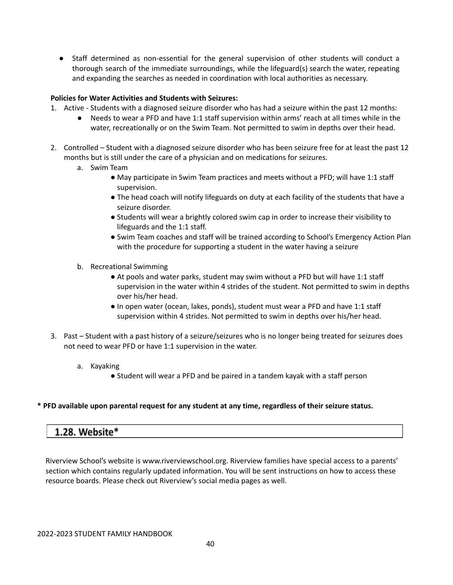● Staff determined as non-essential for the general supervision of other students will conduct a thorough search of the immediate surroundings, while the lifeguard(s) search the water, repeating and expanding the searches as needed in coordination with local authorities as necessary.

### **Policies for Water Activities and Students with Seizures:**

- 1. Active ‐ Students with a diagnosed seizure disorder who has had a seizure within the past 12 months:
	- Needs to wear a PFD and have 1:1 staff supervision within arms' reach at all times while in the water, recreationally or on the Swim Team. Not permitted to swim in depths over their head.
- 2. Controlled Student with a diagnosed seizure disorder who has been seizure free for at least the past 12 months but is still under the care of a physician and on medications for seizures.
	- a. Swim Team
		- May participate in Swim Team practices and meets without a PFD; will have 1:1 staff supervision.
		- The head coach will notify lifeguards on duty at each facility of the students that have a seizure disorder.
		- Students will wear a brightly colored swim cap in order to increase their visibility to lifeguards and the 1:1 staff.
		- Swim Team coaches and staff will be trained according to School's Emergency Action Plan with the procedure for supporting a student in the water having a seizure
	- b. Recreational Swimming
		- At pools and water parks, student may swim without a PFD but will have 1:1 staff supervision in the water within 4 strides of the student. Not permitted to swim in depths over his/her head.
		- In open water (ocean, lakes, ponds), student must wear a PFD and have 1:1 staff supervision within 4 strides. Not permitted to swim in depths over his/her head.
- 3. Past Student with a past history of a seizure/seizures who is no longer being treated for seizures does not need to wear PFD or have 1:1 supervision in the water.
	- a. Kayaking
		- Student will wear a PFD and be paired in a tandem kayak with a staff person

### **\* PFD available upon parental request for any student at any time, regardless of their seizure status.**

## 1.28. Website\*

Riverview School's website is [www.riverviewschool.org.](http://www.riverviewschool.org/) Riverview families have special access to a parents' section which contains regularly updated information. You will be sent instructions on how to access these resource boards. Please check out Riverview's social media pages as well.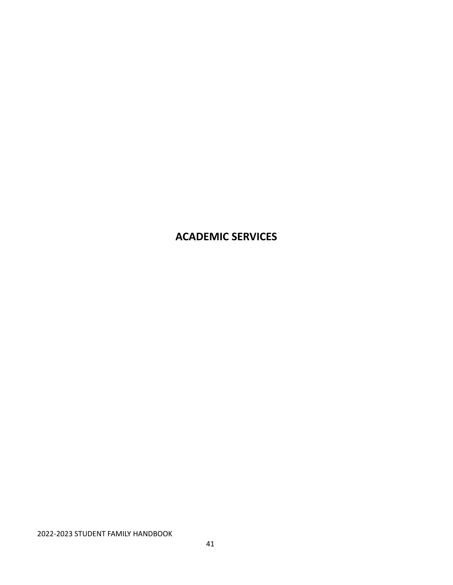# **ACADEMIC SERVICES**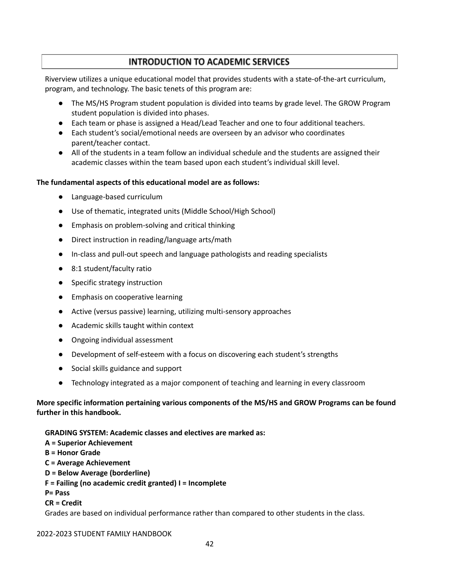## **INTRODUCTION TO ACADEMIC SERVICES**

Riverview utilizes a unique educational model that provides students with a state‐of‐the‐art curriculum, program, and technology. The basic tenets of this program are:

- The MS/HS Program student population is divided into teams by grade level. The GROW Program student population is divided into phases.
- Each team or phase is assigned a Head/Lead Teacher and one to four additional teachers.
- Each student's social/emotional needs are overseen by an advisor who coordinates parent/teacher contact.
- All of the students in a team follow an individual schedule and the students are assigned their academic classes within the team based upon each student's individual skill level.

### **The fundamental aspects of this educational model are as follows:**

- Language-based curriculum
- Use of thematic, integrated units (Middle School/High School)
- Emphasis on problem-solving and critical thinking
- Direct instruction in reading/language arts/math
- In-class and pull-out speech and language pathologists and reading specialists
- 8:1 student/faculty ratio
- Specific strategy instruction
- Emphasis on cooperative learning
- Active (versus passive) learning, utilizing multi-sensory approaches
- Academic skills taught within context
- Ongoing individual assessment
- Development of self-esteem with a focus on discovering each student's strengths
- Social skills guidance and support
- Technology integrated as a major component of teaching and learning in every classroom

## **More specific information pertaining various components of the MS/HS and GROW Programs can be found further in this handbook.**

### **GRADING SYSTEM: Academic classes and electives are marked as:**

- **A = Superior Achievement**
- **B = Honor Grade**
- **C = Average Achievement**
- **D = Below Average (borderline)**
- **F = Failing (no academic credit granted) I = Incomplete**
- **P= Pass**
- **CR = Credit**

Grades are based on individual performance rather than compared to other students in the class.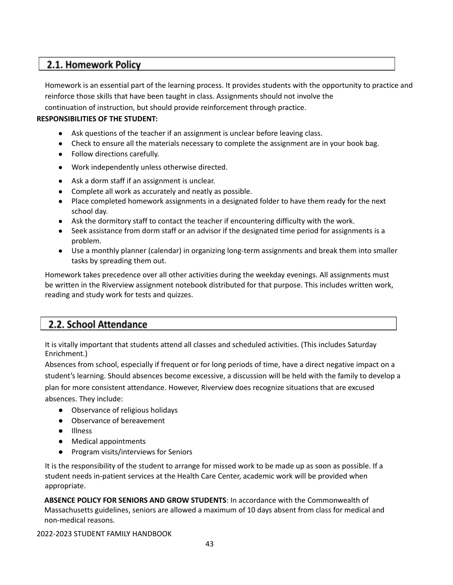## 2.1. Homework Policy

Homework is an essential part of the learning process. It provides students with the opportunity to practice and reinforce those skills that have been taught in class. Assignments should not involve the

continuation of instruction, but should provide reinforcement through practice.

## **RESPONSIBILITIES OF THE STUDENT:**

- Ask questions of the teacher if an assignment is unclear before leaving class.
- Check to ensure all the materials necessary to complete the assignment are in your book bag.
- Follow directions carefully.
- Work independently unless otherwise directed.
- Ask a dorm staff if an assignment is unclear.
- Complete all work as accurately and neatly as possible.
- Place completed homework assignments in a designated folder to have them ready for the next school day.
- Ask the dormitory staff to contact the teacher if encountering difficulty with the work.
- Seek assistance from dorm staff or an advisor if the designated time period for assignments is a problem.
- Use a monthly planner (calendar) in organizing long-term assignments and break them into smaller tasks by spreading them out.

Homework takes precedence over all other activities during the weekday evenings. All assignments must be written in the Riverview assignment notebook distributed for that purpose. This includes written work, reading and study work for tests and quizzes.

## 2.2. School Attendance

It is vitally important that students attend all classes and scheduled activities. (This includes Saturday Enrichment.)

Absences from school, especially if frequent or for long periods of time, have a direct negative impact on a student's learning. Should absences become excessive, a discussion will be held with the family to develop a plan for more consistent attendance. However, Riverview does recognize situations that are excused absences. They include:

● Observance of religious holidays

- Observance of bereavement
- Illness
- Medical appointments
- Program visits/interviews for Seniors

It is the responsibility of the student to arrange for missed work to be made up as soon as possible. If a student needs in‐patient services at the Health Care Center, academic work will be provided when appropriate.

**ABSENCE POLICY FOR SENIORS AND GROW STUDENTS**: In accordance with the Commonwealth of Massachusetts guidelines, seniors are allowed a maximum of 10 days absent from class for medical and non‐medical reasons.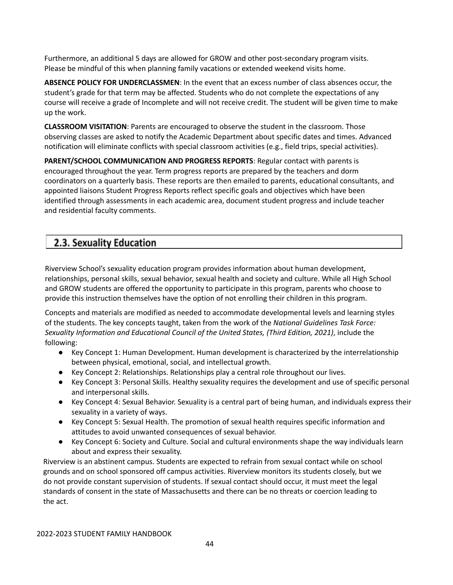Furthermore, an additional 5 days are allowed for GROW and other post‐secondary program visits. Please be mindful of this when planning family vacations or extended weekend visits home.

**ABSENCE POLICY FOR UNDERCLASSMEN**: In the event that an excess number of class absences occur, the student's grade for that term may be affected. Students who do not complete the expectations of any course will receive a grade of Incomplete and will not receive credit. The student will be given time to make up the work.

**CLASSROOM VISITATION**: Parents are encouraged to observe the student in the classroom. Those observing classes are asked to notify the Academic Department about specific dates and times. Advanced notification will eliminate conflicts with special classroom activities (e.g., field trips, special activities).

**PARENT/SCHOOL COMMUNICATION AND PROGRESS REPORTS**: Regular contact with parents is encouraged throughout the year. Term progress reports are prepared by the teachers and dorm coordinators on a quarterly basis. These reports are then emailed to parents, educational consultants, and appointed liaisons Student Progress Reports reflect specific goals and objectives which have been identified through assessments in each academic area, document student progress and include teacher and residential faculty comments.

## 2.3. Sexuality Education

Riverview School's sexuality education program provides information about human development, relationships, personal skills, sexual behavior, sexual health and society and culture. While all High School and GROW students are offered the opportunity to participate in this program, parents who choose to provide this instruction themselves have the option of not enrolling their children in this program.

Concepts and materials are modified as needed to accommodate developmental levels and learning styles of the students. The key concepts taught, taken from the work of the *National Guidelines Task Force: Sexuality Information and Educational Council of the United States, (Third Edition, 2021)*, include the following:

- Key Concept 1: Human Development. Human development is characterized by the interrelationship between physical, emotional, social, and intellectual growth.
- Key Concept 2: Relationships. Relationships play a central role throughout our lives.
- Key Concept 3: Personal Skills. Healthy sexuality requires the development and use of specific personal and interpersonal skills.
- Key Concept 4: Sexual Behavior. Sexuality is a central part of being human, and individuals express their sexuality in a variety of ways.
- Key Concept 5: Sexual Health. The promotion of sexual health requires specific information and attitudes to avoid unwanted consequences of sexual behavior.
- Key Concept 6: Society and Culture. Social and cultural environments shape the way individuals learn about and express their sexuality.

Riverview is an abstinent campus. Students are expected to refrain from sexual contact while on school grounds and on school sponsored off campus activities. Riverview monitors its students closely, but we do not provide constant supervision of students. If sexual contact should occur, it must meet the legal standards of consent in the state of Massachusetts and there can be no threats or coercion leading to the act.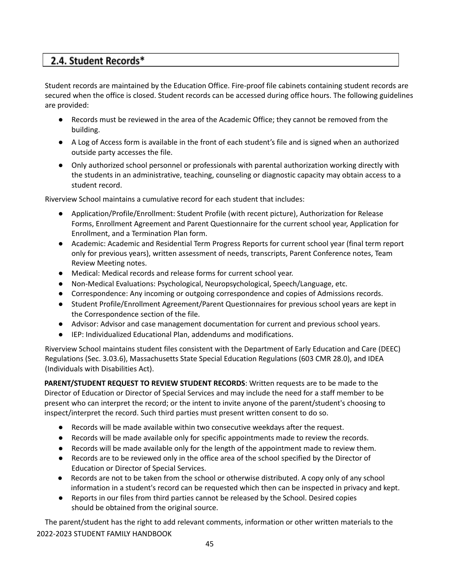# 2.4. Student Records\*

Student records are maintained by the Education Office. Fire‐proof file cabinets containing student records are secured when the office is closed. Student records can be accessed during office hours. The following guidelines are provided:

- Records must be reviewed in the area of the Academic Office; they cannot be removed from the building.
- A Log of Access form is available in the front of each student's file and is signed when an authorized outside party accesses the file.
- Only authorized school personnel or professionals with parental authorization working directly with the students in an administrative, teaching, counseling or diagnostic capacity may obtain access to a student record.

Riverview School maintains a cumulative record for each student that includes:

- Application/Profile/Enrollment: Student Profile (with recent picture), Authorization for Release Forms, Enrollment Agreement and Parent Questionnaire for the current school year, Application for Enrollment, and a Termination Plan form.
- Academic: Academic and Residential Term Progress Reports for current school year (final term report only for previous years), written assessment of needs, transcripts, Parent Conference notes, Team Review Meeting notes.
- Medical: Medical records and release forms for current school year.
- Non-Medical Evaluations: Psychological, Neuropsychological, Speech/Language, etc.
- Correspondence: Any incoming or outgoing correspondence and copies of Admissions records.
- Student Profile/Enrollment Agreement/Parent Questionnaires for previous school years are kept in the Correspondence section of the file.
- Advisor: Advisor and case management documentation for current and previous school years.
- IEP: Individualized Educational Plan, addendums and modifications.

Riverview School maintains student files consistent with the Department of Early Education and Care (DEEC) Regulations (Sec. 3.03.6), Massachusetts State Special Education Regulations (603 CMR 28.0), and IDEA (Individuals with Disabilities Act).

**PARENT/STUDENT REQUEST TO REVIEW STUDENT RECORDS**: Written requests are to be made to the Director of Education or Director of Special Services and may include the need for a staff member to be present who can interpret the record; or the intent to invite anyone of the parent/student's choosing to inspect/interpret the record. Such third parties must present written consent to do so.

- Records will be made available within two consecutive weekdays after the request.
- Records will be made available only for specific appointments made to review the records.
- Records will be made available only for the length of the appointment made to review them.
- Records are to be reviewed only in the office area of the school specified by the Director of Education or Director of Special Services.
- Records are not to be taken from the school or otherwise distributed. A copy only of any school information in a student's record can be requested which then can be inspected in privacy and kept.
- Reports in our files from third parties cannot be released by the School. Desired copies should be obtained from the original source.

The parent/student has the right to add relevant comments, information or other written materials to the 2022-2023 STUDENT FAMILY HANDBOOK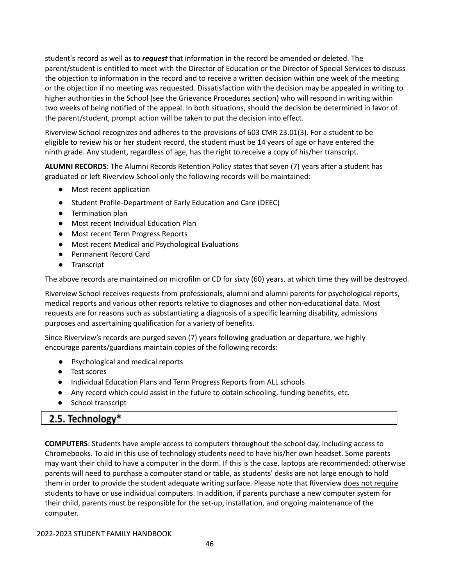student's record as well as to *request* that information in the record be amended or deleted. The parent/student is entitled to meet with the Director of Education or the Director of Special Services to discuss the objection to information in the record and to receive a written decision within one week of the meeting or the objection if no meeting was requested. Dissatisfaction with the decision may be appealed in writing to higher authorities in the School (see the Grievance Procedures section) who will respond in writing within two weeks of being notified of the appeal. In both situations, should the decision be determined in favor of the parent/student, prompt action will be taken to put the decision into effect.

Riverview School recognizes and adheres to the provisions of 603 CMR 23.01(3). For a student to be eligible to review his or her student record, the student must be 14 years of age or have entered the ninth grade. Any student, regardless of age, has the right to receive a copy of his/her transcript.

**ALUMNI RECORDS**: The Alumni Records Retention Policy states that seven (7) years after a student has graduated or left Riverview School only the following records will be maintained:

- Most recent application
- Student Profile-Department of Early Education and Care (DEEC)
- Termination plan
- Most recent Individual Education Plan
- Most recent Term Progress Reports
- Most recent Medical and Psychological Evaluations
- Permanent Record Card
- Transcript

The above records are maintained on microfilm or CD for sixty (60) years, at which time they will be destroyed.

Riverview School receives requests from professionals, alumni and alumni parents for psychological reports, medical reports and various other reports relative to diagnoses and other non‐educational data. Most requests are for reasons such as substantiating a diagnosis of a specific learning disability, admissions purposes and ascertaining qualification for a variety of benefits.

Since Riverview's records are purged seven (7) years following graduation or departure, we highly encourage parents/guardians maintain copies of the following records:

- Psychological and medical reports
- Test scores
- Individual Education Plans and Term Progress Reports from ALL schools
- Any record which could assist in the future to obtain schooling, funding benefits, etc.
- School transcript

## 2.5. Technology\*

**COMPUTERS**: Students have ample access to computers throughout the school day, including access to Chromebooks. To aid in this use of technology students need to have his/her own headset. Some parents may want their child to have a computer in the dorm. If this is the case, laptops are recommended; otherwise parents will need to purchase a computer stand or table, as students' desks are not large enough to hold them in order to provide the student adequate writing surface. Please note that Riverview does not require students to have or use individual computers. In addition, if parents purchase a new computer system for their child, parents must be responsible for the set‐up, installation, and ongoing maintenance of the computer.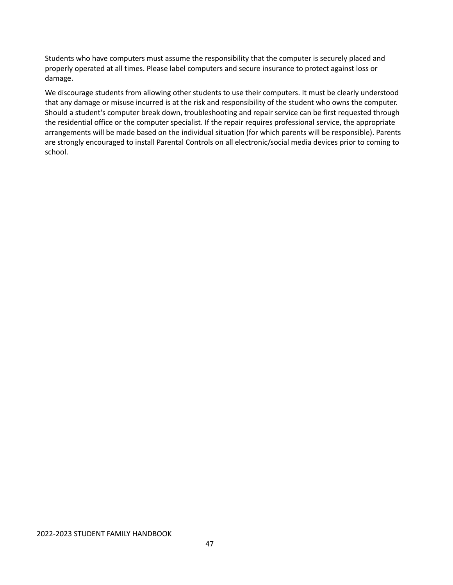Students who have computers must assume the responsibility that the computer is securely placed and properly operated at all times. Please label computers and secure insurance to protect against loss or damage.

We discourage students from allowing other students to use their computers. It must be clearly understood that any damage or misuse incurred is at the risk and responsibility of the student who owns the computer. Should a student's computer break down, troubleshooting and repair service can be first requested through the residential office or the computer specialist. If the repair requires professional service, the appropriate arrangements will be made based on the individual situation (for which parents will be responsible). Parents are strongly encouraged to install Parental Controls on all electronic/social media devices prior to coming to school.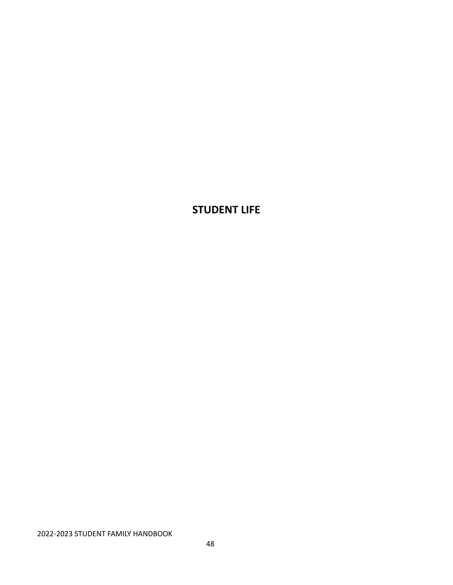# **STUDENT LIFE**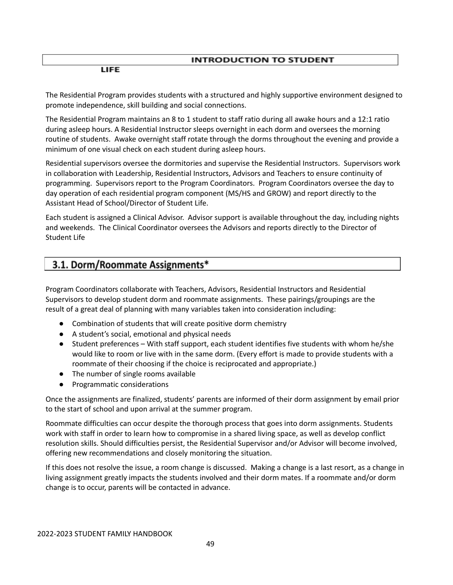## **INTRODUCTION TO STUDENT**

**LIFE** 

The Residential Program provides students with a structured and highly supportive environment designed to promote independence, skill building and social connections.

The Residential Program maintains an 8 to 1 student to staff ratio during all awake hours and a 12:1 ratio during asleep hours. A Residential Instructor sleeps overnight in each dorm and oversees the morning routine of students. Awake overnight staff rotate through the dorms throughout the evening and provide a minimum of one visual check on each student during asleep hours.

Residential supervisors oversee the dormitories and supervise the Residential Instructors. Supervisors work in collaboration with Leadership, Residential Instructors, Advisors and Teachers to ensure continuity of programming. Supervisors report to the Program Coordinators. Program Coordinators oversee the day to day operation of each residential program component (MS/HS and GROW) and report directly to the Assistant Head of School/Director of Student Life.

Each student is assigned a Clinical Advisor. Advisor support is available throughout the day, including nights and weekends. The Clinical Coordinator oversees the Advisors and reports directly to the Director of Student Life

## 3.1. Dorm/Roommate Assignments\*

Program Coordinators collaborate with Teachers, Advisors, Residential Instructors and Residential Supervisors to develop student dorm and roommate assignments. These pairings/groupings are the result of a great deal of planning with many variables taken into consideration including:

- Combination of students that will create positive dorm chemistry
- A student's social, emotional and physical needs
- Student preferences With staff support, each student identifies five students with whom he/she would like to room or live with in the same dorm. (Every effort is made to provide students with a roommate of their choosing if the choice is reciprocated and appropriate.)
- The number of single rooms available
- Programmatic considerations

Once the assignments are finalized, students' parents are informed of their dorm assignment by email prior to the start of school and upon arrival at the summer program.

Roommate difficulties can occur despite the thorough process that goes into dorm assignments. Students work with staff in order to learn how to compromise in a shared living space, as well as develop conflict resolution skills. Should difficulties persist, the Residential Supervisor and/or Advisor will become involved, offering new recommendations and closely monitoring the situation.

If this does not resolve the issue, a room change is discussed. Making a change is a last resort, as a change in living assignment greatly impacts the students involved and their dorm mates. If a roommate and/or dorm change is to occur, parents will be contacted in advance.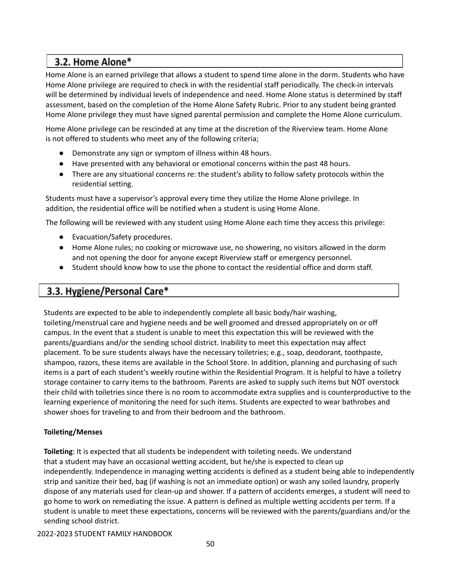# 3.2. Home Alone\*

Home Alone is an earned privilege that allows a student to spend time alone in the dorm. Students who have Home Alone privilege are required to check in with the residential staff periodically. The check-in intervals will be determined by individual levels of independence and need. Home Alone status is determined by staff assessment, based on the completion of the Home Alone Safety Rubric. Prior to any student being granted Home Alone privilege they must have signed parental permission and complete the Home Alone curriculum.

Home Alone privilege can be rescinded at any time at the discretion of the Riverview team. Home Alone is not offered to students who meet any of the following criteria;

- Demonstrate any sign or symptom of illness within 48 hours.
- Have presented with any behavioral or emotional concerns within the past 48 hours.
- There are any situational concerns re: the student's ability to follow safety protocols within the residential setting.

Students must have a supervisor's approval every time they utilize the Home Alone privilege. In addition, the residential office will be notified when a student is using Home Alone.

The following will be reviewed with any student using Home Alone each time they access this privilege:

- Evacuation/Safety procedures.
- Home Alone rules; no cooking or microwave use, no showering, no visitors allowed in the dorm and not opening the door for anyone except Riverview staff or emergency personnel.
- Student should know how to use the phone to contact the residential office and dorm staff.

## 3.3. Hygiene/Personal Care\*

Students are expected to be able to independently complete all basic body/hair washing, toileting/menstrual care and hygiene needs and be well groomed and dressed appropriately on or off campus. In the event that a student is unable to meet this expectation this will be reviewed with the parents/guardians and/or the sending school district. Inability to meet this expectation may affect placement. To be sure students always have the necessary toiletries; e.g., soap, deodorant, toothpaste, shampoo, razors, these items are available in the School Store. In addition, planning and purchasing of such items is a part of each student's weekly routine within the Residential Program. It is helpful to have a toiletry storage container to carry items to the bathroom. Parents are asked to supply such items but NOT overstock their child with toiletries since there is no room to accommodate extra supplies and is counterproductive to the learning experience of monitoring the need for such items. Students are expected to wear bathrobes and shower shoes for traveling to and from their bedroom and the bathroom.

## **Toileting/Menses**

**Toileting**: It is expected that all students be independent with toileting needs. We understand that a student may have an occasional wetting accident, but he/she is expected to clean up independently. Independence in managing wetting accidents is defined as a student being able to independently strip and sanitize their bed, bag (if washing is not an immediate option) or wash any soiled laundry, properly dispose of any materials used for clean-up and shower. If a pattern of accidents emerges, a student will need to go home to work on remediating the issue. A pattern is defined as multiple wetting accidents per term. If a student is unable to meet these expectations, concerns will be reviewed with the parents/guardians and/or the sending school district.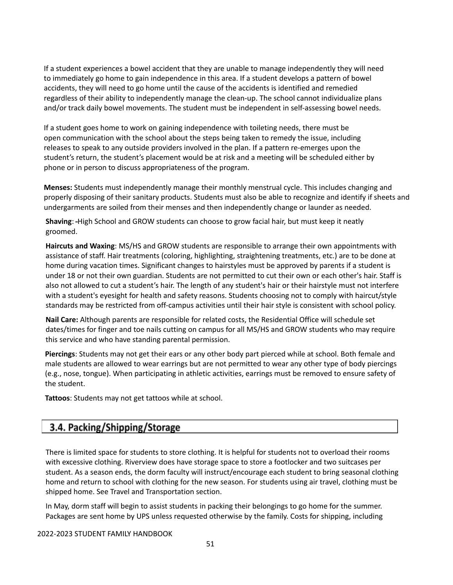If a student experiences a bowel accident that they are unable to manage independently they will need to immediately go home to gain independence in this area. If a student develops a pattern of bowel accidents, they will need to go home until the cause of the accidents is identified and remedied regardless of their ability to independently manage the clean-up. The school cannot individualize plans and/or track daily bowel movements. The student must be independent in self-assessing bowel needs.

If a student goes home to work on gaining independence with toileting needs, there must be open communication with the school about the steps being taken to remedy the issue, including releases to speak to any outside providers involved in the plan. If a pattern re-emerges upon the student's return, the student's placement would be at risk and a meeting will be scheduled either by phone or in person to discuss appropriateness of the program.

**Menses:** Students must independently manage their monthly menstrual cycle. This includes changing and properly disposing of their sanitary products. Students must also be able to recognize and identify if sheets and undergarments are soiled from their menses and then independently change or launder as needed.

**Shaving**: High School and GROW students can choose to grow facial hair, but must keep it neatly groomed.

**Haircuts and Waxing**: MS/HS and GROW students are responsible to arrange their own appointments with assistance of staff. Hair treatments (coloring, highlighting, straightening treatments, etc.) are to be done at home during vacation times. Significant changes to hairstyles must be approved by parents if a student is under 18 or not their own guardian. Students are not permitted to cut their own or each other's hair. Staff is also not allowed to cut a student's hair. The length of any student's hair or their hairstyle must not interfere with a student's eyesight for health and safety reasons. Students choosing not to comply with haircut/style standards may be restricted from off-campus activities until their hair style is consistent with school policy.

**Nail Care:** Although parents are responsible for related costs, the Residential Office will schedule set dates/times for finger and toe nails cutting on campus for all MS/HS and GROW students who may require this service and who have standing parental permission.

**Piercings**: Students may not get their ears or any other body part pierced while at school. Both female and male students are allowed to wear earrings but are not permitted to wear any other type of body piercings (e.g., nose, tongue). When participating in athletic activities, earrings must be removed to ensure safety of the student.

**Tattoos**: Students may not get tattoos while at school.

# 3.4. Packing/Shipping/Storage

There is limited space for students to store clothing. It is helpful for students not to overload their rooms with excessive clothing. Riverview does have storage space to store a footlocker and two suitcases per student. As a season ends, the dorm faculty will instruct/encourage each student to bring seasonal clothing home and return to school with clothing for the new season. For students using air travel, clothing must be shipped home. See Travel and Transportation section.

In May, dorm staff will begin to assist students in packing their belongings to go home for the summer. Packages are sent home by UPS unless requested otherwise by the family. Costs for shipping, including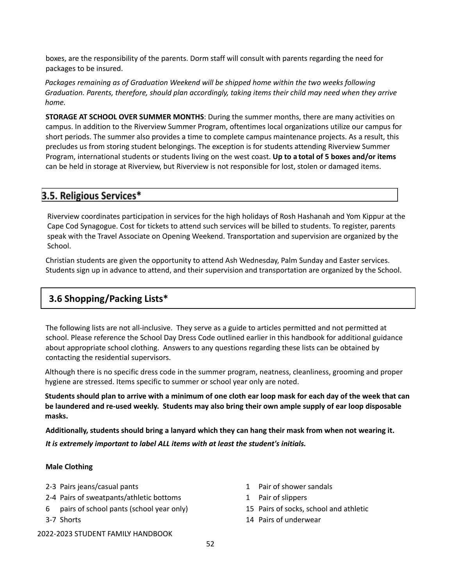boxes, are the responsibility of the parents. Dorm staff will consult with parents regarding the need for packages to be insured.

*Packages remaining as of Graduation Weekend will be shipped home within the two weeks following Graduation. Parents, therefore, should plan accordingly, taking items their child may need when they arrive home.*

**STORAGE AT SCHOOL OVER SUMMER MONTHS**: During the summer months, there are many activities on campus. In addition to the Riverview Summer Program, oftentimes local organizations utilize our campus for short periods. The summer also provides a time to complete campus maintenance projects. As a result, this precludes us from storing student belongings. The exception is for students attending Riverview Summer Program, international students or students living on the west coast. **Up to a total of 5 boxes and/or items** can be held in storage at Riverview, but Riverview is not responsible for lost, stolen or damaged items.

## 3.5. Religious Services\*

Riverview coordinates participation in services for the high holidays of Rosh Hashanah and Yom Kippur at the Cape Cod Synagogue. Cost for tickets to attend such services will be billed to students. To register, parents speak with the Travel Associate on Opening Weekend. Transportation and supervision are organized by the School.

Christian students are given the opportunity to attend Ash Wednesday, Palm Sunday and Easter services. Students sign up in advance to attend, and their supervision and transportation are organized by the School.

## **3.6 Shopping/Packing Lists\***

The following lists are not all‐inclusive. They serve as a guide to articles permitted and not permitted at school. Please reference the School Day Dress Code outlined earlier in this handbook for additional guidance about appropriate school clothing. Answers to any questions regarding these lists can be obtained by contacting the residential supervisors.

Although there is no specific dress code in the summer program, neatness, cleanliness, grooming and proper hygiene are stressed. Items specific to summer or school year only are noted.

Students should plan to arrive with a minimum of one cloth ear loop mask for each day of the week that can **be laundered and re-used weekly. Students may also bring their own ample supply of ear loop disposable masks.**

**Additionally, students should bring a lanyard which they can hang their mask from when not wearing it.** *It is extremely important to label ALL items with at least the student's initials.*

## **Male Clothing**

- 2-3 Pairs jeans/casual pants 1 Pair of shower sandals
- 2-4 Pairs of sweatpants/athletic bottoms 1 Pair of slippers
- 6 pairs of school pants (school year only) 15 Pairs of socks, school and athletic
- 
- -
- 3-7 Shorts 14 Pairs of underwear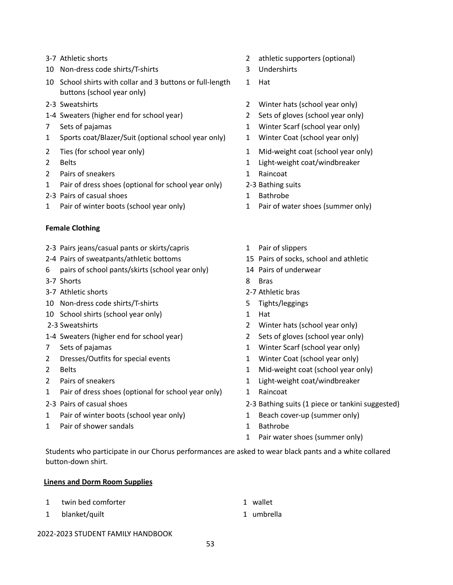- 
- 10 Non-dress code shirts/T-shirts 3 Undershirts
- 10 School shirts with collar and 3 buttons or full-length buttons (school year only)
- 
- 1-4 Sweaters (higher end for school year) 2 Sets of gloves (school year only)
- 
- 1 Sports coat/Blazer/Suit (optional school year only) 1 Winter Coat (school year only)
- 
- 
- 2 Pairs of sneakers 1 Raincoat
- 1 Pair of dress shoes (optional for school year only) 2-3 Bathing suits
- 2-3 Pairs of casual shoes 1 Bathrobe
- 1 Pair of winter boots (school year only) 1 Pair of water shoes (summer only)

## **Female Clothing**

- 2-3 Pairs jeans/casual pants or skirts/capris 1 Pair of slippers
- 2-4 Pairs of sweatpants/athletic bottoms 15 Pairs of socks, school and athletic
- 6 pairs of school pants/skirts (school year only) 14 Pairs of underwear
- 3-7 Shorts 8 Bras
- 3-7 Athletic shorts 2-7 Athletic bras
- 10 Non-dress code shirts/T-shirts 6 Tights/leggings
- 10 School shirts (school year only) 1 Hat
- 
- 1-4 Sweaters (higher end for school year) 2 Sets of gloves (school year only)
- 
- 2 Dresses/Outfits for special events 1 Winter Coat (school year only)
- 
- 
- 1 Pair of dress shoes (optional for school year only) 1 Raincoat
- 
- 1 Pair of winter boots (school year only) 1 Beach cover-up (summer only)
- 1 Pair of shower sandals 1 Bathrobe
- 3-7 Athletic shorts 2 athletic supporters (optional)
	-
	- 1 Hat
- 2-3 Sweatshirts 2 Winter hats (school year only)
	-
- 7 Sets of pajamas 1 Winter Scarf (school year only)
	-
- 2 Ties (for school year only) 2 Ties (for school year only)
- 2 Belts 2 Belts 2 Belts 2 Belts 2 Belts 2 Belts 2 Belts 2 Belts 2 Belts 2 Belts 2 Belts 2 Belts 2 Belts 2 Belts 2 Belts 2 Belts 2 Belts 2 Belts 2 Belts 2 Belts 2 Belts 2 Belts 2 Belts 2 Belts 2 Belts 2 Belts 2 Belts 2 Belt
	-
	-
	-
	-
	-
	-
	-
	-
	-
	-
	-
- 2-3 Sweatshirts 2 Winter hats (school year only)
	-
- 7 Sets of pajamas 1 Winter Scarf (school year only)
	-
- 2 Belts 2 Belts 2 Belts 2 Belts 2 Belts 2 Belts 2 Belts 2 Belts 2 Belts 2 Belts 2 Belts 2 Belts 2 Belts 2 Belts 2 Belts 2 Belts 2 Belts 2 Belts 2 Belts 2 Belts 2 Belts 2 Belts 2 Belts 2 Belts 2 Belts 2 Belts 2 Belts 2 Belt
- 2 Pairs of sneakers and the state of state and the state of the state of the state of the state of the state of the state of the state of the state of the state of the state of the state of the state of the state of the st
	-
- 2-3 Pairs of casual shoes 2–3 Bathing suits (1 piece or tankini suggested)
	-
	-
	- 1 Pair water shoes (summer only)

Students who participate in our Chorus performances are asked to wear black pants and a white collared button-down shirt.

### **Linens and Dorm Room Supplies**

1 twin bed comforter 1 wallet 1 blanket/quilt 1 umbrella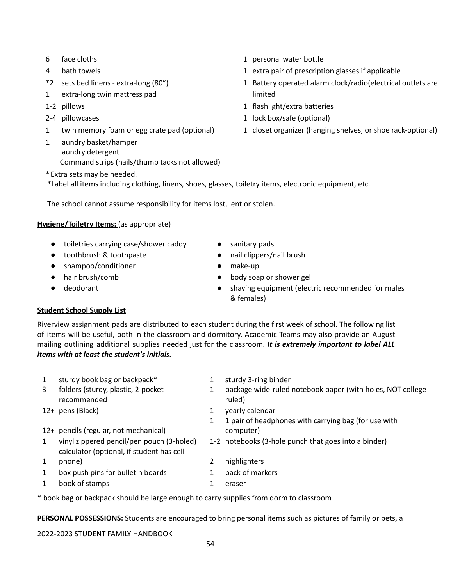- 
- 
- \*2 sets bed linens ‐ extra‐long (80")
- 1 extra‐long twin mattress pad
- 
- 
- 
- 1 laundry basket/hamper laundry detergent Command strips (nails/thumb tacks not allowed)
- \*Extra sets may be needed.

\*Label all items including clothing, linens, shoes, glasses, toiletry items, electronic equipment, etc.

The school cannot assume responsibility for items lost, lent or stolen.

## **Hygiene/Toiletry Items:** (as appropriate)

- toiletries carrying case/shower caddy sanitary pads
- toothbrush & toothpaste nail clippers/nail brush
- shampoo/conditioner <br>● make-up
- 
- 

## **Student School Supply List**

- Riverview assignment pads are distributed to each student during the first week of school. The following list of items will be useful, both in the classroom and dormitory. Academic Teams may also provide an August mailing outlining additional supplies needed just for the classroom. *It is extremely important to label ALL items with at least the student's initials.*
	- 1 sturdy book bag or backpack\* 1 sturdy 3-ring binder
	- 3 folders (sturdy, plastic, 2-pocket recommended
	-
	- 12+ pencils (regular, not mechanical)
	- calculator (optional, if student has cell
	- 1
	- 1 box push pins for bulletin boards 1 pack of markers
	- 1 book of stamps 1 eraser
- 6 face cloths 1 personal water bottle
- 4 bath towels **1** extra pair of prescription glasses if applicable
	- 1 Battery operated alarm clock/radio(electrical outlets are limited
- 1-2 pillows 1 flashlight/extra batteries
- 2-4 pillowcases and the settlement of the settlement of the settlement of the policies of the settlement of the set of the set of the set of the set of the set of the set of the set of the set of the set of the set of the
- 1 twin memory foam or egg crate pad (optional) 1 closet organizer (hanging shelves, or shoe rack-optional)

- 
- 
- 
- hair brush/comb end and the body soap or shower gel
- deodorant example and the shaving equipment (electric recommended for males & females)

- 
- 1 package wide-ruled notebook paper (with holes, NOT college ruled)
- 12+ pens (Black) and the contract of the contract of the pearly calendar
	- 1 1 pair of headphones with carrying bag (for use with computer)
- 1 vinyl zippered pencil/pen pouch (3-holed) 1-2 notebooks (3-hole punch that goes into a binder)
	- phone) 2 highlighters
		-
		-

\* book bag or backpack should be large enough to carry supplies from dorm to classroom

**PERSONAL POSSESSIONS:** Students are encouraged to bring personal items such as pictures of family or pets, a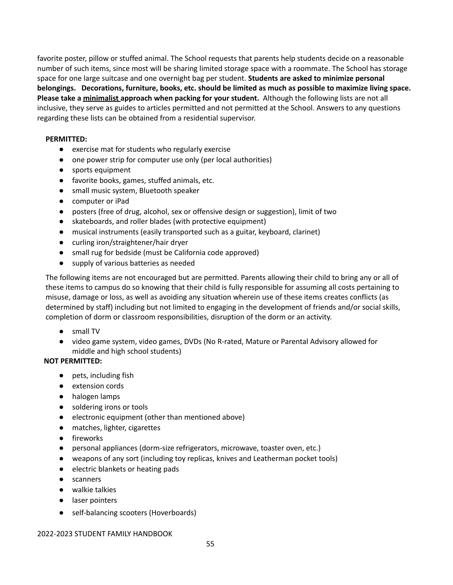favorite poster, pillow or stuffed animal. The School requests that parents help students decide on a reasonable number of such items, since most will be sharing limited storage space with a roommate. The School has storage space for one large suitcase and one overnight bag per student. **Students are asked to minimize personal belongings. Decorations, furniture, books, etc. should be limited as much as possible to maximize living space. Please take a minimalist approach when packing for your student.** Although the following lists are not all inclusive, they serve as guides to articles permitted and not permitted at the School. Answers to any questions regarding these lists can be obtained from a residential supervisor.

### **PERMITTED:**

- exercise mat for students who regularly exercise
- one power strip for computer use only (per local authorities)
- sports equipment
- favorite books, games, stuffed animals, etc.
- small music system, Bluetooth speaker
- computer or iPad
- posters (free of drug, alcohol, sex or offensive design or suggestion), limit of two
- skateboards, and roller blades (with protective equipment)
- musical instruments (easily transported such as a guitar, keyboard, clarinet)
- curling iron/straightener/hair dryer
- small rug for bedside (must be California code approved)
- supply of various batteries as needed

The following items are not encouraged but are permitted. Parents allowing their child to bring any or all of these items to campus do so knowing that their child is fully responsible for assuming all costs pertaining to misuse, damage or loss, as well as avoiding any situation wherein use of these items creates conflicts (as determined by staff) including but not limited to engaging in the development of friends and/or social skills, completion of dorm or classroom responsibilities, disruption of the dorm or an activity.

- small TV
- video game system, video games, DVDs (No R-rated, Mature or Parental Advisory allowed for middle and high school students)

## **NOT PERMITTED:**

- pets, including fish
- extension cords
- halogen lamps
- soldering irons or tools
- electronic equipment (other than mentioned above)
- matches, lighter, cigarettes
- fireworks
- personal appliances (dorm-size refrigerators, microwave, toaster oven, etc.)
- weapons of any sort (including toy replicas, knives and Leatherman pocket tools)
- electric blankets or heating pads
- scanners
- walkie talkies
- laser pointers
- self-balancing scooters (Hoverboards)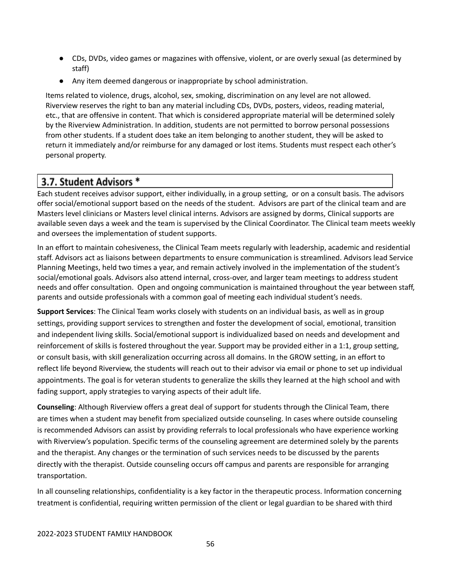- CDs, DVDs, video games or magazines with offensive, violent, or are overly sexual (as determined by staff)
- Any item deemed dangerous or inappropriate by school administration.

Items related to violence, drugs, alcohol, sex, smoking, discrimination on any level are not allowed. Riverview reserves the right to ban any material including CDs, DVDs, posters, videos, reading material, etc., that are offensive in content. That which is considered appropriate material will be determined solely by the Riverview Administration. In addition, students are not permitted to borrow personal possessions from other students. If a student does take an item belonging to another student, they will be asked to return it immediately and/or reimburse for any damaged or lost items. Students must respect each other's personal property.

# 3.7. Student Advisors \*

Each student receives advisor support, either individually, in a group setting, or on a consult basis. The advisors offer social/emotional support based on the needs of the student. Advisors are part of the clinical team and are Masters level clinicians or Masters level clinical interns. Advisors are assigned by dorms, Clinical supports are available seven days a week and the team is supervised by the Clinical Coordinator. The Clinical team meets weekly and oversees the implementation of student supports.

In an effort to maintain cohesiveness, the Clinical Team meets regularly with leadership, academic and residential staff. Advisors act as liaisons between departments to ensure communication is streamlined. Advisors lead Service Planning Meetings, held two times a year, and remain actively involved in the implementation of the student's social/emotional goals. Advisors also attend internal, cross-over, and larger team meetings to address student needs and offer consultation. Open and ongoing communication is maintained throughout the year between staff, parents and outside professionals with a common goal of meeting each individual student's needs.

**Support Services**: The Clinical Team works closely with students on an individual basis, as well as in group settings, providing support services to strengthen and foster the development of social, emotional, transition and independent living skills. Social/emotional support is individualized based on needs and development and reinforcement of skills is fostered throughout the year. Support may be provided either in a 1:1, group setting, or consult basis, with skill generalization occurring across all domains. In the GROW setting, in an effort to reflect life beyond Riverview, the students will reach out to their advisor via email or phone to set up individual appointments. The goal is for veteran students to generalize the skills they learned at the high school and with fading support, apply strategies to varying aspects of their adult life.

**Counseling**: Although Riverview offers a great deal of support for students through the Clinical Team, there are times when a student may benefit from specialized outside counseling. In cases where outside counseling is recommended Advisors can assist by providing referrals to local professionals who have experience working with Riverview's population. Specific terms of the counseling agreement are determined solely by the parents and the therapist. Any changes or the termination of such services needs to be discussed by the parents directly with the therapist. Outside counseling occurs off campus and parents are responsible for arranging transportation.

In all counseling relationships, confidentiality is a key factor in the therapeutic process. Information concerning treatment is confidential, requiring written permission of the client or legal guardian to be shared with third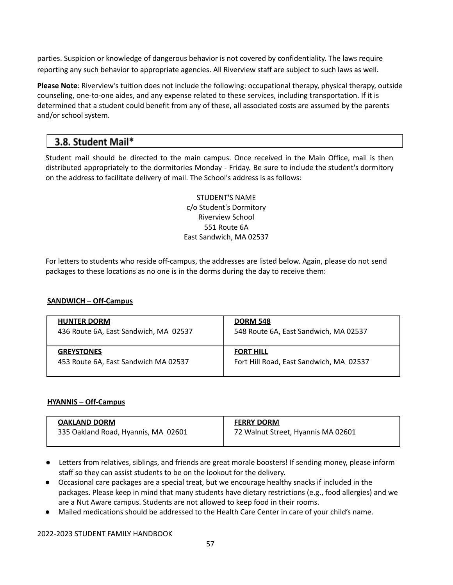parties. Suspicion or knowledge of dangerous behavior is not covered by confidentiality. The laws require reporting any such behavior to appropriate agencies. All Riverview staff are subject to such laws as well.

**Please Note**: Riverview's tuition does not include the following: occupational therapy, physical therapy, outside counseling, one‐to‐one aides, and any expense related to these services, including transportation. If it is determined that a student could benefit from any of these, all associated costs are assumed by the parents and/or school system.

## 3.8. Student Mail\*

Student mail should be directed to the main campus. Once received in the Main Office, mail is then distributed appropriately to the dormitories Monday ‐ Friday. Be sure to include the student's dormitory on the address to facilitate delivery of mail. The School's address is as follows:

> STUDENT'S NAME c/o Student's Dormitory Riverview School 551 Route 6A East Sandwich, MA 02537

For letters to students who reside off-campus, the addresses are listed below. Again, please do not send packages to these locations as no one is in the dorms during the day to receive them:

### **SANDWICH – Off-Campus**

| <b>HUNTER DORM</b>                    | <b>DORM 548</b>                         |
|---------------------------------------|-----------------------------------------|
| 436 Route 6A, East Sandwich, MA 02537 | 548 Route 6A, East Sandwich, MA 02537   |
| <b>GREYSTONES</b>                     | <b>FORT HILL</b>                        |
| 453 Route 6A, East Sandwich MA 02537  | Fort Hill Road, East Sandwich, MA 02537 |

## **HYANNIS – Off-Campus**

| <b>OAKLAND DORM</b>                 | <b>FERRY DORM</b>                  |
|-------------------------------------|------------------------------------|
| 335 Oakland Road, Hyannis, MA 02601 | 72 Walnut Street, Hyannis MA 02601 |
|                                     |                                    |

- Letters from relatives, siblings, and friends are great morale boosters! If sending money, please inform staff so they can assist students to be on the lookout for the delivery.
- Occasional care packages are a special treat, but we encourage healthy snacks if included in the packages. Please keep in mind that many students have dietary restrictions (e.g., food allergies) and we are a Nut Aware campus. Students are not allowed to keep food in their rooms.
- Mailed medications should be addressed to the Health Care Center in care of your child's name.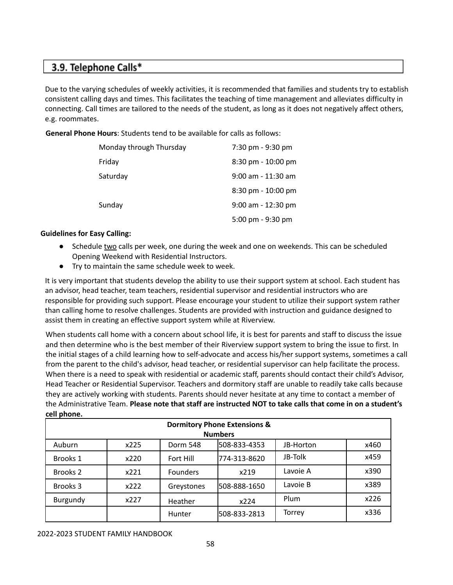## 3.9. Telephone Calls\*

Due to the varying schedules of weekly activities, it is recommended that families and students try to establish consistent calling days and times. This facilitates the teaching of time management and alleviates difficulty in connecting. Call times are tailored to the needs of the student, as long as it does not negatively affect others, e.g. roommates.

**General Phone Hours**: Students tend to be available for calls as follows:

| Monday through Thursday | 7:30 pm - 9:30 pm    |
|-------------------------|----------------------|
| Friday                  | 8:30 pm - 10:00 pm   |
| Saturday                | 9:00 am - 11:30 am   |
|                         | 8:30 pm - 10:00 pm   |
| Sunday                  | $9:00$ am - 12:30 pm |
|                         | 5:00 pm - 9:30 pm    |

## **Guidelines for Easy Calling:**

- Schedule two calls per week, one during the week and one on weekends. This can be scheduled Opening Weekend with Residential Instructors.
- Try to maintain the same schedule week to week.

It is very important that students develop the ability to use their support system at school. Each student has an advisor, head teacher, team teachers, residential supervisor and residential instructors who are responsible for providing such support. Please encourage your student to utilize their support system rather than calling home to resolve challenges. Students are provided with instruction and guidance designed to assist them in creating an effective support system while at Riverview.

When students call home with a concern about school life, it is best for parents and staff to discuss the issue and then determine who is the best member of their Riverview support system to bring the issue to first. In the initial stages of a child learning how to self‐advocate and access his/her support systems, sometimes a call from the parent to the child's advisor, head teacher, or residential supervisor can help facilitate the process. When there is a need to speak with residential or academic staff, parents should contact their child's Advisor, Head Teacher or Residential Supervisor. Teachers and dormitory staff are unable to readily take calls because they are actively working with students. Parents should never hesitate at any time to contact a member of the Administrative Team. **Please note that staff are instructed NOT to take calls that come in on a student's cell phone.**

| <b>Dormitory Phone Extensions &amp;</b> |      |                 |              |           |      |  |
|-----------------------------------------|------|-----------------|--------------|-----------|------|--|
| <b>Numbers</b>                          |      |                 |              |           |      |  |
| Auburn                                  | x225 | Dorm 548        | 508-833-4353 | JB-Horton | x460 |  |
| Brooks 1                                | x220 | Fort Hill       | 774-313-8620 | JB-Tolk   | x459 |  |
| Brooks <sub>2</sub>                     | x221 | <b>Founders</b> | x219         | Lavoie A  | x390 |  |
| Brooks 3                                | x222 | Greystones      | 508-888-1650 | Lavoie B  | x389 |  |
| Burgundy                                | x227 | Heather         | x224         | Plum      | x226 |  |
|                                         |      | <b>Hunter</b>   | 508-833-2813 | Torrey    | x336 |  |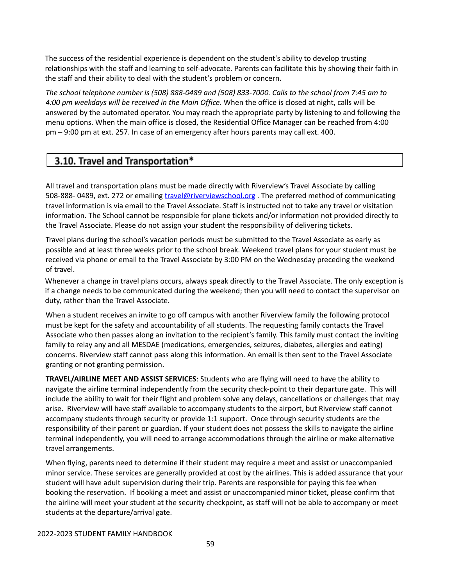The success of the residential experience is dependent on the student's ability to develop trusting relationships with the staff and learning to self‐advocate. Parents can facilitate this by showing their faith in the staff and their ability to deal with the student's problem or concern.

The school telephone number is (508) 888-0489 and (508) 833-7000. Calls to the school from 7:45 am to *4:00 pm weekdays will be received in the Main Office.* When the office is closed at night, calls will be answered by the automated operator. You may reach the appropriate party by listening to and following the menu options. When the main office is closed, the Residential Office Manager can be reached from 4:00 pm – 9:00 pm at ext. 257. In case of an emergency after hours parents may call ext. 400.

# 3.10. Travel and Transportation\*

All travel and transportation plans must be made directly with Riverview's Travel Associate by calling 508-888-0489, ext. 272 or emailing [travel@riverviewschool.org](mailto:travel@riverviewschool.org). The preferred method of communicating travel information is via email to the Travel Associate. Staff is instructed not to take any travel or visitation information. The School cannot be responsible for plane tickets and/or information not provided directly to the Travel Associate. Please do not assign your student the responsibility of delivering tickets.

Travel plans during the school's vacation periods must be submitted to the Travel Associate as early as possible and at least three weeks prior to the school break. Weekend travel plans for your student must be received via phone or email to the Travel Associate by 3:00 PM on the Wednesday preceding the weekend of travel.

Whenever a change in travel plans occurs, always speak directly to the Travel Associate. The only exception is if a change needs to be communicated during the weekend; then you will need to contact the supervisor on duty, rather than the Travel Associate.

When a student receives an invite to go off campus with another Riverview family the following protocol must be kept for the safety and accountability of all students. The requesting family contacts the Travel Associate who then passes along an invitation to the recipient's family. This family must contact the inviting family to relay any and all MESDAE (medications, emergencies, seizures, diabetes, allergies and eating) concerns. Riverview staff cannot pass along this information. An email is then sent to the Travel Associate granting or not granting permission.

**TRAVEL/AIRLINE MEET AND ASSIST SERVICES**: Students who are flying will need to have the ability to navigate the airline terminal independently from the security check-point to their departure gate. This will include the ability to wait for their flight and problem solve any delays, cancellations or challenges that may arise. Riverview will have staff available to accompany students to the airport, but Riverview staff cannot accompany students through security or provide 1:1 support. Once through security students are the responsibility of their parent or guardian. If your student does not possess the skills to navigate the airline terminal independently, you will need to arrange accommodations through the airline or make alternative travel arrangements.

When flying, parents need to determine if their student may require a meet and assist or unaccompanied minor service. These services are generally provided at cost by the airlines. This is added assurance that your student will have adult supervision during their trip. Parents are responsible for paying this fee when booking the reservation. If booking a meet and assist or unaccompanied minor ticket, please confirm that the airline will meet your student at the security checkpoint, as staff will not be able to accompany or meet students at the departure/arrival gate.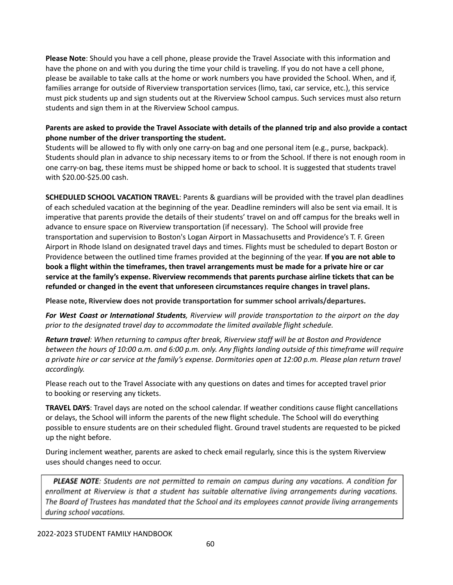**Please Note**: Should you have a cell phone, please provide the Travel Associate with this information and have the phone on and with you during the time your child is traveling. If you do not have a cell phone, please be available to take calls at the home or work numbers you have provided the School. When, and if, families arrange for outside of Riverview transportation services (limo, taxi, car service, etc.), this service must pick students up and sign students out at the Riverview School campus. Such services must also return students and sign them in at the Riverview School campus.

## Parents are asked to provide the Travel Associate with details of the planned trip and also provide a contact **phone number of the driver transporting the student.**

Students will be allowed to fly with only one carry‐on bag and one personal item (e.g., purse, backpack). Students should plan in advance to ship necessary items to or from the School. If there is not enough room in one carry‐on bag, these items must be shipped home or back to school. It is suggested that students travel with \$20.00‐\$25.00 cash.

**SCHEDULED SCHOOL VACATION TRAVEL**: Parents & guardians will be provided with the travel plan deadlines of each scheduled vacation at the beginning of the year. Deadline reminders will also be sent via email. It is imperative that parents provide the details of their students' travel on and off campus for the breaks well in advance to ensure space on Riverview transportation (if necessary). The School will provide free transportation and supervision to Boston's Logan Airport in Massachusetts and Providence's T. F. Green Airport in Rhode Island on designated travel days and times. Flights must be scheduled to depart Boston or Providence between the outlined time frames provided at the beginning of the year. **If you are not able to** book a flight within the timeframes, then travel arrangements must be made for a private hire or car **service at the family's expense. Riverview recommends that parents purchase airline tickets that can be refunded or changed in the event that unforeseen circumstances require changes in travel plans.**

**Please note, Riverview does not provide transportation for summer school arrivals/departures.**

*For West Coast or International Students, Riverview will provide transportation to the airport on the day prior to the designated travel day to accommodate the limited available flight schedule.*

*Return travel: When returning to campus after break, Riverview staff will be at Boston and Providence* between the hours of 10:00 a.m. and 6:00 p.m. only. Any flights landing outside of this timeframe will require a private hire or car service at the family's expense. Dormitories open at 12:00 p.m. Please plan return travel *accordingly.*

Please reach out to the Travel Associate with any questions on dates and times for accepted travel prior to booking or reserving any tickets.

**TRAVEL DAYS**: Travel days are noted on the school calendar. If weather conditions cause flight cancellations or delays, the School will inform the parents of the new flight schedule. The School will do everything possible to ensure students are on their scheduled flight. Ground travel students are requested to be picked up the night before.

During inclement weather, parents are asked to check email regularly, since this is the system Riverview uses should changes need to occur.

**PLEASE NOTE**: Students are not permitted to remain on campus during any vacations. A condition for enrollment at Riverview is that a student has suitable alternative living arrangements during vacations. The Board of Trustees has mandated that the School and its employees cannot provide living arrangements during school vacations.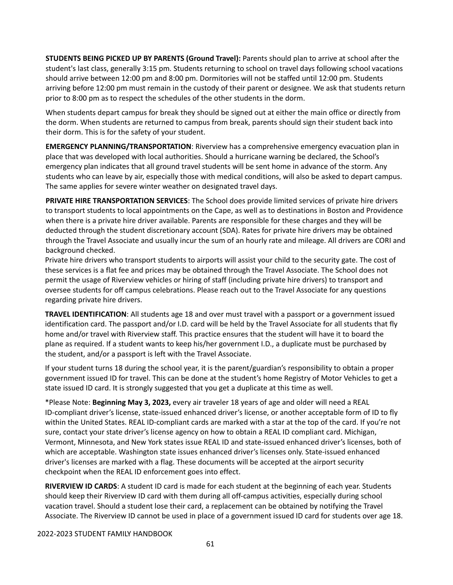**STUDENTS BEING PICKED UP BY PARENTS (Ground Travel):** Parents should plan to arrive at school after the student's last class, generally 3:15 pm. Students returning to school on travel days following school vacations should arrive between 12:00 pm and 8:00 pm. Dormitories will not be staffed until 12:00 pm. Students arriving before 12:00 pm must remain in the custody of their parent or designee. We ask that students return prior to 8:00 pm as to respect the schedules of the other students in the dorm.

When students depart campus for break they should be signed out at either the main office or directly from the dorm. When students are returned to campus from break, parents should sign their student back into their dorm. This is for the safety of your student.

**EMERGENCY PLANNING/TRANSPORTATION**: Riverview has a comprehensive emergency evacuation plan in place that was developed with local authorities. Should a hurricane warning be declared, the School's emergency plan indicates that all ground travel students will be sent home in advance of the storm. Any students who can leave by air, especially those with medical conditions, will also be asked to depart campus. The same applies for severe winter weather on designated travel days.

**PRIVATE HIRE TRANSPORTATION SERVICES**: The School does provide limited services of private hire drivers to transport students to local appointments on the Cape, as well as to destinations in Boston and Providence when there is a private hire driver available. Parents are responsible for these charges and they will be deducted through the student discretionary account (SDA). Rates for private hire drivers may be obtained through the Travel Associate and usually incur the sum of an hourly rate and mileage. All drivers are CORI and background checked.

Private hire drivers who transport students to airports will assist your child to the security gate. The cost of these services is a flat fee and prices may be obtained through the Travel Associate. The School does not permit the usage of Riverview vehicles or hiring of staff (including private hire drivers) to transport and oversee students for off campus celebrations. Please reach out to the Travel Associate for any questions regarding private hire drivers.

**TRAVEL IDENTIFICATION**: All students age 18 and over must travel with a passport or a government issued identification card. The passport and/or I.D. card will be held by the Travel Associate for all students that fly home and/or travel with Riverview staff. This practice ensures that the student will have it to board the plane as required. If a student wants to keep his/her government I.D., a duplicate must be purchased by the student, and/or a passport is left with the Travel Associate.

If your student turns 18 during the school year, it is the parent/guardian's responsibility to obtain a proper government issued ID for travel. This can be done at the student's home Registry of Motor Vehicles to get a state issued ID card. It is strongly suggested that you get a duplicate at this time as well.

\*Please Note: **Beginning May 3, 2023,** every air traveler 18 years of age and older will need a REAL ID-compliant driver's license, state-issued enhanced driver's license, or another acceptable form of ID to fly within the United States. REAL ID-compliant cards are marked with a star at the top of the card. If you're not sure, contact your state driver's license agency on how to obtain a REAL ID compliant card. Michigan, Vermont, Minnesota, and New York states issue REAL ID and state-issued enhanced driver's licenses, both of which are acceptable. Washington state issues enhanced driver's licenses only. State-issued enhanced driver's licenses are marked with a flag. These documents will be accepted at the airport security checkpoint when the REAL ID enforcement goes into effect.

**RIVERVIEW ID CARDS**: A student ID card is made for each student at the beginning of each year. Students should keep their Riverview ID card with them during all off‐campus activities, especially during school vacation travel. Should a student lose their card, a replacement can be obtained by notifying the Travel Associate. The Riverview ID cannot be used in place of a government issued ID card for students over age 18.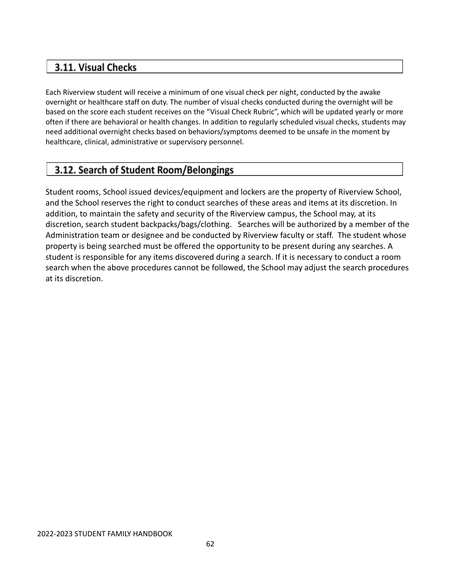## 3.11. Visual Checks

Each Riverview student will receive a minimum of one visual check per night, conducted by the awake overnight or healthcare staff on duty. The number of visual checks conducted during the overnight will be based on the score each student receives on the "Visual Check Rubric", which will be updated yearly or more often if there are behavioral or health changes. In addition to regularly scheduled visual checks, students may need additional overnight checks based on behaviors/symptoms deemed to be unsafe in the moment by healthcare, clinical, administrative or supervisory personnel.

# 3.12. Search of Student Room/Belongings

Student rooms, School issued devices/equipment and lockers are the property of Riverview School, and the School reserves the right to conduct searches of these areas and items at its discretion. In addition, to maintain the safety and security of the Riverview campus, the School may, at its discretion, search student backpacks/bags/clothing. Searches will be authorized by a member of the Administration team or designee and be conducted by Riverview faculty or staff. The student whose property is being searched must be offered the opportunity to be present during any searches. A student is responsible for any items discovered during a search. If it is necessary to conduct a room search when the above procedures cannot be followed, the School may adjust the search procedures at its discretion.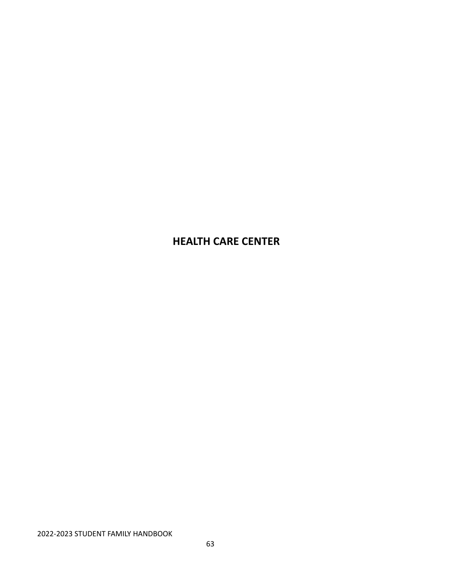# **HEALTH CARE CENTER**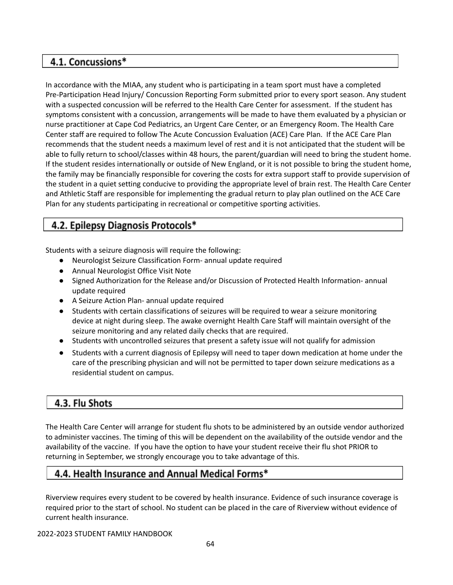# 4.1. Concussions\*

In accordance with the MIAA, any student who is participating in a team sport must have a completed Pre-Participation Head Injury/ Concussion Reporting Form submitted prior to every sport season. Any student with a suspected concussion will be referred to the Health Care Center for assessment. If the student has symptoms consistent with a concussion, arrangements will be made to have them evaluated by a physician or nurse practitioner at Cape Cod Pediatrics, an Urgent Care Center, or an Emergency Room. The Health Care Center staff are required to follow The Acute Concussion Evaluation (ACE) Care Plan. If the ACE Care Plan recommends that the student needs a maximum level of rest and it is not anticipated that the student will be able to fully return to school/classes within 48 hours, the parent/guardian will need to bring the student home. If the student resides internationally or outside of New England, or it is not possible to bring the student home, the family may be financially responsible for covering the costs for extra support staff to provide supervision of the student in a quiet setting conducive to providing the appropriate level of brain rest. The Health Care Center and Athletic Staff are responsible for implementing the gradual return to play plan outlined on the ACE Care Plan for any students participating in recreational or competitive sporting activities.

# 4.2. Epilepsy Diagnosis Protocols\*

Students with a seizure diagnosis will require the following:

- Neurologist Seizure Classification Form- annual update required
- Annual Neurologist Office Visit Note
- Signed Authorization for the Release and/or Discussion of Protected Health Information- annual update required
- A Seizure Action Plan- annual update required
- Students with certain classifications of seizures will be required to wear a seizure monitoring device at night during sleep. The awake overnight Health Care Staff will maintain oversight of the seizure monitoring and any related daily checks that are required.
- Students with uncontrolled seizures that present a safety issue will not qualify for admission
- Students with a current diagnosis of Epilepsy will need to taper down medication at home under the care of the prescribing physician and will not be permitted to taper down seizure medications as a residential student on campus.

# 4.3. Flu Shots

The Health Care Center will arrange for student flu shots to be administered by an outside vendor authorized to administer vaccines. The timing of this will be dependent on the availability of the outside vendor and the availability of the vaccine. If you have the option to have your student receive their flu shot PRIOR to returning in September, we strongly encourage you to take advantage of this.

# 4.4. Health Insurance and Annual Medical Forms\*

Riverview requires every student to be covered by health insurance. Evidence of such insurance coverage is required prior to the start of school. No student can be placed in the care of Riverview without evidence of current health insurance.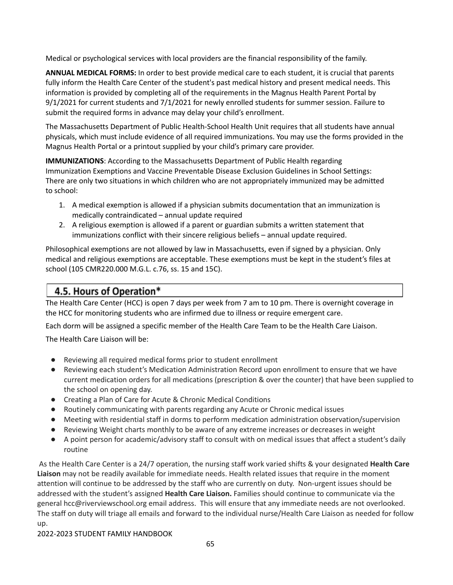Medical or psychological services with local providers are the financial responsibility of the family.

**ANNUAL MEDICAL FORMS:** In order to best provide medical care to each student, it is crucial that parents fully inform the Health Care Center of the student's past medical history and present medical needs. This information is provided by completing all of the requirements in the Magnus Health Parent Portal by 9/1/2021 for current students and 7/1/2021 for newly enrolled students for summer session. Failure to submit the required forms in advance may delay your child's enrollment.

The Massachusetts Department of Public Health‐School Health Unit requires that all students have annual physicals, which must include evidence of all required immunizations. You may use the forms provided in the Magnus Health Portal or a printout supplied by your child's primary care provider.

**IMMUNIZATIONS**: According to the Massachusetts Department of Public Health regarding Immunization Exemptions and Vaccine Preventable Disease Exclusion Guidelines in School Settings: There are only two situations in which children who are not appropriately immunized may be admitted to school:

- 1. A medical exemption is allowed if a physician submits documentation that an immunization is medically contraindicated – annual update required
- 2. A religious exemption is allowed if a parent or guardian submits a written statement that immunizations conflict with their sincere religious beliefs – annual update required.

Philosophical exemptions are not allowed by law in Massachusetts, even if signed by a physician. Only medical and religious exemptions are acceptable. These exemptions must be kept in the student's files at school (105 CMR220.000 M.G.L. c.76, ss. 15 and 15C).

# 4.5. Hours of Operation\*

The Health Care Center (HCC) is open 7 days per week from 7 am to 10 pm. There is overnight coverage in the HCC for monitoring students who are infirmed due to illness or require emergent care.

Each dorm will be assigned a specific member of the Health Care Team to be the Health Care Liaison.

The Health Care Liaison will be:

- Reviewing all required medical forms prior to student enrollment
- Reviewing each student's Medication Administration Record upon enrollment to ensure that we have current medication orders for all medications (prescription & over the counter) that have been supplied to the school on opening day.
- Creating a Plan of Care for Acute & Chronic Medical Conditions
- Routinely communicating with parents regarding any Acute or Chronic medical issues
- Meeting with residential staff in dorms to perform medication administration observation/supervision
- Reviewing Weight charts monthly to be aware of any extreme increases or decreases in weight
- A point person for academic/advisory staff to consult with on medical issues that affect a student's daily routine

As the Health Care Center is a 24/7 operation, the nursing staff work varied shifts & your designated **Health Care Liaison** may not be readily available for immediate needs. Health related issues that require in the moment attention will continue to be addressed by the staff who are currently on duty. Non-urgent issues should be addressed with the student's assigned **Health Care Liaison.** Families should continue to communicate via the general hcc@riverviewschool.org email address. This will ensure that any immediate needs are not overlooked. The staff on duty will triage all emails and forward to the individual nurse/Health Care Liaison as needed for follow up.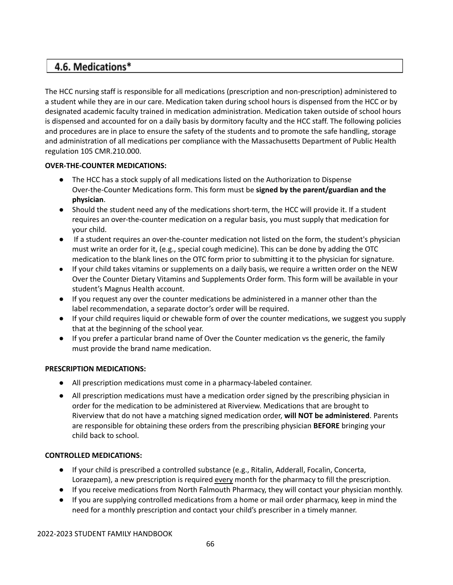## 4.6. Medications\*

The HCC nursing staff is responsible for all medications (prescription and non‐prescription) administered to a student while they are in our care. Medication taken during school hours is dispensed from the HCC or by designated academic faculty trained in medication administration. Medication taken outside of school hours is dispensed and accounted for on a daily basis by dormitory faculty and the HCC staff. The following policies and procedures are in place to ensure the safety of the students and to promote the safe handling, storage and administration of all medications per compliance with the Massachusetts Department of Public Health regulation 105 CMR.210.000.

## **OVER‐THE‐COUNTER MEDICATIONS:**

- The HCC has a stock supply of all medications listed on the Authorization to Dispense Over‐the‐Counter Medications form. This form must be **signed by the parent/guardian and the physician**.
- Should the student need any of the medications short-term, the HCC will provide it. If a student requires an over-the-counter medication on a regular basis, you must supply that medication for your child.
- If a student requires an over-the-counter medication not listed on the form, the student's physician must write an order for it, (e.g., special cough medicine). This can be done by adding the OTC medication to the blank lines on the OTC form prior to submitting it to the physician for signature.
- If your child takes vitamins or supplements on a daily basis, we require a written order on the NEW Over the Counter Dietary Vitamins and Supplements Order form. This form will be available in your student's Magnus Health account.
- If you request any over the counter medications be administered in a manner other than the label recommendation, a separate doctor's order will be required.
- If your child requires liquid or chewable form of over the counter medications, we suggest you supply that at the beginning of the school year.
- If you prefer a particular brand name of Over the Counter medication vs the generic, the family must provide the brand name medication.

### **PRESCRIPTION MEDICATIONS:**

- All prescription medications must come in a pharmacy-labeled container.
- All prescription medications must have a medication order signed by the prescribing physician in order for the medication to be administered at Riverview. Medications that are brought to Riverview that do not have a matching signed medication order, **will NOT be administered**. Parents are responsible for obtaining these orders from the prescribing physician **BEFORE** bringing your child back to school.

### **CONTROLLED MEDICATIONS:**

- If your child is prescribed a controlled substance (e.g., Ritalin, Adderall, Focalin, Concerta, Lorazepam), a new prescription is required every month for the pharmacy to fill the prescription.
- If you receive medications from North Falmouth Pharmacy, they will contact your physician monthly.
- If you are supplying controlled medications from a home or mail order pharmacy, keep in mind the need for a monthly prescription and contact your child's prescriber in a timely manner.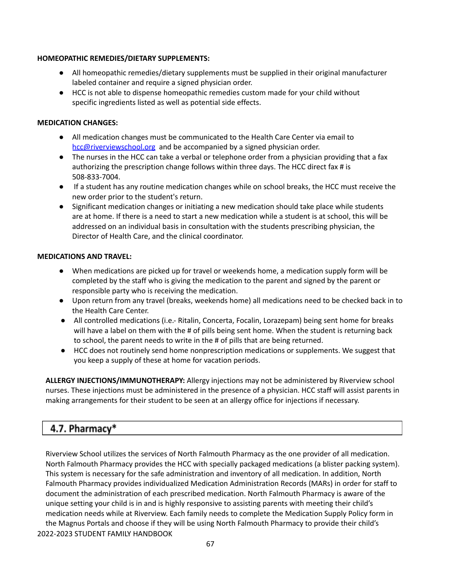### **HOMEOPATHIC REMEDIES/DIETARY SUPPLEMENTS:**

- All homeopathic remedies/dietary supplements must be supplied in their original manufacturer labeled container and require a signed physician order.
- HCC is not able to dispense homeopathic remedies custom made for your child without specific ingredients listed as well as potential side effects.

## **MEDICATION CHANGES:**

- All medication changes must be communicated to the Health Care Center via email to [hcc@riverviewschool.org](mailto:hcc@riverviewschool.org) and be accompanied by a signed physician order.
- The nurses in the HCC can take a verbal or telephone order from a physician providing that a fax authorizing the prescription change follows within three days. The HCC direct fax # is 508‐833‐7004.
- If a student has any routine medication changes while on school breaks, the HCC must receive the new order prior to the student's return.
- Significant medication changes or initiating a new medication should take place while students are at home. If there is a need to start a new medication while a student is at school, this will be addressed on an individual basis in consultation with the students prescribing physician, the Director of Health Care, and the clinical coordinator.

## **MEDICATIONS AND TRAVEL:**

- When medications are picked up for travel or weekends home, a medication supply form will be completed by the staff who is giving the medication to the parent and signed by the parent or responsible party who is receiving the medication.
- Upon return from any travel (breaks, weekends home) all medications need to be checked back in to the Health Care Center.
- All controlled medications (i.e.- Ritalin, Concerta, Focalin, Lorazepam) being sent home for breaks will have a label on them with the # of pills being sent home. When the student is returning back to school, the parent needs to write in the # of pills that are being returned.
- HCC does not routinely send home nonprescription medications or supplements. We suggest that you keep a supply of these at home for vacation periods.

**ALLERGY INJECTIONS/IMMUNOTHERAPY:** Allergy injections may not be administered by Riverview school nurses. These injections must be administered in the presence of a physician. HCC staff will assist parents in making arrangements for their student to be seen at an allergy office for injections if necessary.

# 4.7. Pharmacy\*

Riverview School utilizes the services of North Falmouth Pharmacy as the one provider of all medication. North Falmouth Pharmacy provides the HCC with specially packaged medications (a blister packing system). This system is necessary for the safe administration and inventory of all medication. In addition, North Falmouth Pharmacy provides individualized Medication Administration Records (MARs) in order for staff to document the administration of each prescribed medication. North Falmouth Pharmacy is aware of the unique setting your child is in and is highly responsive to assisting parents with meeting their child's medication needs while at Riverview. Each family needs to complete the Medication Supply Policy form in the Magnus Portals and choose if they will be using North Falmouth Pharmacy to provide their child's 2022-2023 STUDENT FAMILY HANDBOOK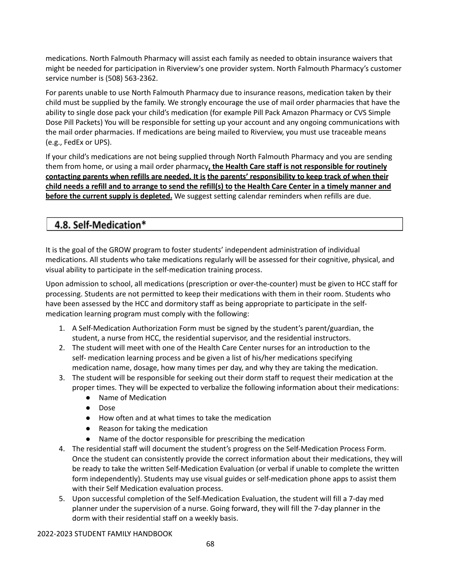medications. North Falmouth Pharmacy will assist each family as needed to obtain insurance waivers that might be needed for participation in Riverview's one provider system. North Falmouth Pharmacy's customer service number is (508) 563‐2362.

For parents unable to use North Falmouth Pharmacy due to insurance reasons, medication taken by their child must be supplied by the family. We strongly encourage the use of mail order pharmacies that have the ability to single dose pack your child's medication (for example Pill Pack Amazon Pharmacy or CVS Simple Dose Pill Packets) You will be responsible for setting up your account and any ongoing communications with the mail order pharmacies. If medications are being mailed to Riverview, you must use traceable means (e.g., FedEx or UPS).

If your child's medications are not being supplied through North Falmouth Pharmacy and you are sending them from home, or using a mail order pharmacy**, the Health Care staff is not responsible for routinely contacting parents when refills are needed. It is the parents' responsibility to keep track of when their** child needs a refill and to arrange to send the refill(s) to the Health Care Center in a timely manner and **before the current supply is depleted.** We suggest setting calendar reminders when refills are due.

# 4.8. Self-Medication\*

It is the goal of the GROW program to foster students' independent administration of individual medications. All students who take medications regularly will be assessed for their cognitive, physical, and visual ability to participate in the self‐medication training process.

Upon admission to school, all medications (prescription or over‐the‐counter) must be given to HCC staff for processing. Students are not permitted to keep their medications with them in their room. Students who have been assessed by the HCC and dormitory staff as being appropriate to participate in the selfmedication learning program must comply with the following:

- 1. A Self-Medication Authorization Form must be signed by the student's parent/guardian, the student, a nurse from HCC, the residential supervisor, and the residential instructors.
- 2. The student will meet with one of the Health Care Center nurses for an introduction to the self- medication learning process and be given a list of his/her medications specifying medication name, dosage, how many times per day, and why they are taking the medication.
- 3. The student will be responsible for seeking out their dorm staff to request their medication at the proper times. They will be expected to verbalize the following information about their medications:
	- Name of Medication
	- Dose
	- How often and at what times to take the medication
	- Reason for taking the medication
	- Name of the doctor responsible for prescribing the medication
- 4. The residential staff will document the student's progress on the Self‐Medication Process Form. Once the student can consistently provide the correct information about their medications, they will be ready to take the written Self-Medication Evaluation (or verbal if unable to complete the written form independently). Students may use visual guides or self-medication phone apps to assist them with their Self Medication evaluation process.
- 5. Upon successful completion of the Self-Medication Evaluation, the student will fill a 7-day med planner under the supervision of a nurse. Going forward, they will fill the 7‐day planner in the dorm with their residential staff on a weekly basis.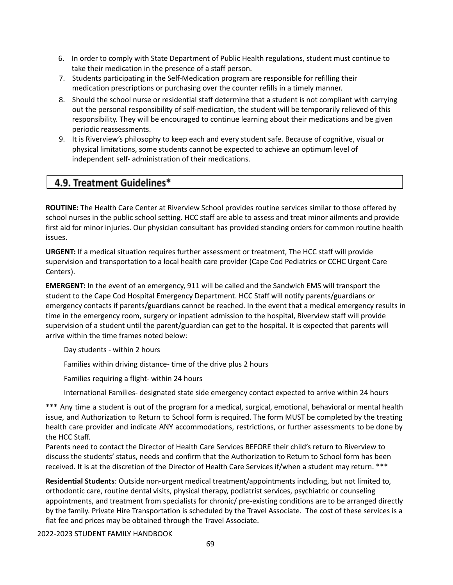- 6. In order to comply with State Department of Public Health regulations, student must continue to take their medication in the presence of a staff person.
- 7. Students participating in the Self-Medication program are responsible for refilling their medication prescriptions or purchasing over the counter refills in a timely manner.
- 8. Should the school nurse or residential staff determine that a student is not compliant with carrying out the personal responsibility of self-medication, the student will be temporarily relieved of this responsibility. They will be encouraged to continue learning about their medications and be given periodic reassessments.
- 9. It is Riverview's philosophy to keep each and every student safe. Because of cognitive, visual or physical limitations, some students cannot be expected to achieve an optimum level of independent self‐ administration of their medications.

## 4.9. Treatment Guidelines\*

**ROUTINE:** The Health Care Center at Riverview School provides routine services similar to those offered by school nurses in the public school setting. HCC staff are able to assess and treat minor ailments and provide first aid for minor injuries. Our physician consultant has provided standing orders for common routine health issues.

**URGENT:** If a medical situation requires further assessment or treatment, The HCC staff will provide supervision and transportation to a local health care provider (Cape Cod Pediatrics or CCHC Urgent Care Centers).

**EMERGENT:** In the event of an emergency, 911 will be called and the Sandwich EMS will transport the student to the Cape Cod Hospital Emergency Department. HCC Staff will notify parents/guardians or emergency contacts if parents/guardians cannot be reached. In the event that a medical emergency results in time in the emergency room, surgery or inpatient admission to the hospital, Riverview staff will provide supervision of a student until the parent/guardian can get to the hospital. It is expected that parents will arrive within the time frames noted below:

Day students - within 2 hours

Families within driving distance- time of the drive plus 2 hours

Families requiring a flight- within 24 hours

International Families- designated state side emergency contact expected to arrive within 24 hours

\*\*\* Any time a student is out of the program for a medical, surgical, emotional, behavioral or mental health issue, and Authorization to Return to School form is required. The form MUST be completed by the treating health care provider and indicate ANY accommodations, restrictions, or further assessments to be done by the HCC Staff.

Parents need to contact the Director of Health Care Services BEFORE their child's return to Riverview to discuss the students' status, needs and confirm that the Authorization to Return to School form has been received. It is at the discretion of the Director of Health Care Services if/when a student may return. \*\*\*

**Residential Students**: Outside non‐urgent medical treatment/appointments including, but not limited to, orthodontic care, routine dental visits, physical therapy, podiatrist services, psychiatric or counseling appointments, and treatment from specialists for chronic/ pre‐existing conditions are to be arranged directly by the family. Private Hire Transportation is scheduled by the Travel Associate. The cost of these services is a flat fee and prices may be obtained through the Travel Associate.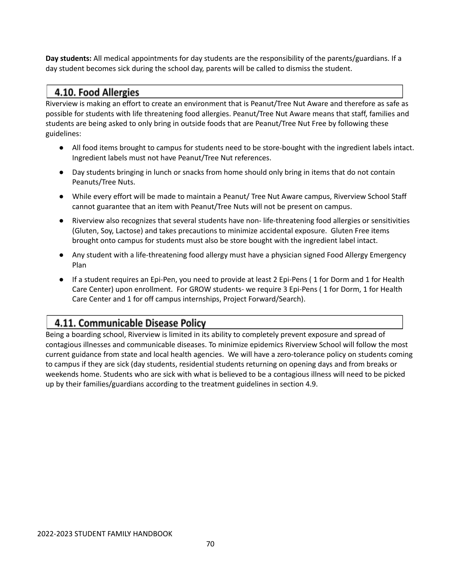**Day students:** All medical appointments for day students are the responsibility of the parents/guardians. If a day student becomes sick during the school day, parents will be called to dismiss the student.

## 4.10. Food Allergies

Riverview is making an effort to create an environment that is Peanut/Tree Nut Aware and therefore as safe as possible for students with life threatening food allergies. Peanut/Tree Nut Aware means that staff, families and students are being asked to only bring in outside foods that are Peanut/Tree Nut Free by following these guidelines:

- All food items brought to campus for students need to be store-bought with the ingredient labels intact. Ingredient labels must not have Peanut/Tree Nut references.
- Day students bringing in lunch or snacks from home should only bring in items that do not contain Peanuts/Tree Nuts.
- While every effort will be made to maintain a Peanut/ Tree Nut Aware campus, Riverview School Staff cannot guarantee that an item with Peanut/Tree Nuts will not be present on campus.
- Riverview also recognizes that several students have non- life-threatening food allergies or sensitivities (Gluten, Soy, Lactose) and takes precautions to minimize accidental exposure. Gluten Free items brought onto campus for students must also be store bought with the ingredient label intact.
- Any student with a life-threatening food allergy must have a physician signed Food Allergy Emergency Plan
- If a student requires an Epi-Pen, you need to provide at least 2 Epi-Pens ( 1 for Dorm and 1 for Health Care Center) upon enrollment. For GROW students- we require 3 Epi-Pens ( 1 for Dorm, 1 for Health Care Center and 1 for off campus internships, Project Forward/Search).

# 4.11. Communicable Disease Policy

Being a boarding school, Riverview is limited in its ability to completely prevent exposure and spread of contagious illnesses and communicable diseases. To minimize epidemics Riverview School will follow the most current guidance from state and local health agencies. We will have a zero-tolerance policy on students coming to campus if they are sick (day students, residential students returning on opening days and from breaks or weekends home. Students who are sick with what is believed to be a contagious illness will need to be picked up by their families/guardians according to the treatment guidelines in section 4.9.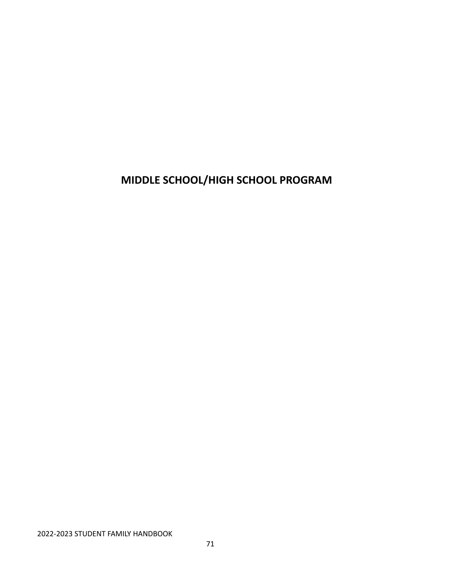**MIDDLE SCHOOL/HIGH SCHOOL PROGRAM**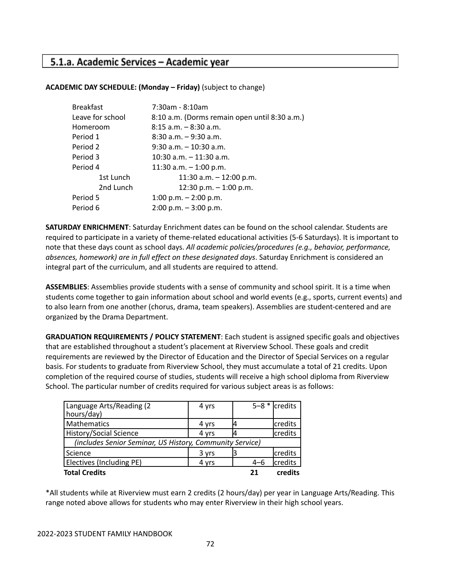## 5.1.a. Academic Services - Academic year

## **ACADEMIC DAY SCHEDULE: (Monday – Friday)** (subject to change)

| <b>Breakfast</b> | 7:30am - 8:10am                               |
|------------------|-----------------------------------------------|
| Leave for school | 8:10 a.m. (Dorms remain open until 8:30 a.m.) |
| Homeroom         | $8:15$ a.m. $-8:30$ a.m.                      |
| Period 1         | $8:30$ a.m. $-9:30$ a.m.                      |
| Period 2         | $9:30$ a.m. $-10:30$ a.m.                     |
| Period 3         | $10:30$ a.m. $-11:30$ a.m.                    |
| Period 4         | 11:30 a.m. $-$ 1:00 p.m.                      |
| 1st Lunch        | 11:30 a.m. $-$ 12:00 p.m.                     |
| 2nd Lunch        | 12:30 p.m. $-$ 1:00 p.m.                      |
| Period 5         | 1:00 p.m. $-$ 2:00 p.m.                       |
| Period 6         | $2:00$ p.m. $-3:00$ p.m.                      |

**SATURDAY ENRICHMENT**: Saturday Enrichment dates can be found on the school calendar. Students are required to participate in a variety of theme‐related educational activities (5‐6 Saturdays). It is important to note that these days count as school days. *All academic policies/procedures (e.g., behavior, performance, absences, homework) are in full effect on these designated days*. Saturday Enrichment is considered an integral part of the curriculum, and all students are required to attend.

**ASSEMBLIES**: Assemblies provide students with a sense of community and school spirit. It is a time when students come together to gain information about school and world events (e.g., sports, current events) and to also learn from one another (chorus, drama, team speakers). Assemblies are student‐centered and are organized by the Drama Department.

**GRADUATION REQUIREMENTS / POLICY STATEMENT**: Each student is assigned specific goals and objectives that are established throughout a student's placement at Riverview School. These goals and credit requirements are reviewed by the Director of Education and the Director of Special Services on a regular basis. For students to graduate from Riverview School, they must accumulate a total of 21 credits. Upon completion of the required course of studies, students will receive a high school diploma from Riverview School. The particular number of credits required for various subject areas is as follows:

| Language Arts/Reading (2                                 | 4 yrs |  |         | $5-8$ * credits |  |
|----------------------------------------------------------|-------|--|---------|-----------------|--|
| hours/day)                                               |       |  |         |                 |  |
| Mathematics                                              | 4 yrs |  |         | credits         |  |
| History/Social Science                                   | 4 yrs |  |         | credits         |  |
| (includes Senior Seminar, US History, Community Service) |       |  |         |                 |  |
| Science                                                  | 3 yrs |  |         | credits         |  |
| <b>Electives (Including PE)</b>                          | 4 yrs |  | $4 - 6$ | credits         |  |
| <b>Total Credits</b>                                     |       |  | 21      | credits         |  |

\*All students while at Riverview must earn 2 credits (2 hours/day) per year in Language Arts/Reading. This range noted above allows for students who may enter Riverview in their high school years.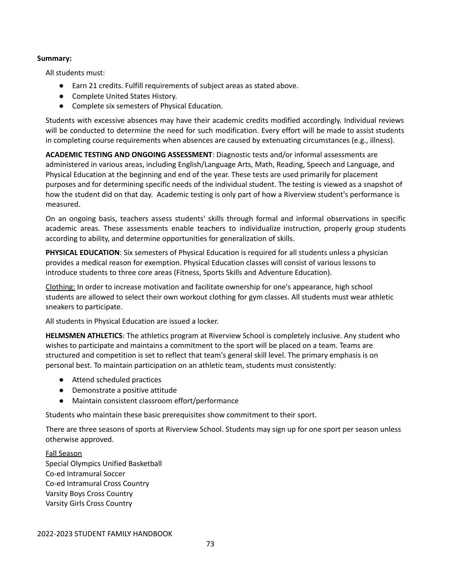### **Summary:**

All students must:

- Earn 21 credits. Fulfill requirements of subject areas as stated above.
- Complete United States History.
- Complete six semesters of Physical Education.

Students with excessive absences may have their academic credits modified accordingly. Individual reviews will be conducted to determine the need for such modification. Every effort will be made to assist students in completing course requirements when absences are caused by extenuating circumstances (e.g., illness).

**ACADEMIC TESTING AND ONGOING ASSESSMENT**: Diagnostic tests and/or informal assessments are administered in various areas, including English/Language Arts, Math, Reading, Speech and Language, and Physical Education at the beginning and end of the year. These tests are used primarily for placement purposes and for determining specific needs of the individual student. The testing is viewed as a snapshot of how the student did on that day. Academic testing is only part of how a Riverview student's performance is measured.

On an ongoing basis, teachers assess students' skills through formal and informal observations in specific academic areas. These assessments enable teachers to individualize instruction, properly group students according to ability, and determine opportunities for generalization of skills.

**PHYSICAL EDUCATION**: Six semesters of Physical Education is required for all students unless a physician provides a medical reason for exemption. Physical Education classes will consist of various lessons to introduce students to three core areas (Fitness, Sports Skills and Adventure Education).

Clothing: In order to increase motivation and facilitate ownership for one's appearance, high school students are allowed to select their own workout clothing for gym classes. All students must wear athletic sneakers to participate.

All students in Physical Education are issued a locker.

**HELMSMEN ATHLETICS**: The athletics program at Riverview School is completely inclusive. Any student who wishes to participate and maintains a commitment to the sport will be placed on a team. Teams are structured and competition is set to reflect that team's general skill level. The primary emphasis is on personal best. To maintain participation on an athletic team, students must consistently:

- Attend scheduled practices
- Demonstrate a positive attitude
- Maintain consistent classroom effort/performance

Students who maintain these basic prerequisites show commitment to their sport.

There are three seasons of sports at Riverview School. Students may sign up for one sport per season unless otherwise approved.

### Fall Season

Special Olympics Unified Basketball Co‐ed Intramural Soccer Co‐ed Intramural Cross Country Varsity Boys Cross Country Varsity Girls Cross Country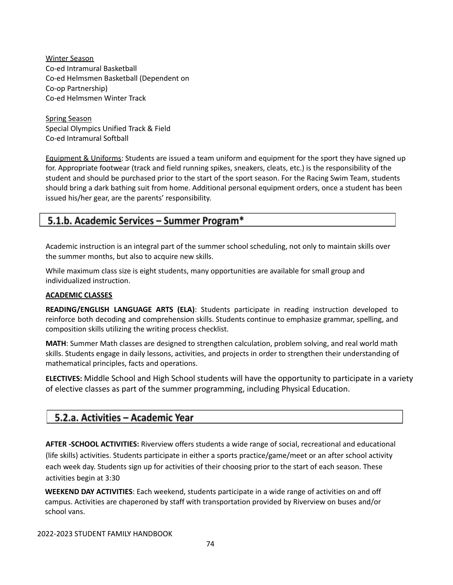Winter Season Co‐ed Intramural Basketball Co‐ed Helmsmen Basketball (Dependent on Co-op Partnership) Co‐ed Helmsmen Winter Track

Spring Season Special Olympics Unified Track & Field Co‐ed Intramural Softball

Equipment & Uniforms: Students are issued a team uniform and equipment for the sport they have signed up for. Appropriate footwear (track and field running spikes, sneakers, cleats, etc.) is the responsibility of the student and should be purchased prior to the start of the sport season. For the Racing Swim Team, students should bring a dark bathing suit from home. Additional personal equipment orders, once a student has been issued his/her gear, are the parents' responsibility.

## 5.1.b. Academic Services – Summer Program\*

Academic instruction is an integral part of the summer school scheduling, not only to maintain skills over the summer months, but also to acquire new skills.

While maximum class size is eight students, many opportunities are available for small group and individualized instruction.

### **ACADEMIC CLASSES**

**READING/ENGLISH LANGUAGE ARTS (ELA)**: Students participate in reading instruction developed to reinforce both decoding and comprehension skills. Students continue to emphasize grammar, spelling, and composition skills utilizing the writing process checklist.

**MATH**: Summer Math classes are designed to strengthen calculation, problem solving, and real world math skills. Students engage in daily lessons, activities, and projects in order to strengthen their understanding of mathematical principles, facts and operations.

**ELECTIVES:** Middle School and High School students will have the opportunity to participate in a variety of elective classes as part of the summer programming, including Physical Education.

## 5.2.a. Activities - Academic Year

**AFTER ‐SCHOOL ACTIVITIES:** Riverview offers students a wide range of social, recreational and educational (life skills) activities. Students participate in either a sports practice/game/meet or an after school activity each week day. Students sign up for activities of their choosing prior to the start of each season. These activities begin at 3:30

**WEEKEND DAY ACTIVITIES**: Each weekend, students participate in a wide range of activities on and off campus. Activities are chaperoned by staff with transportation provided by Riverview on buses and/or school vans.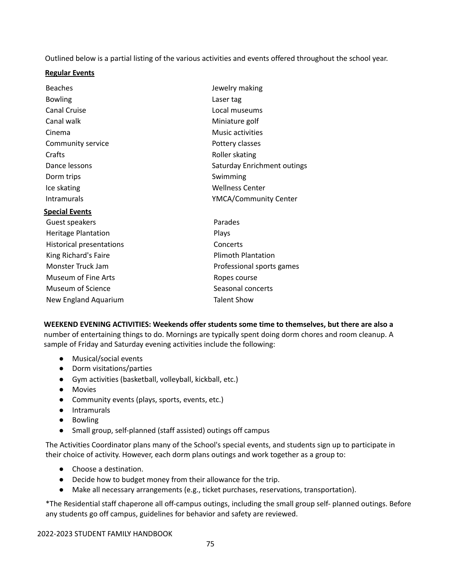Outlined below is a partial listing of the various activities and events offered throughout the school year.

### **Regular Events**

| <b>Beaches</b>                  | Jewelry making               |  |
|---------------------------------|------------------------------|--|
| <b>Bowling</b>                  | Laser tag                    |  |
| <b>Canal Cruise</b>             | Local museums                |  |
| Canal walk                      | Miniature golf               |  |
| Cinema                          | Music activities             |  |
| Community service               | Pottery classes              |  |
| Crafts                          | Roller skating               |  |
| Dance lessons                   | Saturday Enrichment outings  |  |
| Dorm trips                      | Swimming                     |  |
| Ice skating                     | <b>Wellness Center</b>       |  |
| Intramurals                     | <b>YMCA/Community Center</b> |  |
| <b>Special Events</b>           |                              |  |
| Guest speakers                  | Parades                      |  |
| <b>Heritage Plantation</b>      | Plays                        |  |
| <b>Historical presentations</b> | Concerts                     |  |
| King Richard's Faire            | <b>Plimoth Plantation</b>    |  |
| Monster Truck Jam               | Professional sports games    |  |
| <b>Museum of Fine Arts</b>      | Ropes course                 |  |
| Museum of Science               | Seasonal concerts            |  |
| New England Aquarium            | <b>Talent Show</b>           |  |
|                                 |                              |  |

**WEEKEND EVENING ACTIVITIES: Weekends offer students some time to themselves, but there are also a** number of entertaining things to do. Mornings are typically spent doing dorm chores and room cleanup. A sample of Friday and Saturday evening activities include the following:

- Musical/social events
- Dorm visitations/parties
- Gym activities (basketball, volleyball, kickball, etc.)
- Movies
- Community events (plays, sports, events, etc.)
- Intramurals
- Bowling
- Small group, self-planned (staff assisted) outings off campus

The Activities Coordinator plans many of the School's special events, and students sign up to participate in their choice of activity. However, each dorm plans outings and work together as a group to:

- Choose a destination.
- Decide how to budget money from their allowance for the trip.
- Make all necessary arrangements (e.g., ticket purchases, reservations, transportation).

\*The Residential staff chaperone all off‐campus outings, including the small group self‐ planned outings. Before any students go off campus, guidelines for behavior and safety are reviewed.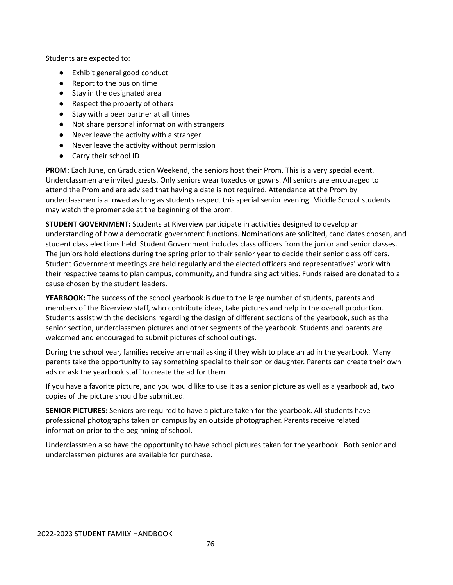Students are expected to:

- Exhibit general good conduct
- Report to the bus on time
- Stay in the designated area
- Respect the property of others
- Stay with a peer partner at all times
- Not share personal information with strangers
- Never leave the activity with a stranger
- Never leave the activity without permission
- Carry their school ID

**PROM:** Each June, on Graduation Weekend, the seniors host their Prom. This is a very special event. Underclassmen are invited guests. Only seniors wear tuxedos or gowns. All seniors are encouraged to attend the Prom and are advised that having a date is not required. Attendance at the Prom by underclassmen is allowed as long as students respect this special senior evening. Middle School students may watch the promenade at the beginning of the prom.

**STUDENT GOVERNMENT:** Students at Riverview participate in activities designed to develop an understanding of how a democratic government functions. Nominations are solicited, candidates chosen, and student class elections held. Student Government includes class officers from the junior and senior classes. The juniors hold elections during the spring prior to their senior year to decide their senior class officers. Student Government meetings are held regularly and the elected officers and representatives' work with their respective teams to plan campus, community, and fundraising activities. Funds raised are donated to a cause chosen by the student leaders.

**YEARBOOK:** The success of the school yearbook is due to the large number of students, parents and members of the Riverview staff, who contribute ideas, take pictures and help in the overall production. Students assist with the decisions regarding the design of different sections of the yearbook, such as the senior section, underclassmen pictures and other segments of the yearbook. Students and parents are welcomed and encouraged to submit pictures of school outings.

During the school year, families receive an email asking if they wish to place an ad in the yearbook. Many parents take the opportunity to say something special to their son or daughter. Parents can create their own ads or ask the yearbook staff to create the ad for them.

If you have a favorite picture, and you would like to use it as a senior picture as well as a yearbook ad, two copies of the picture should be submitted.

**SENIOR PICTURES:** Seniors are required to have a picture taken for the yearbook. All students have professional photographs taken on campus by an outside photographer. Parents receive related information prior to the beginning of school.

Underclassmen also have the opportunity to have school pictures taken for the yearbook. Both senior and underclassmen pictures are available for purchase.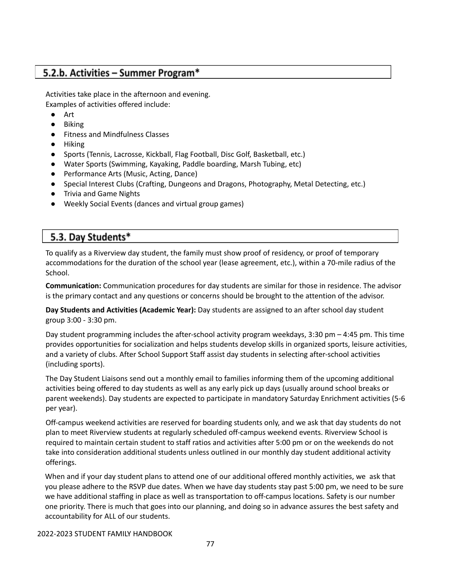## 5.2.b. Activities - Summer Program\*

Activities take place in the afternoon and evening. Examples of activities offered include:

- Art
- Biking
- Fitness and Mindfulness Classes
- Hiking
- Sports (Tennis, Lacrosse, Kickball, Flag Football, Disc Golf, Basketball, etc.)
- Water Sports (Swimming, Kayaking, Paddle boarding, Marsh Tubing, etc)
- Performance Arts (Music, Acting, Dance)
- Special Interest Clubs (Crafting, Dungeons and Dragons, Photography, Metal Detecting, etc.)
- Trivia and Game Nights
- Weekly Social Events (dances and virtual group games)

## 5.3. Day Students\*

To qualify as a Riverview day student, the family must show proof of residency, or proof of temporary accommodations for the duration of the school year (lease agreement, etc.), within a 70-mile radius of the School.

**Communication:** Communication procedures for day students are similar for those in residence. The advisor is the primary contact and any questions or concerns should be brought to the attention of the advisor.

**Day Students and Activities (Academic Year):** Day students are assigned to an after school day student group 3:00 ‐ 3:30 pm.

Day student programming includes the after‐school activity program weekdays, 3:30 pm – 4:45 pm. This time provides opportunities for socialization and helps students develop skills in organized sports, leisure activities, and a variety of clubs. After School Support Staff assist day students in selecting after‐school activities (including sports).

The Day Student Liaisons send out a monthly email to families informing them of the upcoming additional activities being offered to day students as well as any early pick up days (usually around school breaks or parent weekends). Day students are expected to participate in mandatory Saturday Enrichment activities (5‐6 per year).

Off-campus weekend activities are reserved for boarding students only, and we ask that day students do not plan to meet Riverview students at regularly scheduled off‐campus weekend events. Riverview School is required to maintain certain student to staff ratios and activities after 5:00 pm or on the weekends do not take into consideration additional students unless outlined in our monthly day student additional activity offerings.

When and if your day student plans to attend one of our additional offered monthly activities, we ask that you please adhere to the RSVP due dates. When we have day students stay past 5:00 pm, we need to be sure we have additional staffing in place as well as transportation to off‐campus locations. Safety is our number one priority. There is much that goes into our planning, and doing so in advance assures the best safety and accountability for ALL of our students.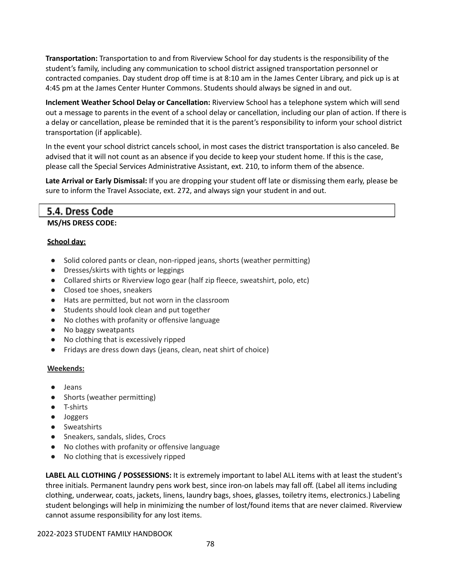**Transportation:** Transportation to and from Riverview School for day students is the responsibility of the student's family, including any communication to school district assigned transportation personnel or contracted companies. Day student drop off time is at 8:10 am in the James Center Library, and pick up is at 4:45 pm at the James Center Hunter Commons. Students should always be signed in and out.

**Inclement Weather School Delay or Cancellation:** Riverview School has a telephone system which will send out a message to parents in the event of a school delay or cancellation, including our plan of action. If there is a delay or cancellation, please be reminded that it is the parent's responsibility to inform your school district transportation (if applicable).

In the event your school district cancels school, in most cases the district transportation is also canceled. Be advised that it will not count as an absence if you decide to keep your student home. If this is the case, please call the Special Services Administrative Assistant, ext. 210, to inform them of the absence.

**Late Arrival or Early Dismissal:** If you are dropping your student off late or dismissing them early, please be sure to inform the Travel Associate, ext. 272, and always sign your student in and out.

### 5.4. Dress Code

### **MS/HS DRESS CODE:**

### **School day:**

- Solid colored pants or clean, non-ripped jeans, shorts (weather permitting)
- Dresses/skirts with tights or leggings
- Collared shirts or Riverview logo gear (half zip fleece, sweatshirt, polo, etc)
- Closed toe shoes, sneakers
- Hats are permitted, but not worn in the classroom
- Students should look clean and put together
- No clothes with profanity or offensive language
- No baggy sweatpants
- No clothing that is excessively ripped
- Fridays are dress down days (jeans, clean, neat shirt of choice)

### **Weekends:**

- Jeans
- Shorts (weather permitting)
- T-shirts
- Joggers
- Sweatshirts
- Sneakers, sandals, slides, Crocs
- No clothes with profanity or offensive language
- No clothing that is excessively ripped

**LABEL ALL CLOTHING / POSSESSIONS:** It is extremely important to label ALL items with at least the student's three initials. Permanent laundry pens work best, since iron‐on labels may fall off. (Label all items including clothing, underwear, coats, jackets, linens, laundry bags, shoes, glasses, toiletry items, electronics.) Labeling student belongings will help in minimizing the number of lost/found items that are never claimed. Riverview cannot assume responsibility for any lost items.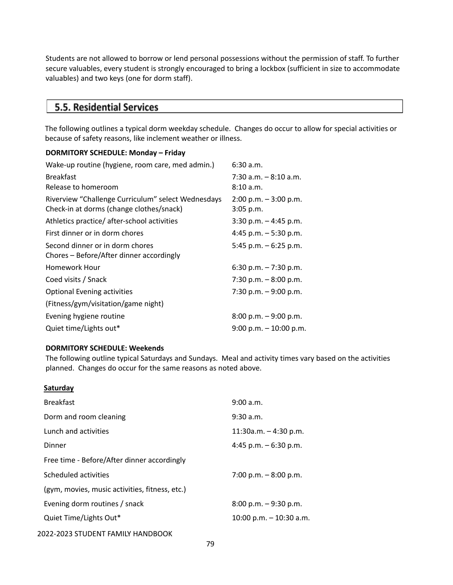Students are not allowed to borrow or lend personal possessions without the permission of staff. To further secure valuables, every student is strongly encouraged to bring a lockbox (sufficient in size to accommodate valuables) and two keys (one for dorm staff).

## 5.5. Residential Services

The following outlines a typical dorm weekday schedule. Changes do occur to allow for special activities or because of safety reasons, like inclement weather or illness.

### **DORMITORY SCHEDULE: Monday – Friday**

| Wake-up routine (hygiene, room care, med admin.)   | 6:30 a.m.                 |
|----------------------------------------------------|---------------------------|
| <b>Breakfast</b>                                   | $7:30$ a.m. $-8:10$ a.m.  |
| Release to homeroom                                | 8:10 a.m.                 |
| Riverview "Challenge Curriculum" select Wednesdays | $2:00$ p.m. $-3:00$ p.m.  |
| Check-in at dorms (change clothes/snack)           | $3:05$ p.m.               |
| Athletics practice/after-school activities         | $3:30$ p.m. $-4:45$ p.m.  |
| First dinner or in dorm chores                     | 4:45 p.m. $-5:30$ p.m.    |
| Second dinner or in dorm chores                    | 5:45 p.m. $-6:25$ p.m.    |
| Chores – Before/After dinner accordingly           |                           |
| Homework Hour                                      | 6:30 p.m. $-7:30$ p.m.    |
| Coed visits / Snack                                | 7:30 p.m. $-8:00$ p.m.    |
| <b>Optional Evening activities</b>                 | 7:30 p.m. $-9:00$ p.m.    |
| (Fitness/gym/visitation/game night)                |                           |
| Evening hygiene routine                            | $8:00$ p.m. $-9:00$ p.m.  |
| Quiet time/Lights out*                             | $9:00$ p.m. $-10:00$ p.m. |

### **DORMITORY SCHEDULE: Weekends**

The following outline typical Saturdays and Sundays. Meal and activity times vary based on the activities planned. Changes do occur for the same reasons as noted above.

### **Saturday**

| <b>Breakfast</b>                               | 9:00 a.m.                 |
|------------------------------------------------|---------------------------|
| Dorm and room cleaning                         | $9:30$ a.m.               |
| Lunch and activities                           | $11:30$ a.m. $-4:30$ p.m. |
| Dinner                                         | 4:45 p.m. $-6:30$ p.m.    |
| Free time - Before/After dinner accordingly    |                           |
| Scheduled activities                           | 7:00 p.m. $-8:00$ p.m.    |
| (gym, movies, music activities, fitness, etc.) |                           |
| Evening dorm routines / snack                  | $8:00$ p.m. $-9:30$ p.m.  |
| Quiet Time/Lights Out*                         | 10:00 p.m. $-$ 10:30 a.m. |
| 2022-2023 STUDENT FAMILY HANDBOOK              |                           |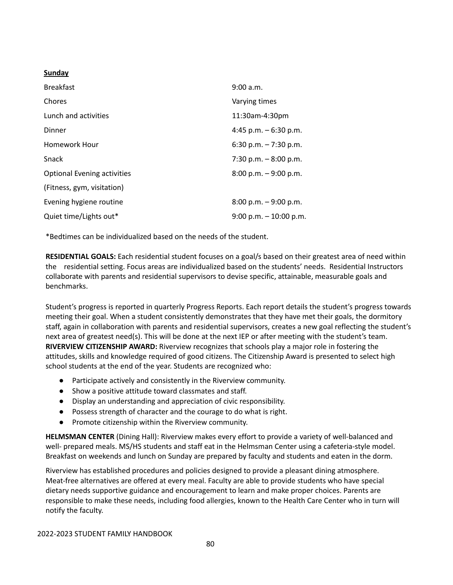### **Sunday**

| <b>Breakfast</b>                   | 9:00 a.m.                 |
|------------------------------------|---------------------------|
| Chores                             | Varying times             |
| Lunch and activities               | 11:30am-4:30pm            |
| Dinner                             | 4:45 p.m. $-6:30$ p.m.    |
| Homework Hour                      | $6:30$ p.m. $-7:30$ p.m.  |
| <b>Snack</b>                       | 7:30 p.m. $-8:00$ p.m.    |
| <b>Optional Evening activities</b> | $8:00$ p.m. $-9:00$ p.m.  |
| (Fitness, gym, visitation)         |                           |
| Evening hygiene routine            | $8:00$ p.m. $-9:00$ p.m.  |
| Quiet time/Lights out*             | $9:00$ p.m. $-10:00$ p.m. |

\*Bedtimes can be individualized based on the needs of the student.

**RESIDENTIAL GOALS:** Each residential student focuses on a goal/s based on their greatest area of need within the residential setting. Focus areas are individualized based on the students' needs. Residential Instructors collaborate with parents and residential supervisors to devise specific, attainable, measurable goals and benchmarks.

Student's progress is reported in quarterly Progress Reports. Each report details the student's progress towards meeting their goal. When a student consistently demonstrates that they have met their goals, the dormitory staff, again in collaboration with parents and residential supervisors, creates a new goal reflecting the student's next area of greatest need(s). This will be done at the next IEP or after meeting with the student's team. **RIVERVIEW CITIZENSHIP AWARD:** Riverview recognizes that schools play a major role in fostering the attitudes, skills and knowledge required of good citizens. The Citizenship Award is presented to select high school students at the end of the year. Students are recognized who:

- Participate actively and consistently in the Riverview community.
- Show a positive attitude toward classmates and staff.
- Display an understanding and appreciation of civic responsibility.
- Possess strength of character and the courage to do what is right.
- Promote citizenship within the Riverview community.

**HELMSMAN CENTER** (Dining Hall): Riverview makes every effort to provide a variety of well‐balanced and well- prepared meals. MS/HS students and staff eat in the Helmsman Center using a cafeteria-style model. Breakfast on weekends and lunch on Sunday are prepared by faculty and students and eaten in the dorm.

Riverview has established procedures and policies designed to provide a pleasant dining atmosphere. Meat‐free alternatives are offered at every meal. Faculty are able to provide students who have special dietary needs supportive guidance and encouragement to learn and make proper choices. Parents are responsible to make these needs, including food allergies, known to the Health Care Center who in turn will notify the faculty.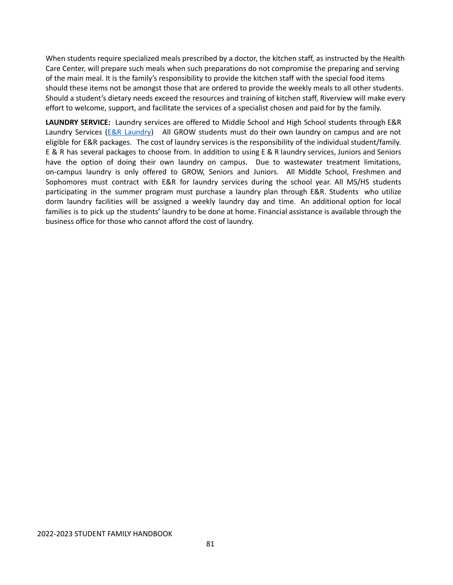When students require specialized meals prescribed by a doctor, the kitchen staff, as instructed by the Health Care Center, will prepare such meals when such preparations do not compromise the preparing and serving of the main meal. It is the family's responsibility to provide the kitchen staff with the special food items should these items not be amongst those that are ordered to provide the weekly meals to all other students. Should a student's dietary needs exceed the resources and training of kitchen staff, Riverview will make every effort to welcome, support, and facilitate the services of a specialist chosen and paid for by the family.

**LAUNDRY SERVICE:** Laundry services are offered to Middle School and High School students through E&R [Laundry](https://www.eandrcleaners.com/) Services (E&R Laundry) All GROW students must do their own laundry on campus and are not eligible for E&R packages. The cost of laundry services is the responsibility of the individual student/family. E & R has several packages to choose from. In addition to using E & R laundry services, Juniors and Seniors have the option of doing their own laundry on campus. Due to wastewater treatment limitations, on-campus laundry is only offered to GROW, Seniors and Juniors. All Middle School, Freshmen and Sophomores must contract with E&R for laundry services during the school year. All MS/HS students participating in the summer program must purchase a laundry plan through E&R. Students who utilize dorm laundry facilities will be assigned a weekly laundry day and time. An additional option for local families is to pick up the students' laundry to be done at home. Financial assistance is available through the business office for those who cannot afford the cost of laundry.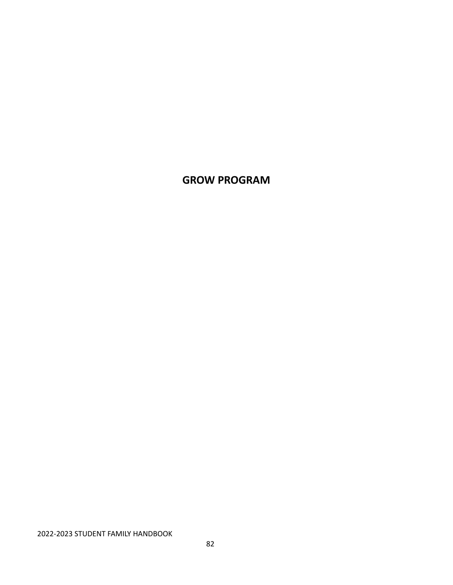## **GROW PROGRAM**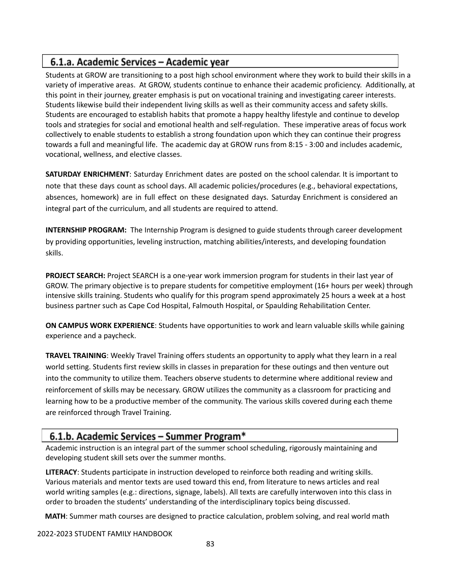## 6.1.a. Academic Services - Academic year

Students at GROW are transitioning to a post high school environment where they work to build their skills in a variety of imperative areas. At GROW, students continue to enhance their academic proficiency. Additionally, at this point in their journey, greater emphasis is put on vocational training and investigating career interests. Students likewise build their independent living skills as well as their community access and safety skills. Students are encouraged to establish habits that promote a happy healthy lifestyle and continue to develop tools and strategies for social and emotional health and self-regulation. These imperative areas of focus work collectively to enable students to establish a strong foundation upon which they can continue their progress towards a full and meaningful life. The academic day at GROW runs from 8:15 - 3:00 and includes academic, vocational, wellness, and elective classes.

**SATURDAY ENRICHMENT**: Saturday Enrichment dates are posted on the school calendar. It is important to note that these days count as school days. All academic policies/procedures (e.g., behavioral expectations, absences, homework) are in full effect on these designated days. Saturday Enrichment is considered an integral part of the curriculum, and all students are required to attend.

**INTERNSHIP PROGRAM:** The Internship Program is designed to guide students through career development by providing opportunities, leveling instruction, matching abilities/interests, and developing foundation skills.

**PROJECT SEARCH:** Project SEARCH is a one-year work immersion program for students in their last year of GROW. The primary objective is to prepare students for competitive employment (16+ hours per week) through intensive skills training. Students who qualify for this program spend approximately 25 hours a week at a host business partner such as Cape Cod Hospital, Falmouth Hospital, or Spaulding Rehabilitation Center.

**ON CAMPUS WORK EXPERIENCE**: Students have opportunities to work and learn valuable skills while gaining experience and a paycheck.

**TRAVEL TRAINING**: Weekly Travel Training offers students an opportunity to apply what they learn in a real world setting. Students first review skills in classes in preparation for these outings and then venture out into the community to utilize them. Teachers observe students to determine where additional review and reinforcement of skills may be necessary. GROW utilizes the community as a classroom for practicing and learning how to be a productive member of the community. The various skills covered during each theme are reinforced through Travel Training.

## 6.1.b. Academic Services - Summer Program\*

Academic instruction is an integral part of the summer school scheduling, rigorously maintaining and developing student skill sets over the summer months.

**LITERACY**: Students participate in instruction developed to reinforce both reading and writing skills. Various materials and mentor texts are used toward this end, from literature to news articles and real world writing samples (e.g.: directions, signage, labels). All texts are carefully interwoven into this class in order to broaden the students' understanding of the interdisciplinary topics being discussed.

**MATH**: Summer math courses are designed to practice calculation, problem solving, and real world math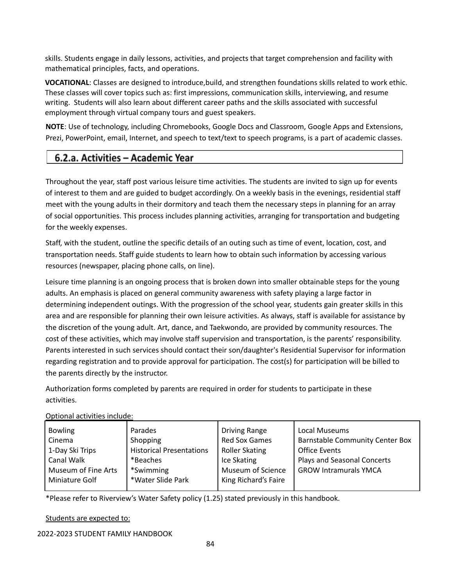skills. Students engage in daily lessons, activities, and projects that target comprehension and facility with mathematical principles, facts, and operations.

**VOCATIONAL**: Classes are designed to introduce,build, and strengthen foundations skills related to work ethic. These classes will cover topics such as: first impressions, communication skills, interviewing, and resume writing. Students will also learn about different career paths and the skills associated with successful employment through virtual company tours and guest speakers.

**NOTE**: Use of technology, including Chromebooks, Google Docs and Classroom, Google Apps and Extensions, Prezi, PowerPoint, email, Internet, and speech to text/text to speech programs, is a part of academic classes.

## 6.2.a. Activities – Academic Year

Throughout the year, staff post various leisure time activities. The students are invited to sign up for events of interest to them and are guided to budget accordingly. On a weekly basis in the evenings, residential staff meet with the young adults in their dormitory and teach them the necessary steps in planning for an array of social opportunities. This process includes planning activities, arranging for transportation and budgeting for the weekly expenses.

Staff, with the student, outline the specific details of an outing such as time of event, location, cost, and transportation needs. Staff guide students to learn how to obtain such information by accessing various resources (newspaper, placing phone calls, on line).

Leisure time planning is an ongoing process that is broken down into smaller obtainable steps for the young adults. An emphasis is placed on general community awareness with safety playing a large factor in determining independent outings. With the progression of the school year, students gain greater skills in this area and are responsible for planning their own leisure activities. As always, staff is available for assistance by the discretion of the young adult. Art, dance, and Taekwondo, are provided by community resources. The cost of these activities, which may involve staff supervision and transportation, is the parents' responsibility. Parents interested in such services should contact their son/daughter's Residential Supervisor for information regarding registration and to provide approval for participation. The cost(s) for participation will be billed to the parents directly by the instructor.

Authorization forms completed by parents are required in order for students to participate in these activities.

### Optional activities include:

| <b>Bowling</b>      | Parades                         | <b>Driving Range</b>  | Local Museums                          |
|---------------------|---------------------------------|-----------------------|----------------------------------------|
| Cinema              | Shopping                        | <b>Red Sox Games</b>  | <b>Barnstable Community Center Box</b> |
| 1-Day Ski Trips     | <b>Historical Presentations</b> | <b>Roller Skating</b> | <b>Office Events</b>                   |
| <b>Canal Walk</b>   | *Beaches                        | Ice Skating           | Plays and Seasonal Concerts            |
| Museum of Fine Arts | *Swimming                       | Museum of Science     | <b>GROW Intramurals YMCA</b>           |
| Miniature Golf      | *Water Slide Park               | King Richard's Faire  |                                        |
|                     |                                 |                       |                                        |

\*Please refer to Riverview's Water Safety policy (1.25) stated previously in this handbook.

### Students are expected to: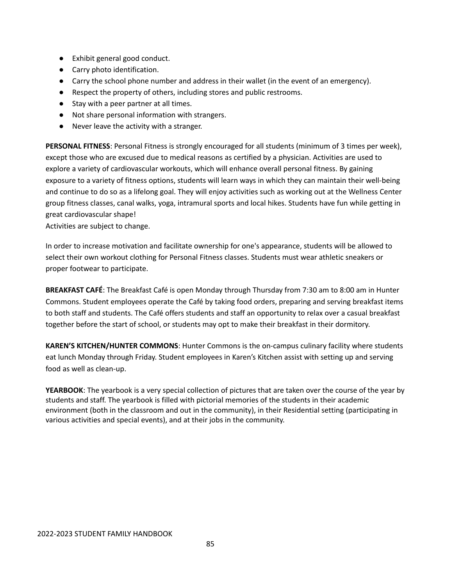- Exhibit general good conduct.
- Carry photo identification.
- Carry the school phone number and address in their wallet (in the event of an emergency).
- Respect the property of others, including stores and public restrooms.
- Stay with a peer partner at all times.
- Not share personal information with strangers.
- Never leave the activity with a stranger.

**PERSONAL FITNESS**: Personal Fitness is strongly encouraged for all students (minimum of 3 times per week), except those who are excused due to medical reasons as certified by a physician. Activities are used to explore a variety of cardiovascular workouts, which will enhance overall personal fitness. By gaining exposure to a variety of fitness options, students will learn ways in which they can maintain their well‐being and continue to do so as a lifelong goal. They will enjoy activities such as working out at the Wellness Center group fitness classes, canal walks, yoga, intramural sports and local hikes. Students have fun while getting in great cardiovascular shape!

Activities are subject to change.

In order to increase motivation and facilitate ownership for one's appearance, students will be allowed to select their own workout clothing for Personal Fitness classes. Students must wear athletic sneakers or proper footwear to participate.

**BREAKFAST CAFÉ**: The Breakfast Café is open Monday through Thursday from 7:30 am to 8:00 am in Hunter Commons. Student employees operate the Café by taking food orders, preparing and serving breakfast items to both staff and students. The Café offers students and staff an opportunity to relax over a casual breakfast together before the start of school, or students may opt to make their breakfast in their dormitory.

**KAREN'S KITCHEN/HUNTER COMMONS**: Hunter Commons is the on‐campus culinary facility where students eat lunch Monday through Friday. Student employees in Karen's Kitchen assist with setting up and serving food as well as clean‐up.

**YEARBOOK**: The yearbook is a very special collection of pictures that are taken over the course of the year by students and staff. The yearbook is filled with pictorial memories of the students in their academic environment (both in the classroom and out in the community), in their Residential setting (participating in various activities and special events), and at their jobs in the community.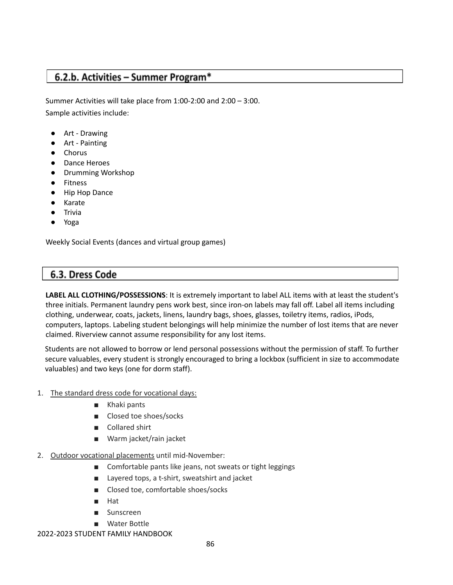## 6.2.b. Activities - Summer Program\*

Summer Activities will take place from 1:00-2:00 and 2:00 – 3:00. Sample activities include:

- Art Drawing
- Art Painting
- **Chorus**
- **Dance Heroes**
- Drumming Workshop
- **Fitness**
- **Hip Hop Dance**
- Karate
- **Trivia**
- Yoga

Weekly Social Events (dances and virtual group games)

## 6.3. Dress Code

**LABEL ALL CLOTHING/POSSESSIONS**: It is extremely important to label ALL items with at least the student's three initials. Permanent laundry pens work best, since iron‐on labels may fall off. Label all items including clothing, underwear, coats, jackets, linens, laundry bags, shoes, glasses, toiletry items, radios, iPods, computers, laptops. Labeling student belongings will help minimize the number of lost items that are never claimed. Riverview cannot assume responsibility for any lost items.

Students are not allowed to borrow or lend personal possessions without the permission of staff. To further secure valuables, every student is strongly encouraged to bring a lockbox (sufficient in size to accommodate valuables) and two keys (one for dorm staff).

### 1. The standard dress code for vocational days:

- Khaki pants
- Closed toe shoes/socks
- Collared shirt
- Warm jacket/rain jacket
- 2. Outdoor vocational placements until mid-November:
	- Comfortable pants like jeans, not sweats or tight leggings
	- Layered tops, a t-shirt, sweatshirt and jacket
	- Closed toe, comfortable shoes/socks
	- Hat
	- **Sunscreen**
	- Water Bottle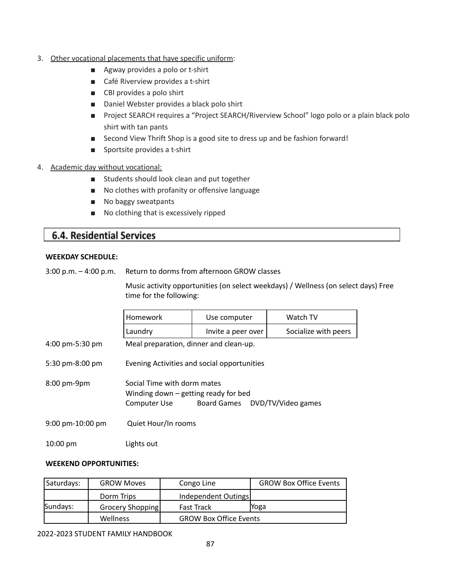- 3. Other vocational placements that have specific uniform:
	- Agway provides a polo or t-shirt
	- Café Riverview provides a t-shirt
	- CBI provides a polo shirt
	- Daniel Webster provides a black polo shirt
	- Project SEARCH requires a "Project SEARCH/Riverview School" logo polo or a plain black polo shirt with tan pants
	- Second View Thrift Shop is a good site to dress up and be fashion forward!
	- Sportsite provides a t-shirt
- 4. Academic day without vocational:
	- Students should look clean and put together
	- No clothes with profanity or offensive language
	- No baggy sweatpants
	- No clothing that is excessively ripped

### **6.4. Residential Services**

#### **WEEKDAY SCHEDULE:**

3:00 p.m. – 4:00 p.m. Return to dorms from afternoon GROW classes

Music activity opportunities (on select weekdays) / Wellness (on select days) Free time for the following:

|                                      | Homework                                                                                                                | Use computer       | Watch TV             |
|--------------------------------------|-------------------------------------------------------------------------------------------------------------------------|--------------------|----------------------|
|                                      | Laundry                                                                                                                 | Invite a peer over | Socialize with peers |
| 4:00 pm-5:30 pm                      | Meal preparation, dinner and clean-up.                                                                                  |                    |                      |
| 5:30 pm-8:00 pm                      | Evening Activities and social opportunities                                                                             |                    |                      |
| $8:00$ pm-9pm                        | Social Time with dorm mates<br>Winding down $-$ getting ready for bed<br>Board Games DVD/TV/Video games<br>Computer Use |                    |                      |
| $9:00 \text{ pm} - 10:00 \text{ pm}$ | Quiet Hour/In rooms                                                                                                     |                    |                      |
| $10:00 \text{ pm}$                   | Lights out                                                                                                              |                    |                      |

### **WEEKEND OPPORTUNITIES:**

| Saturdays: | <b>GROW Moves</b> | Congo Line                    | <b>GROW Box Office Events</b> |
|------------|-------------------|-------------------------------|-------------------------------|
|            | Dorm Trips        | Independent Outings           |                               |
| Sundays:   | Grocery Shopping  | <b>Fast Track</b>             | Yoga                          |
|            | Wellness          | <b>GROW Box Office Events</b> |                               |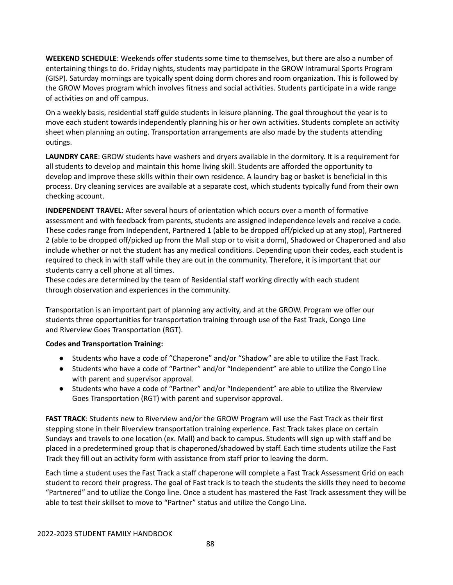**WEEKEND SCHEDULE**: Weekends offer students some time to themselves, but there are also a number of entertaining things to do. Friday nights, students may participate in the GROW Intramural Sports Program (GISP). Saturday mornings are typically spent doing dorm chores and room organization. This is followed by the GROW Moves program which involves fitness and social activities. Students participate in a wide range of activities on and off campus.

On a weekly basis, residential staff guide students in leisure planning. The goal throughout the year is to move each student towards independently planning his or her own activities. Students complete an activity sheet when planning an outing. Transportation arrangements are also made by the students attending outings.

**LAUNDRY CARE**: GROW students have washers and dryers available in the dormitory. It is a requirement for all students to develop and maintain this home living skill. Students are afforded the opportunity to develop and improve these skills within their own residence. A laundry bag or basket is beneficial in this process. Dry cleaning services are available at a separate cost, which students typically fund from their own checking account.

**INDEPENDENT TRAVEL**: After several hours of orientation which occurs over a month of formative assessment and with feedback from parents, students are assigned independence levels and receive a code. These codes range from Independent, Partnered 1 (able to be dropped off/picked up at any stop), Partnered 2 (able to be dropped off/picked up from the Mall stop or to visit a dorm), Shadowed or Chaperoned and also include whether or not the student has any medical conditions. Depending upon their codes, each student is required to check in with staff while they are out in the community. Therefore, it is important that our students carry a cell phone at all times.

These codes are determined by the team of Residential staff working directly with each student through observation and experiences in the community.

Transportation is an important part of planning any activity, and at the GROW. Program we offer our students three opportunities for transportation training through use of the Fast Track, Congo Line and Riverview Goes Transportation (RGT).

### **Codes and Transportation Training:**

- Students who have a code of "Chaperone" and/or "Shadow" are able to utilize the Fast Track.
- Students who have a code of "Partner" and/or "Independent" are able to utilize the Congo Line with parent and supervisor approval.
- Students who have a code of "Partner" and/or "Independent" are able to utilize the Riverview Goes Transportation (RGT) with parent and supervisor approval.

**FAST TRACK**: Students new to Riverview and/or the GROW Program will use the Fast Track as their first stepping stone in their Riverview transportation training experience. Fast Track takes place on certain Sundays and travels to one location (ex. Mall) and back to campus. Students will sign up with staff and be placed in a predetermined group that is chaperoned/shadowed by staff. Each time students utilize the Fast Track they fill out an activity form with assistance from staff prior to leaving the dorm.

Each time a student uses the Fast Track a staff chaperone will complete a Fast Track Assessment Grid on each student to record their progress. The goal of Fast track is to teach the students the skills they need to become "Partnered" and to utilize the Congo line. Once a student has mastered the Fast Track assessment they will be able to test their skillset to move to "Partner" status and utilize the Congo Line.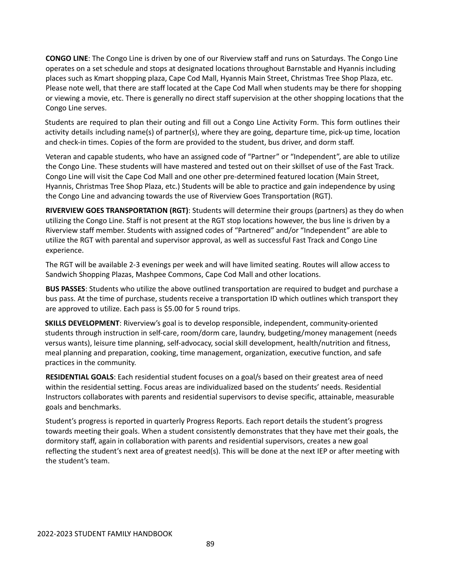**CONGO LINE**: The Congo Line is driven by one of our Riverview staff and runs on Saturdays. The Congo Line operates on a set schedule and stops at designated locations throughout Barnstable and Hyannis including places such as Kmart shopping plaza, Cape Cod Mall, Hyannis Main Street, Christmas Tree Shop Plaza, etc. Please note well, that there are staff located at the Cape Cod Mall when students may be there for shopping or viewing a movie, etc. There is generally no direct staff supervision at the other shopping locations that the Congo Line serves.

Students are required to plan their outing and fill out a Congo Line Activity Form. This form outlines their activity details including name(s) of partner(s), where they are going, departure time, pick‐up time, location and check-in times. Copies of the form are provided to the student, bus driver, and dorm staff.

Veteran and capable students, who have an assigned code of "Partner" or "Independent", are able to utilize the Congo Line. These students will have mastered and tested out on their skillset of use of the Fast Track. Congo Line will visit the Cape Cod Mall and one other pre‐determined featured location (Main Street, Hyannis, Christmas Tree Shop Plaza, etc.) Students will be able to practice and gain independence by using the Congo Line and advancing towards the use of Riverview Goes Transportation (RGT).

**RIVERVIEW GOES TRANSPORTATION (RGT)**: Students will determine their groups (partners) as they do when utilizing the Congo Line. Staff is not present at the RGT stop locations however, the bus line is driven by a Riverview staff member. Students with assigned codes of "Partnered" and/or "Independent" are able to utilize the RGT with parental and supervisor approval, as well as successful Fast Track and Congo Line experience.

The RGT will be available 2‐3 evenings per week and will have limited seating. Routes will allow access to Sandwich Shopping Plazas, Mashpee Commons, Cape Cod Mall and other locations.

**BUS PASSES**: Students who utilize the above outlined transportation are required to budget and purchase a bus pass. At the time of purchase, students receive a transportation ID which outlines which transport they are approved to utilize. Each pass is \$5.00 for 5 round trips.

**SKILLS DEVELOPMENT**: Riverview's goal is to develop responsible, independent, community‐oriented students through instruction in self-care, room/dorm care, laundry, budgeting/money management (needs versus wants), leisure time planning, self‐advocacy, social skill development, health/nutrition and fitness, meal planning and preparation, cooking, time management, organization, executive function, and safe practices in the community.

**RESIDENTIAL GOALS**: Each residential student focuses on a goal/s based on their greatest area of need within the residential setting. Focus areas are individualized based on the students' needs. Residential Instructors collaborates with parents and residential supervisors to devise specific, attainable, measurable goals and benchmarks.

Student's progress is reported in quarterly Progress Reports. Each report details the student's progress towards meeting their goals. When a student consistently demonstrates that they have met their goals, the dormitory staff, again in collaboration with parents and residential supervisors, creates a new goal reflecting the student's next area of greatest need(s). This will be done at the next IEP or after meeting with the student's team.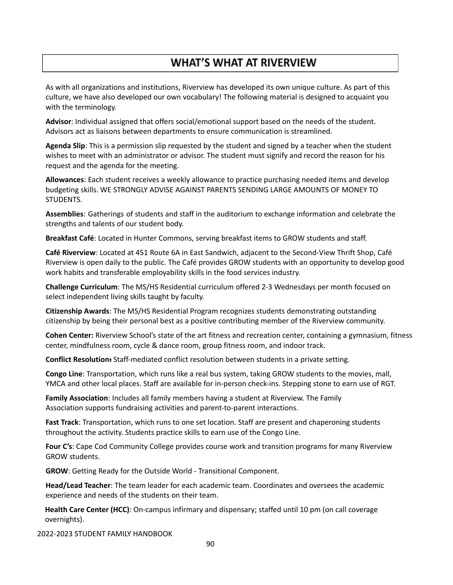# **WHAT'S WHAT AT RIVERVIEW**

As with all organizations and institutions, Riverview has developed its own unique culture. As part of this culture, we have also developed our own vocabulary! The following material is designed to acquaint you with the terminology.

**Advisor**: Individual assigned that offers social/emotional support based on the needs of the student. Advisors act as liaisons between departments to ensure communication is streamlined.

**Agenda Slip**: This is a permission slip requested by the student and signed by a teacher when the student wishes to meet with an administrator or advisor. The student must signify and record the reason for his request and the agenda for the meeting.

**Allowances**: Each student receives a weekly allowance to practice purchasing needed items and develop budgeting skills. WE STRONGLY ADVISE AGAINST PARENTS SENDING LARGE AMOUNTS OF MONEY TO STUDENTS.

**Assemblies**: Gatherings of students and staff in the auditorium to exchange information and celebrate the strengths and talents of our student body.

**Breakfast Café**: Located in Hunter Commons, serving breakfast items to GROW students and staff.

**Café Riverview**: Located at 451 Route 6A in East Sandwich, adjacent to the Second‐View Thrift Shop, Café Riverview is open daily to the public. The Café provides GROW students with an opportunity to develop good work habits and transferable employability skills in the food services industry.

**Challenge Curriculum**: The MS/HS Residential curriculum offered 2‐3 Wednesdays per month focused on select independent living skills taught by faculty.

**Citizenship Awards**: The MS/HS Residential Program recognizes students demonstrating outstanding citizenship by being their personal best as a positive contributing member of the Riverview community.

**Cohen Center:** Riverview School's state of the art fitness and recreation center, containing a gymnasium, fitness center, mindfulness room, cycle & dance room, group fitness room, and indoor track.

**Conflict Resolution:** Staff‐mediated conflict resolution between students in a private setting.

**Congo Line**: Transportation, which runs like a real bus system, taking GROW students to the movies, mall, YMCA and other local places. Staff are available for in‐person check‐ins. Stepping stone to earn use of RGT.

**Family Association**: Includes all family members having a student at Riverview. The Family Association supports fundraising activities and parent‐to‐parent interactions.

**Fast Track**: Transportation, which runs to one set location. Staff are present and chaperoning students throughout the activity. Students practice skills to earn use of the Congo Line.

**Four C's**: Cape Cod Community College provides course work and transition programs for many Riverview GROW students.

**GROW**: Getting Ready for the Outside World ‐ Transitional Component.

**Head/Lead Teacher**: The team leader for each academic team. Coordinates and oversees the academic experience and needs of the students on their team.

**Health Care Center (HCC)**: On‐campus infirmary and dispensary; staffed until 10 pm (on call coverage overnights).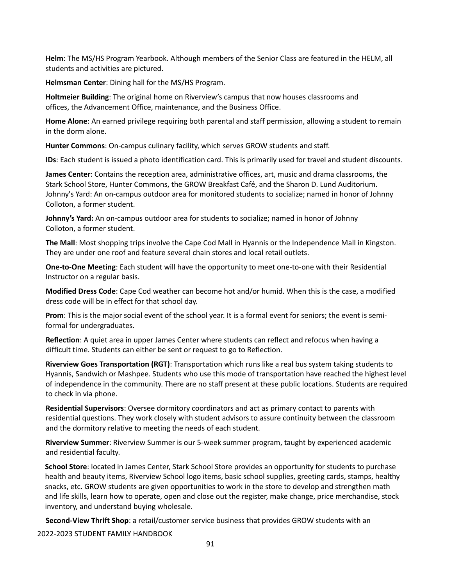**Helm**: The MS/HS Program Yearbook. Although members of the Senior Class are featured in the HELM, all students and activities are pictured.

**Helmsman Center**: Dining hall for the MS/HS Program.

**Holtmeier Building**: The original home on Riverview's campus that now houses classrooms and offices, the Advancement Office, maintenance, and the Business Office.

**Home Alone**: An earned privilege requiring both parental and staff permission, allowing a student to remain in the dorm alone.

**Hunter Commons**: On‐campus culinary facility, which serves GROW students and staff.

**IDs**: Each student is issued a photo identification card. This is primarily used for travel and student discounts.

**James Center**: Contains the reception area, administrative offices, art, music and drama classrooms, the Stark School Store, Hunter Commons, the GROW Breakfast Café, and the Sharon D. Lund Auditorium. Johnny's Yard: An on‐campus outdoor area for monitored students to socialize; named in honor of Johnny Colloton, a former student.

**Johnny's Yard:** An on‐campus outdoor area for students to socialize; named in honor of Johnny Colloton, a former student.

**The Mall**: Most shopping trips involve the Cape Cod Mall in Hyannis or the Independence Mall in Kingston. They are under one roof and feature several chain stores and local retail outlets.

**One‐to‐One Meeting**: Each student will have the opportunity to meet one‐to‐one with their Residential Instructor on a regular basis.

**Modified Dress Code**: Cape Cod weather can become hot and/or humid. When this is the case, a modified dress code will be in effect for that school day.

**Prom**: This is the major social event of the school year. It is a formal event for seniors; the event is semiformal for undergraduates.

**Reflection**: A quiet area in upper James Center where students can reflect and refocus when having a difficult time. Students can either be sent or request to go to Reflection.

**Riverview Goes Transportation (RGT)**: Transportation which runs like a real bus system taking students to Hyannis, Sandwich or Mashpee. Students who use this mode of transportation have reached the highest level of independence in the community. There are no staff present at these public locations. Students are required to check in via phone.

**Residential Supervisors**: Oversee dormitory coordinators and act as primary contact to parents with residential questions. They work closely with student advisors to assure continuity between the classroom and the dormitory relative to meeting the needs of each student.

**Riverview Summer**: Riverview Summer is our 5‐week summer program, taught by experienced academic and residential faculty.

**School Store**: located in James Center, Stark School Store provides an opportunity for students to purchase health and beauty items, Riverview School logo items, basic school supplies, greeting cards, stamps, healthy snacks, etc. GROW students are given opportunities to work in the store to develop and strengthen math and life skills, learn how to operate, open and close out the register, make change, price merchandise, stock inventory, and understand buying wholesale.

**Second‐View Thrift Shop**: a retail/customer service business that provides GROW students with an